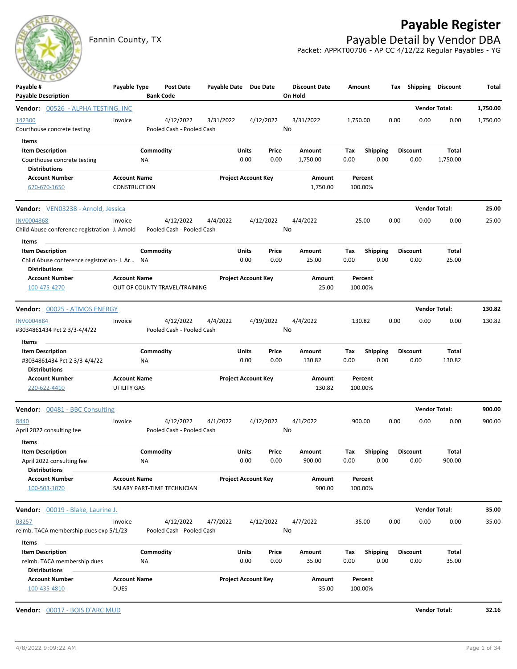## **Payable Register**



Fannin County, TX **Payable Detail by Vendor DBA** Packet: APPKT00706 - AP CC 4/12/22 Regular Payables - YG

| $\sim$<br>Payable #<br><b>Payable Description</b>                                        | Payable Type                        |                 | <b>Post Date</b><br><b>Bank Code</b>   | Payable Date Due Date |                            |               | <b>Discount Date</b><br>On Hold | Amount             |                         | Tax  | Shipping                | <b>Discount</b>          | Total    |
|------------------------------------------------------------------------------------------|-------------------------------------|-----------------|----------------------------------------|-----------------------|----------------------------|---------------|---------------------------------|--------------------|-------------------------|------|-------------------------|--------------------------|----------|
| <b>Vendor: 00526 - ALPHA TESTING, INC</b>                                                |                                     |                 |                                        |                       |                            |               |                                 |                    |                         |      |                         | <b>Vendor Total:</b>     | 1,750.00 |
| 142300<br>Courthouse concrete testing                                                    | Invoice                             |                 | 4/12/2022<br>Pooled Cash - Pooled Cash | 3/31/2022             |                            | 4/12/2022     | 3/31/2022<br>No                 | 1,750.00           |                         | 0.00 | 0.00                    | 0.00                     | 1,750.00 |
| Items<br><b>Item Description</b><br>Courthouse concrete testing<br><b>Distributions</b>  |                                     | Commodity<br>ΝA |                                        |                       | Units<br>0.00              | Price<br>0.00 | Amount<br>1,750.00              | Tax<br>0.00        | <b>Shipping</b><br>0.00 |      | <b>Discount</b><br>0.00 | <b>Total</b><br>1,750.00 |          |
| <b>Account Number</b><br>670-670-1650                                                    | <b>Account Name</b><br>CONSTRUCTION |                 |                                        |                       | <b>Project Account Key</b> |               | Amount<br>1,750.00              | Percent<br>100.00% |                         |      |                         |                          |          |
| <b>Vendor:</b> VEN03238 - Arnold, Jessica                                                |                                     |                 |                                        |                       |                            |               |                                 |                    |                         |      |                         | <b>Vendor Total:</b>     | 25.00    |
| <b>INV0004868</b><br>Child Abuse conference registration- J. Arnold                      | Invoice                             |                 | 4/12/2022<br>Pooled Cash - Pooled Cash | 4/4/2022              |                            | 4/12/2022     | 4/4/2022<br>No                  | 25.00              |                         | 0.00 | 0.00                    | 0.00                     | 25.00    |
| Items<br><b>Item Description</b><br>Child Abuse conference registration- J. Ar NA        |                                     | Commodity       |                                        |                       | Units<br>0.00              | Price<br>0.00 | Amount<br>25.00                 | Tax<br>0.00        | <b>Shipping</b><br>0.00 |      | <b>Discount</b><br>0.00 | Total<br>25.00           |          |
| <b>Distributions</b><br><b>Account Number</b><br>100-475-4270                            | <b>Account Name</b>                 |                 | OUT OF COUNTY TRAVEL/TRAINING          |                       | <b>Project Account Key</b> |               | Amount<br>25.00                 | Percent<br>100.00% |                         |      |                         |                          |          |
| <b>Vendor: 00025 - ATMOS ENERGY</b>                                                      |                                     |                 |                                        |                       |                            |               |                                 |                    |                         |      | <b>Vendor Total:</b>    |                          | 130.82   |
| <b>INV0004884</b><br>#3034861434 Pct 2 3/3-4/4/22                                        | Invoice                             |                 | 4/12/2022<br>Pooled Cash - Pooled Cash | 4/4/2022              |                            | 4/19/2022     | 4/4/2022<br>No                  | 130.82             |                         | 0.00 | 0.00                    | 0.00                     | 130.82   |
| Items<br><b>Item Description</b><br>#3034861434 Pct 2 3/3-4/4/22<br><b>Distributions</b> |                                     | Commodity<br>ΝA |                                        |                       | Units<br>0.00              | Price<br>0.00 | Amount<br>130.82                | Tax<br>0.00        | <b>Shipping</b><br>0.00 |      | <b>Discount</b><br>0.00 | Total<br>130.82          |          |
| <b>Account Number</b><br>220-622-4410                                                    | <b>Account Name</b><br>UTILITY GAS  |                 |                                        |                       | <b>Project Account Key</b> |               | Amount<br>130.82                | Percent<br>100.00% |                         |      |                         |                          |          |
| Vendor: 00481 - BBC Consulting                                                           |                                     |                 |                                        |                       |                            |               |                                 |                    |                         |      |                         | <b>Vendor Total:</b>     | 900.00   |
| 8440<br>April 2022 consulting fee                                                        | Invoice                             |                 | 4/12/2022<br>Pooled Cash - Pooled Cash | 4/1/2022              |                            | 4/12/2022     | 4/1/2022<br>No                  | 900.00             |                         | 0.00 | 0.00                    | 0.00                     | 900.00   |
| Items<br><b>Item Description</b><br>April 2022 consulting fee<br><b>Distributions</b>    |                                     | Commodity<br>NA |                                        |                       | Units<br>0.00              | Price<br>0.00 | Amount<br>900.00                | Tax<br>0.00        | <b>Shipping</b><br>0.00 |      | <b>Discount</b><br>0.00 | Total<br>900.00          |          |
| <b>Account Number</b><br>100-503-1070                                                    | <b>Account Name</b>                 |                 | SALARY PART-TIME TECHNICIAN            |                       | <b>Project Account Key</b> |               | Amount<br>900.00                | Percent<br>100.00% |                         |      |                         |                          |          |
| Vendor: 00019 - Blake, Laurine J.                                                        |                                     |                 |                                        |                       |                            |               |                                 |                    |                         |      |                         | <b>Vendor Total:</b>     | 35.00    |
| 03257<br>reimb. TACA membership dues exp 5/1/23<br>Items                                 | Invoice                             |                 | 4/12/2022<br>Pooled Cash - Pooled Cash | 4/7/2022              |                            | 4/12/2022     | 4/7/2022<br>No                  | 35.00              |                         | 0.00 | 0.00                    | 0.00                     | 35.00    |
| <b>Item Description</b><br>reimb. TACA membership dues<br><b>Distributions</b>           |                                     | Commodity<br>ΝA |                                        |                       | Units<br>0.00              | Price<br>0.00 | Amount<br>35.00                 | Tax<br>0.00        | <b>Shipping</b><br>0.00 |      | <b>Discount</b><br>0.00 | Total<br>35.00           |          |
| <b>Account Number</b><br>100-435-4810                                                    | <b>Account Name</b><br><b>DUES</b>  |                 |                                        |                       | <b>Project Account Key</b> |               | Amount<br>35.00                 | Percent<br>100.00% |                         |      |                         |                          |          |
| Vendor: 00017 - BOIS D'ARC MUD                                                           |                                     |                 |                                        |                       |                            |               |                                 |                    |                         |      |                         | <b>Vendor Total:</b>     | 32.16    |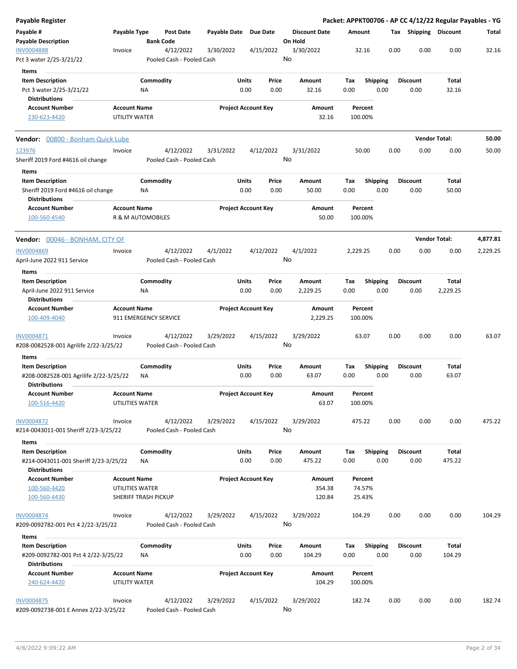| Payable Register                                                                               |                                        |                       |                                        |                       |                            |               |                                 |                    |                             |      |                         |                        | Packet: APPKT00706 - AP CC 4/12/22 Regular Payables - YG |
|------------------------------------------------------------------------------------------------|----------------------------------------|-----------------------|----------------------------------------|-----------------------|----------------------------|---------------|---------------------------------|--------------------|-----------------------------|------|-------------------------|------------------------|----------------------------------------------------------|
| Payable #<br><b>Payable Description</b>                                                        | Payable Type                           | <b>Bank Code</b>      | Post Date                              | Payable Date Due Date |                            |               | <b>Discount Date</b><br>On Hold | Amount             |                             |      | Tax Shipping Discount   |                        | Total                                                    |
| <b>INV0004888</b><br>Pct 3 water 2/25-3/21/22                                                  | Invoice                                |                       | 4/12/2022<br>Pooled Cash - Pooled Cash | 3/30/2022             |                            | 4/15/2022     | 3/30/2022<br>No                 |                    | 32.16                       | 0.00 | 0.00                    | 0.00                   | 32.16                                                    |
| Items<br><b>Item Description</b><br>Pct 3 water 2/25-3/21/22<br><b>Distributions</b>           |                                        | Commodity<br>ΝA       |                                        |                       | Units<br>0.00              | Price<br>0.00 | Amount<br>32.16                 | Tax<br>0.00        | <b>Shipping</b><br>0.00     |      | <b>Discount</b><br>0.00 | Total<br>32.16         |                                                          |
| <b>Account Number</b><br>230-623-4420                                                          | <b>Account Name</b><br>UTILITY WATER   |                       |                                        |                       | <b>Project Account Key</b> |               | Amount<br>32.16                 | 100.00%            | Percent                     |      |                         |                        |                                                          |
| Vendor: 00800 - Bonham Quick Lube                                                              |                                        |                       |                                        |                       |                            |               |                                 |                    |                             |      |                         | <b>Vendor Total:</b>   | 50.00                                                    |
| 123976<br>Sheriff 2019 Ford #4616 oil change                                                   | Invoice                                |                       | 4/12/2022<br>Pooled Cash - Pooled Cash | 3/31/2022             |                            | 4/12/2022     | 3/31/2022<br>No                 |                    | 50.00                       | 0.00 | 0.00                    | 0.00                   | 50.00                                                    |
| Items<br><b>Item Description</b><br>Sheriff 2019 Ford #4616 oil change<br><b>Distributions</b> |                                        | Commodity<br>ΝA       |                                        |                       | Units<br>0.00              | Price<br>0.00 | Amount<br>50.00                 | Tax<br>0.00        | Shipping<br>0.00            |      | <b>Discount</b><br>0.00 | Total<br>50.00         |                                                          |
| <b>Account Number</b><br>100-560-4540                                                          | <b>Account Name</b>                    | R & M AUTOMOBILES     |                                        |                       | <b>Project Account Key</b> |               | Amount<br>50.00                 | Percent<br>100.00% |                             |      |                         |                        |                                                          |
| <b>Vendor:</b> 00046 - BONHAM, CITY OF                                                         |                                        |                       |                                        |                       |                            |               |                                 |                    |                             |      |                         | <b>Vendor Total:</b>   | 4,877.81                                                 |
| <b>INV0004869</b><br>April-June 2022 911 Service                                               | Invoice                                |                       | 4/12/2022<br>Pooled Cash - Pooled Cash | 4/1/2022              |                            | 4/12/2022     | 4/1/2022<br>No                  | 2,229.25           |                             | 0.00 | 0.00                    | 0.00                   | 2,229.25                                                 |
| Items                                                                                          |                                        |                       |                                        |                       |                            |               |                                 |                    |                             |      |                         |                        |                                                          |
| <b>Item Description</b><br>April-June 2022 911 Service<br><b>Distributions</b>                 |                                        | Commodity<br>ΝA       |                                        |                       | Units<br>0.00              | Price<br>0.00 | Amount<br>2,229.25              | Tax<br>0.00        | <b>Shipping</b><br>0.00     |      | <b>Discount</b><br>0.00 | Total<br>2,229.25      |                                                          |
| <b>Account Number</b><br>100-409-4040                                                          | <b>Account Name</b>                    | 911 EMERGENCY SERVICE |                                        |                       | <b>Project Account Key</b> |               | Amount<br>2,229.25              | Percent<br>100.00% |                             |      |                         |                        |                                                          |
| INV0004871<br>#208-0082528-001 Agrilife 2/22-3/25/22                                           | Invoice                                |                       | 4/12/2022<br>Pooled Cash - Pooled Cash | 3/29/2022             |                            | 4/15/2022     | 3/29/2022<br>No                 | 63.07              |                             | 0.00 | 0.00                    | 0.00                   | 63.07                                                    |
| <b>Items</b>                                                                                   |                                        |                       |                                        |                       |                            |               |                                 |                    |                             |      |                         |                        |                                                          |
| <b>Item Description</b><br>#208-0082528-001 Agrilife 2/22-3/25/22                              |                                        | Commodity<br>ΝA       |                                        |                       | Units<br>0.00              | Price<br>0.00 | Amount<br>63.07                 | Tax<br>0.00        | <b>Shipping</b><br>0.00     |      | <b>Discount</b><br>0.00 | Total<br>63.07         |                                                          |
| <b>Distributions</b><br><b>Account Number</b><br>100-516-4420                                  | <b>Account Name</b><br>UTILITIES WATER |                       |                                        |                       | <b>Project Account Key</b> |               | Amount<br>63.07                 | Percent<br>100.00% |                             |      |                         |                        |                                                          |
| <b>INV0004872</b><br>#214-0043011-001 Sheriff 2/23-3/25/22                                     | Invoice                                |                       | 4/12/2022<br>Pooled Cash - Pooled Cash | 3/29/2022             |                            | 4/15/2022     | 3/29/2022<br>No                 | 475.22             |                             | 0.00 | 0.00                    | 0.00                   | 475.22                                                   |
| Items                                                                                          |                                        |                       |                                        |                       |                            |               |                                 |                    |                             |      |                         |                        |                                                          |
| <b>Item Description</b><br>#214-0043011-001 Sheriff 2/23-3/25/22<br><b>Distributions</b>       |                                        | Commodity<br>NA       |                                        |                       | Units<br>0.00              | Price<br>0.00 | Amount<br>475.22                | Tax<br>0.00        | Shipping<br>0.00            |      | <b>Discount</b><br>0.00 | <b>Total</b><br>475.22 |                                                          |
| <b>Account Number</b><br>100-560-4420<br>100-560-4430                                          | <b>Account Name</b><br>UTILITIES WATER | SHERIFF TRASH PICKUP  |                                        |                       | <b>Project Account Key</b> |               | Amount<br>354.38<br>120.84      |                    | Percent<br>74.57%<br>25.43% |      |                         |                        |                                                          |
| <b>INV0004874</b><br>#209-0092782-001 Pct 4 2/22-3/25/22                                       | Invoice                                |                       | 4/12/2022<br>Pooled Cash - Pooled Cash | 3/29/2022             |                            | 4/15/2022     | 3/29/2022<br>No                 | 104.29             |                             | 0.00 | 0.00                    | 0.00                   | 104.29                                                   |
|                                                                                                |                                        |                       |                                        |                       |                            |               |                                 |                    |                             |      |                         |                        |                                                          |
| Items<br><b>Item Description</b><br>#209-0092782-001 Pct 4 2/22-3/25/22                        |                                        | Commodity<br>ΝA       |                                        |                       | Units<br>0.00              | Price<br>0.00 | Amount<br>104.29                | Tax<br>0.00        | <b>Shipping</b><br>0.00     |      | <b>Discount</b><br>0.00 | Total<br>104.29        |                                                          |
| <b>Distributions</b><br><b>Account Number</b>                                                  | <b>Account Name</b>                    |                       |                                        |                       | <b>Project Account Key</b> |               | Amount                          | Percent            |                             |      |                         |                        |                                                          |
| 240-624-4420                                                                                   | UTILITY WATER                          |                       |                                        |                       |                            |               | 104.29                          | 100.00%            |                             |      |                         |                        |                                                          |
| <b>INV0004875</b><br>#209-0092738-001 E Annex 2/22-3/25/22                                     | Invoice                                |                       | 4/12/2022<br>Pooled Cash - Pooled Cash | 3/29/2022             |                            | 4/15/2022     | 3/29/2022<br>No                 | 182.74             |                             | 0.00 | 0.00                    | 0.00                   | 182.74                                                   |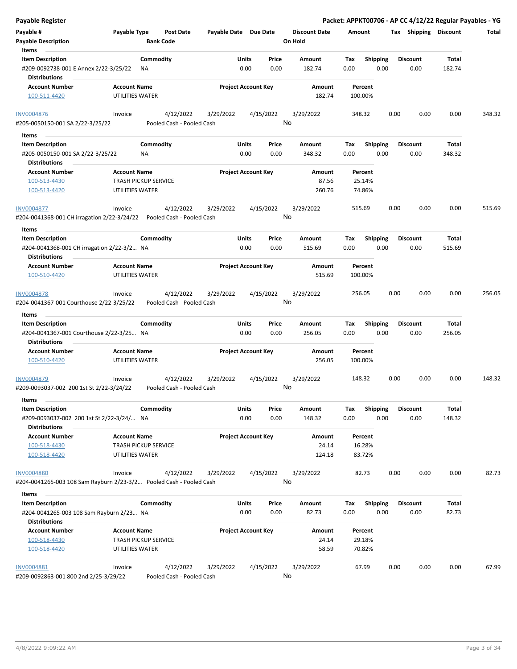| Payable Register                                                                    |                                                |                                        |                            |               |                 |                                 |                    |                         |      |                         | Packet: APPKT00706 - AP CC 4/12/22 Regular Payables - YG |        |
|-------------------------------------------------------------------------------------|------------------------------------------------|----------------------------------------|----------------------------|---------------|-----------------|---------------------------------|--------------------|-------------------------|------|-------------------------|----------------------------------------------------------|--------|
| Payable #<br><b>Payable Description</b>                                             | Payable Type                                   | <b>Post Date</b><br><b>Bank Code</b>   | Payable Date Due Date      |               |                 | <b>Discount Date</b><br>On Hold | Amount             |                         |      | Tax Shipping Discount   |                                                          | Total  |
| Items<br><b>Item Description</b><br>#209-0092738-001 E Annex 2/22-3/25/22           | Commodity<br>ΝA                                |                                        |                            | Units<br>0.00 | Price<br>0.00   | Amount<br>182.74                | Tax<br>0.00        | <b>Shipping</b><br>0.00 |      | <b>Discount</b><br>0.00 | Total<br>182.74                                          |        |
| <b>Distributions</b><br><b>Account Number</b><br>100-511-4420                       | <b>Account Name</b><br>UTILITIES WATER         |                                        | <b>Project Account Key</b> |               |                 | Amount<br>182.74                | Percent<br>100.00% |                         |      |                         |                                                          |        |
|                                                                                     |                                                |                                        |                            |               |                 |                                 |                    |                         |      |                         |                                                          |        |
| <b>INV0004876</b>                                                                   | Invoice                                        | 4/12/2022                              | 3/29/2022                  |               | 4/15/2022       | 3/29/2022                       | 348.32             |                         | 0.00 | 0.00                    | 0.00                                                     | 348.32 |
| #205-0050150-001 SA 2/22-3/25/22                                                    |                                                | Pooled Cash - Pooled Cash              |                            |               | No              |                                 |                    |                         |      |                         |                                                          |        |
| Items                                                                               |                                                |                                        |                            |               |                 |                                 |                    |                         |      |                         |                                                          |        |
| <b>Item Description</b><br>#205-0050150-001 SA 2/22-3/25/22<br><b>Distributions</b> | Commodity<br>NA.                               |                                        |                            | Units<br>0.00 | Price<br>0.00   | Amount<br>348.32                | Tax<br>0.00        | <b>Shipping</b><br>0.00 |      | <b>Discount</b><br>0.00 | Total<br>348.32                                          |        |
| <b>Account Number</b>                                                               | <b>Account Name</b>                            |                                        | <b>Project Account Key</b> |               |                 | Amount                          | Percent            |                         |      |                         |                                                          |        |
| 100-513-4430                                                                        | <b>TRASH PICKUP SERVICE</b>                    |                                        |                            |               |                 | 87.56                           | 25.14%             |                         |      |                         |                                                          |        |
| 100-513-4420                                                                        | UTILITIES WATER                                |                                        |                            |               |                 | 260.76                          | 74.86%             |                         |      |                         |                                                          |        |
| INV0004877                                                                          | Invoice                                        | 4/12/2022                              | 3/29/2022                  |               | 4/15/2022       | 3/29/2022                       | 515.69             |                         | 0.00 | 0.00                    | 0.00                                                     | 515.69 |
| #204-0041368-001 CH irragation 2/22-3/24/22                                         |                                                | Pooled Cash - Pooled Cash              |                            |               | No              |                                 |                    |                         |      |                         |                                                          |        |
| Items                                                                               |                                                |                                        |                            |               |                 |                                 |                    |                         |      |                         |                                                          |        |
| <b>Item Description</b>                                                             | Commodity                                      |                                        |                            | Units         | Price           | Amount                          | Tax                | <b>Shipping</b>         |      | <b>Discount</b>         | Total                                                    |        |
| #204-0041368-001 CH irragation 2/22-3/2 NA<br><b>Distributions</b>                  |                                                |                                        |                            | 0.00          | 0.00            | 515.69                          | 0.00               | 0.00                    |      | 0.00                    | 515.69                                                   |        |
| <b>Account Number</b>                                                               | <b>Account Name</b>                            |                                        | <b>Project Account Key</b> |               |                 | Amount                          | Percent            |                         |      |                         |                                                          |        |
| 100-510-4420                                                                        | UTILITIES WATER                                |                                        |                            |               |                 | 515.69                          | 100.00%            |                         |      |                         |                                                          |        |
| INV0004878<br>#204-0041367-001 Courthouse 2/22-3/25/22                              | Invoice                                        | 4/12/2022<br>Pooled Cash - Pooled Cash | 3/29/2022                  |               | 4/15/2022<br>No | 3/29/2022                       | 256.05             |                         | 0.00 | 0.00                    | 0.00                                                     | 256.05 |
| Items                                                                               |                                                |                                        |                            |               |                 |                                 |                    |                         |      |                         |                                                          |        |
| <b>Item Description</b>                                                             | Commodity                                      |                                        |                            | Units         | Price           | Amount                          | Tax                | <b>Shipping</b>         |      | <b>Discount</b>         | Total                                                    |        |
| #204-0041367-001 Courthouse 2/22-3/25 NA<br><b>Distributions</b>                    |                                                |                                        |                            | 0.00          | 0.00            | 256.05                          | 0.00               | 0.00                    |      | 0.00                    | 256.05                                                   |        |
| <b>Account Number</b>                                                               | <b>Account Name</b>                            |                                        | <b>Project Account Key</b> |               |                 | Amount                          | Percent            |                         |      |                         |                                                          |        |
| 100-510-4420                                                                        | UTILITIES WATER                                |                                        |                            |               |                 | 256.05                          | 100.00%            |                         |      |                         |                                                          |        |
| <b>INV0004879</b><br>#209-0093037-002 200 1st St 2/22-3/24/22                       | Invoice                                        | 4/12/2022<br>Pooled Cash - Pooled Cash | 3/29/2022                  |               | 4/15/2022<br>No | 3/29/2022                       | 148.32             |                         | 0.00 | 0.00                    | 0.00                                                     | 148.32 |
| Items                                                                               |                                                |                                        |                            |               |                 |                                 |                    |                         |      |                         |                                                          |        |
| <b>Item Description</b><br>#209-0093037-002 200 1st St 2/22-3/24/ NA                | Commodity                                      |                                        |                            | Units<br>0.00 | Price<br>0.00   | Amount<br>148.32                | Tax<br>0.00        | <b>Shipping</b><br>0.00 |      | <b>Discount</b><br>0.00 | Total<br>148.32                                          |        |
| <b>Distributions</b>                                                                |                                                |                                        |                            |               |                 |                                 |                    |                         |      |                         |                                                          |        |
| <b>Account Number</b>                                                               | <b>Account Name</b>                            |                                        | <b>Project Account Key</b> |               |                 | Amount                          | Percent            |                         |      |                         |                                                          |        |
| 100-518-4430<br>100-518-4420                                                        | <b>TRASH PICKUP SERVICE</b><br>UTILITIES WATER |                                        |                            |               |                 | 24.14<br>124.18                 | 16.28%<br>83.72%   |                         |      |                         |                                                          |        |
| <b>INV0004880</b>                                                                   | Invoice                                        | 4/12/2022                              | 3/29/2022                  |               | 4/15/2022       | 3/29/2022                       | 82.73              |                         | 0.00 | 0.00                    | 0.00                                                     | 82.73  |
| #204-0041265-003 108 Sam Rayburn 2/23-3/2 Pooled Cash - Pooled Cash                 |                                                |                                        |                            |               | No              |                                 |                    |                         |      |                         |                                                          |        |
| Items                                                                               |                                                |                                        |                            |               |                 |                                 |                    |                         |      |                         |                                                          |        |
| <b>Item Description</b>                                                             | Commodity                                      |                                        |                            | Units         | Price           | Amount                          | Tax                | <b>Shipping</b>         |      | <b>Discount</b>         | Total                                                    |        |
| #204-0041265-003 108 Sam Rayburn 2/23 NA                                            |                                                |                                        |                            | 0.00          | 0.00            | 82.73                           | 0.00               | 0.00                    |      | 0.00                    | 82.73                                                    |        |
| <b>Distributions</b>                                                                |                                                |                                        |                            |               |                 |                                 |                    |                         |      |                         |                                                          |        |
| <b>Account Number</b>                                                               | <b>Account Name</b>                            |                                        | <b>Project Account Key</b> |               |                 | Amount                          | Percent            |                         |      |                         |                                                          |        |
| 100-518-4430<br>100-518-4420                                                        | <b>TRASH PICKUP SERVICE</b><br>UTILITIES WATER |                                        |                            |               |                 | 24.14<br>58.59                  | 29.18%<br>70.82%   |                         |      |                         |                                                          |        |
| INV0004881<br>#209-0092863-001 800 2nd 2/25-3/29/22                                 | Invoice                                        | 4/12/2022<br>Pooled Cash - Pooled Cash | 3/29/2022                  |               | 4/15/2022<br>No | 3/29/2022                       | 67.99              |                         | 0.00 | 0.00                    | 0.00                                                     | 67.99  |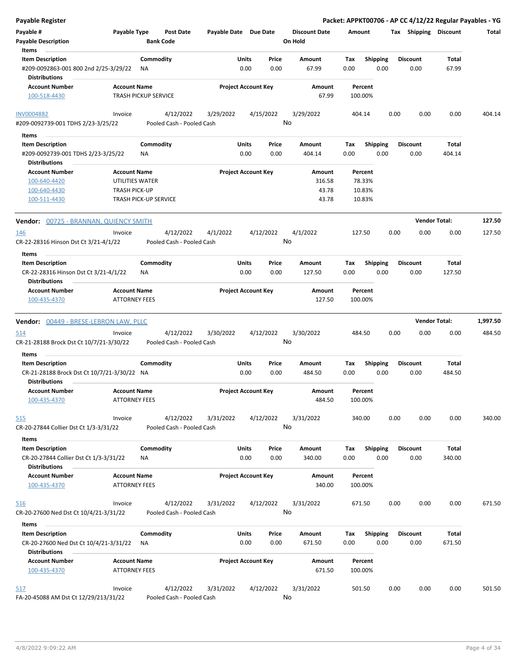| <b>Payable Register</b>                                             |                                             |                                        |                       |                                |                                 | Packet: APPKT00706 - AP CC 4/12/22 Regular Payables - YG |                         |      |                      |                       |          |
|---------------------------------------------------------------------|---------------------------------------------|----------------------------------------|-----------------------|--------------------------------|---------------------------------|----------------------------------------------------------|-------------------------|------|----------------------|-----------------------|----------|
| Payable #<br><b>Payable Description</b>                             | Payable Type                                | <b>Post Date</b><br><b>Bank Code</b>   | Payable Date Due Date |                                | <b>Discount Date</b><br>On Hold | Amount                                                   |                         |      |                      | Tax Shipping Discount | Total    |
| Items<br><b>Item Description</b>                                    |                                             | Commodity                              |                       |                                |                                 |                                                          |                         |      | <b>Discount</b>      | Total                 |          |
| #209-0092863-001 800 2nd 2/25-3/29/22<br><b>Distributions</b>       |                                             | ΝA                                     |                       | Units<br>Price<br>0.00<br>0.00 | Amount<br>67.99                 | Tax<br>0.00                                              | <b>Shipping</b><br>0.00 |      | 0.00                 | 67.99                 |          |
| <b>Account Number</b>                                               | <b>Account Name</b>                         |                                        |                       | <b>Project Account Key</b>     | Amount                          | Percent                                                  |                         |      |                      |                       |          |
| 100-518-4430                                                        |                                             | <b>TRASH PICKUP SERVICE</b>            |                       |                                | 67.99                           | 100.00%                                                  |                         |      |                      |                       |          |
| <b>INV0004882</b><br>#209-0092739-001 TDHS 2/23-3/25/22             | Invoice                                     | 4/12/2022<br>Pooled Cash - Pooled Cash | 3/29/2022             | 4/15/2022                      | 3/29/2022<br>No                 | 404.14                                                   |                         | 0.00 | 0.00                 | 0.00                  | 404.14   |
|                                                                     |                                             |                                        |                       |                                |                                 |                                                          |                         |      |                      |                       |          |
| Items                                                               |                                             |                                        |                       |                                |                                 |                                                          |                         |      |                      |                       |          |
| <b>Item Description</b>                                             |                                             | Commodity                              |                       | Units<br>Price                 | Amount                          | Тах                                                      | <b>Shipping</b>         |      | <b>Discount</b>      | Total                 |          |
| #209-0092739-001 TDHS 2/23-3/25/22<br><b>Distributions</b>          |                                             | <b>NA</b>                              |                       | 0.00<br>0.00                   | 404.14                          | 0.00                                                     | 0.00                    |      | 0.00                 | 404.14                |          |
| <b>Account Number</b>                                               | <b>Account Name</b>                         |                                        |                       | <b>Project Account Key</b>     | Amount                          | Percent                                                  |                         |      |                      |                       |          |
| 100-640-4420                                                        | UTILITIES WATER                             |                                        |                       |                                | 316.58                          | 78.33%                                                   |                         |      |                      |                       |          |
| 100-640-4430                                                        | <b>TRASH PICK-UP</b>                        |                                        |                       |                                | 43.78                           | 10.83%                                                   |                         |      |                      |                       |          |
| 100-511-4430                                                        |                                             | <b>TRASH PICK-UP SERVICE</b>           |                       |                                | 43.78                           | 10.83%                                                   |                         |      |                      |                       |          |
| <b>Vendor:</b> 00725 - BRANNAN, QUIENCY SMITH                       |                                             |                                        |                       |                                |                                 |                                                          |                         |      | <b>Vendor Total:</b> |                       | 127.50   |
| 146<br>CR-22-28316 Hinson Dst Ct 3/21-4/1/22                        | Invoice                                     | 4/12/2022<br>Pooled Cash - Pooled Cash | 4/1/2022              | 4/12/2022                      | 4/1/2022<br>No                  | 127.50                                                   |                         | 0.00 | 0.00                 | 0.00                  | 127.50   |
| Items                                                               |                                             |                                        |                       |                                |                                 |                                                          |                         |      |                      |                       |          |
| <b>Item Description</b>                                             |                                             | Commodity                              |                       | Units<br>Price                 | Amount                          | Tax                                                      | <b>Shipping</b>         |      | <b>Discount</b>      | Total                 |          |
| CR-22-28316 Hinson Dst Ct 3/21-4/1/22                               |                                             | ΝA                                     |                       | 0.00<br>0.00                   | 127.50                          | 0.00                                                     | 0.00                    |      | 0.00                 | 127.50                |          |
| <b>Distributions</b>                                                |                                             |                                        |                       |                                |                                 |                                                          |                         |      |                      |                       |          |
| <b>Account Number</b><br>100-435-4370                               | <b>Account Name</b><br><b>ATTORNEY FEES</b> |                                        |                       | <b>Project Account Key</b>     | Amount<br>127.50                | Percent<br>100.00%                                       |                         |      |                      |                       |          |
| Vendor: 00449 - BRESE-LEBRON LAW, PLLC                              |                                             |                                        |                       |                                |                                 |                                                          |                         |      | <b>Vendor Total:</b> |                       | 1,997.50 |
|                                                                     |                                             |                                        |                       |                                |                                 |                                                          |                         |      |                      |                       |          |
| 514<br>CR-21-28188 Brock Dst Ct 10/7/21-3/30/22                     | Invoice                                     | 4/12/2022<br>Pooled Cash - Pooled Cash | 3/30/2022             | 4/12/2022                      | 3/30/2022<br>No                 | 484.50                                                   |                         | 0.00 | 0.00                 | 0.00                  | 484.50   |
| Items                                                               |                                             |                                        |                       |                                |                                 |                                                          |                         |      |                      |                       |          |
| <b>Item Description</b>                                             |                                             | Commodity                              |                       | Units<br>Price                 | Amount                          | Tax                                                      | <b>Shipping</b>         |      | <b>Discount</b>      | Total                 |          |
| CR-21-28188 Brock Dst Ct 10/7/21-3/30/22 NA<br><b>Distributions</b> |                                             |                                        |                       | 0.00<br>0.00                   | 484.50                          | 0.00                                                     | 0.00                    |      | 0.00                 | 484.50                |          |
| <b>Account Number</b><br>100-435-4370                               | <b>Account Name</b><br><b>ATTORNEY FEES</b> |                                        |                       | <b>Project Account Key</b>     | Amount<br>484.50                | Percent<br>100.00%                                       |                         |      |                      |                       |          |
| 515<br>CR-20-27844 Collier Dst Ct 1/3-3/31/22                       | Invoice                                     | 4/12/2022<br>Pooled Cash - Pooled Cash | 3/31/2022             | 4/12/2022                      | 3/31/2022<br>No                 | 340.00                                                   |                         | 0.00 | 0.00                 | 0.00                  | 340.00   |
| Items                                                               |                                             |                                        |                       |                                |                                 |                                                          |                         |      |                      |                       |          |
| <b>Item Description</b>                                             |                                             | Commodity                              |                       | Units<br>Price                 | Amount                          | Tax                                                      | <b>Shipping</b>         |      | <b>Discount</b>      | Total                 |          |
| CR-20-27844 Collier Dst Ct 1/3-3/31/22                              |                                             | ΝA                                     |                       | 0.00<br>0.00                   | 340.00                          | 0.00                                                     | 0.00                    |      | 0.00                 | 340.00                |          |
| <b>Distributions</b>                                                |                                             |                                        |                       |                                |                                 |                                                          |                         |      |                      |                       |          |
| <b>Account Number</b><br>100-435-4370                               | <b>Account Name</b><br><b>ATTORNEY FEES</b> |                                        |                       | <b>Project Account Key</b>     | Amount<br>340.00                | Percent<br>100.00%                                       |                         |      |                      |                       |          |
| <u>516</u><br>CR-20-27600 Ned Dst Ct 10/4/21-3/31/22                | Invoice                                     | 4/12/2022<br>Pooled Cash - Pooled Cash | 3/31/2022             | 4/12/2022                      | 3/31/2022<br>No                 | 671.50                                                   |                         | 0.00 | 0.00                 | 0.00                  | 671.50   |
| Items                                                               |                                             |                                        |                       |                                |                                 |                                                          |                         |      |                      |                       |          |
| <b>Item Description</b>                                             |                                             | Commodity                              |                       | Units<br>Price                 | Amount                          | Tax                                                      | <b>Shipping</b>         |      | <b>Discount</b>      | Total                 |          |
| CR-20-27600 Ned Dst Ct 10/4/21-3/31/22<br><b>Distributions</b>      |                                             | ΝA                                     |                       | 0.00<br>0.00                   | 671.50                          | 0.00                                                     | 0.00                    |      | 0.00                 | 671.50                |          |
| <b>Account Number</b>                                               | <b>Account Name</b>                         |                                        |                       | <b>Project Account Key</b>     | Amount                          | Percent                                                  |                         |      |                      |                       |          |
| 100-435-4370                                                        | <b>ATTORNEY FEES</b>                        |                                        |                       |                                | 671.50                          | 100.00%                                                  |                         |      |                      |                       |          |
|                                                                     |                                             |                                        |                       |                                |                                 |                                                          |                         |      |                      |                       |          |
| 517                                                                 | Invoice                                     | 4/12/2022                              | 3/31/2022             | 4/12/2022                      | 3/31/2022                       | 501.50                                                   |                         | 0.00 | 0.00                 | 0.00                  | 501.50   |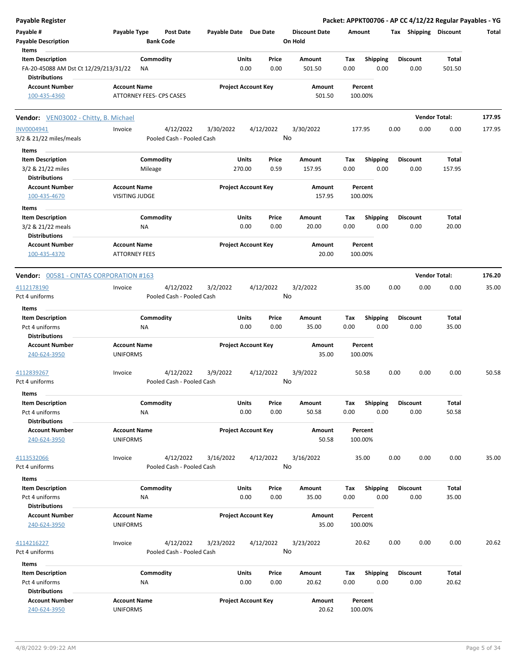| <b>Payable Register</b>                                                                                     |                                                     |                                |                                 | Packet: APPKT00706 - AP CC 4/12/22 Regular Payables - YG |                         |                        |        |
|-------------------------------------------------------------------------------------------------------------|-----------------------------------------------------|--------------------------------|---------------------------------|----------------------------------------------------------|-------------------------|------------------------|--------|
| Payable #<br>Payable Type<br><b>Payable Description</b>                                                     | <b>Post Date</b><br><b>Bank Code</b>                | Payable Date Due Date          | <b>Discount Date</b><br>On Hold | Amount                                                   | Tax Shipping Discount   |                        | Total  |
| Items                                                                                                       |                                                     |                                |                                 |                                                          |                         |                        |        |
| <b>Item Description</b><br>Commodity<br>FA-20-45088 AM Dst Ct 12/29/213/31/22<br>ΝA<br><b>Distributions</b> |                                                     | Units<br>Price<br>0.00<br>0.00 | Amount<br>501.50                | Shipping<br>Tax<br>0.00<br>0.00                          | <b>Discount</b><br>0.00 | <b>Total</b><br>501.50 |        |
| <b>Account Number</b><br><b>Account Name</b>                                                                |                                                     | <b>Project Account Key</b>     | Amount                          | Percent                                                  |                         |                        |        |
| 100-435-4360<br>ATTORNEY FEES- CPS CASES                                                                    |                                                     |                                | 501.50                          | 100.00%                                                  |                         |                        |        |
| <b>Vendor:</b> VEN03002 - Chitty, B. Michael                                                                |                                                     |                                |                                 |                                                          |                         | <b>Vendor Total:</b>   | 177.95 |
| INV0004941<br>Invoice<br>3/2 & 21/22 miles/meals                                                            | 4/12/2022<br>3/30/2022<br>Pooled Cash - Pooled Cash | 4/12/2022                      | 3/30/2022<br>No                 | 177.95                                                   | 0.00<br>0.00            | 0.00                   | 177.95 |
| Items                                                                                                       |                                                     |                                |                                 |                                                          |                         |                        |        |
| <b>Item Description</b><br>Commodity                                                                        |                                                     | Units<br>Price                 | Amount                          | Tax<br><b>Shipping</b>                                   | <b>Discount</b>         | Total                  |        |
| 3/2 & 21/22 miles<br>Mileage<br><b>Distributions</b>                                                        |                                                     | 270.00<br>0.59                 | 157.95                          | 0.00<br>0.00                                             | 0.00                    | 157.95                 |        |
| <b>Account Number</b><br><b>Account Name</b><br>100-435-4670<br><b>VISITING JUDGE</b>                       |                                                     | <b>Project Account Key</b>     | Amount<br>157.95                | Percent<br>100.00%                                       |                         |                        |        |
| Items                                                                                                       |                                                     |                                |                                 |                                                          |                         |                        |        |
| <b>Item Description</b><br>Commodity<br>3/2 & 21/22 meals<br>NA                                             |                                                     | Units<br>Price<br>0.00<br>0.00 | Amount<br>20.00                 | <b>Shipping</b><br>Tax<br>0.00<br>0.00                   | <b>Discount</b><br>0.00 | Total<br>20.00         |        |
| <b>Distributions</b><br><b>Account Number</b><br><b>Account Name</b><br><b>ATTORNEY FEES</b>                |                                                     | <b>Project Account Key</b>     | Amount<br>20.00                 | Percent                                                  |                         |                        |        |
| 100-435-4370                                                                                                |                                                     |                                |                                 | 100.00%                                                  |                         |                        |        |
| <b>Vendor: 00581 - CINTAS CORPORATION #163</b>                                                              |                                                     |                                |                                 |                                                          |                         | <b>Vendor Total:</b>   | 176.20 |
| 4112178190<br>Invoice                                                                                       | 4/12/2022<br>3/2/2022                               | 4/12/2022                      | 3/2/2022                        | 35.00                                                    | 0.00<br>0.00            | 0.00                   | 35.00  |
| Pct 4 uniforms                                                                                              | Pooled Cash - Pooled Cash                           |                                | No                              |                                                          |                         |                        |        |
| Items                                                                                                       |                                                     |                                |                                 |                                                          |                         |                        |        |
| Commodity<br><b>Item Description</b>                                                                        |                                                     | Units<br>Price                 | Amount                          | <b>Shipping</b><br>Tax                                   | <b>Discount</b>         | <b>Total</b>           |        |
| Pct 4 uniforms<br>ΝA                                                                                        |                                                     | 0.00<br>0.00                   | 35.00                           | 0.00<br>0.00                                             | 0.00                    | 35.00                  |        |
| <b>Distributions</b>                                                                                        |                                                     |                                |                                 |                                                          |                         |                        |        |
| <b>Account Number</b><br><b>Account Name</b><br>240-624-3950<br><b>UNIFORMS</b>                             |                                                     | <b>Project Account Key</b>     | <b>Amount</b><br>35.00          | Percent<br>100.00%                                       |                         |                        |        |
| 4112839267<br>Invoice                                                                                       | 4/12/2022<br>3/9/2022                               | 4/12/2022                      | 3/9/2022                        | 50.58                                                    | 0.00<br>0.00            | 0.00                   | 50.58  |
| Pct 4 uniforms                                                                                              | Pooled Cash - Pooled Cash                           |                                | No                              |                                                          |                         |                        |        |
| Items                                                                                                       |                                                     |                                |                                 |                                                          |                         |                        |        |
| <b>Item Description</b><br>Commodity<br>Pct 4 uniforms<br>NA                                                |                                                     | Units<br>Price<br>0.00<br>0.00 | Amount<br>50.58                 | <b>Shipping</b><br>Tax<br>0.00<br>0.00                   | <b>Discount</b><br>0.00 | Total<br>50.58         |        |
| <b>Distributions</b>                                                                                        |                                                     |                                |                                 |                                                          |                         |                        |        |
| <b>Account Number</b><br><b>Account Name</b><br>240-624-3950<br><b>UNIFORMS</b>                             |                                                     | <b>Project Account Key</b>     | Amount<br>50.58                 | Percent<br>100.00%                                       |                         |                        |        |
| 4113532066<br>Invoice                                                                                       | 4/12/2022<br>3/16/2022                              | 4/12/2022                      | 3/16/2022                       | 35.00                                                    | 0.00<br>0.00            | 0.00                   | 35.00  |
| Pct 4 uniforms                                                                                              | Pooled Cash - Pooled Cash                           |                                | No                              |                                                          |                         |                        |        |
| Items                                                                                                       |                                                     |                                |                                 |                                                          |                         |                        |        |
| Commodity<br><b>Item Description</b>                                                                        |                                                     | Units<br>Price                 | Amount                          | Tax<br>Shipping                                          | <b>Discount</b>         | Total                  |        |
| Pct 4 uniforms<br>ΝA<br><b>Distributions</b>                                                                |                                                     | 0.00<br>0.00                   | 35.00                           | 0.00<br>0.00                                             | 0.00                    | 35.00                  |        |
| <b>Account Name</b><br><b>Account Number</b>                                                                |                                                     | <b>Project Account Key</b>     | Amount                          | Percent                                                  |                         |                        |        |
| <b>UNIFORMS</b><br>240-624-3950                                                                             |                                                     |                                | 35.00                           | 100.00%                                                  |                         |                        |        |
| 4114216227<br>Invoice                                                                                       | 4/12/2022<br>3/23/2022                              | 4/12/2022                      | 3/23/2022                       | 20.62                                                    | 0.00<br>0.00            | 0.00                   | 20.62  |
| Pct 4 uniforms                                                                                              | Pooled Cash - Pooled Cash                           |                                | No                              |                                                          |                         |                        |        |
| Items                                                                                                       |                                                     |                                |                                 |                                                          |                         |                        |        |
| <b>Item Description</b><br>Commodity                                                                        |                                                     | Units<br>Price                 | Amount                          | Shipping<br>Tax                                          | <b>Discount</b>         | Total                  |        |
| Pct 4 uniforms<br>NA<br><b>Distributions</b>                                                                |                                                     | 0.00<br>0.00                   | 20.62                           | 0.00<br>0.00                                             | 0.00                    | 20.62                  |        |
| <b>Account Name</b><br><b>Account Number</b><br>240-624-3950<br><b>UNIFORMS</b>                             |                                                     | <b>Project Account Key</b>     | Amount<br>20.62                 | Percent<br>100.00%                                       |                         |                        |        |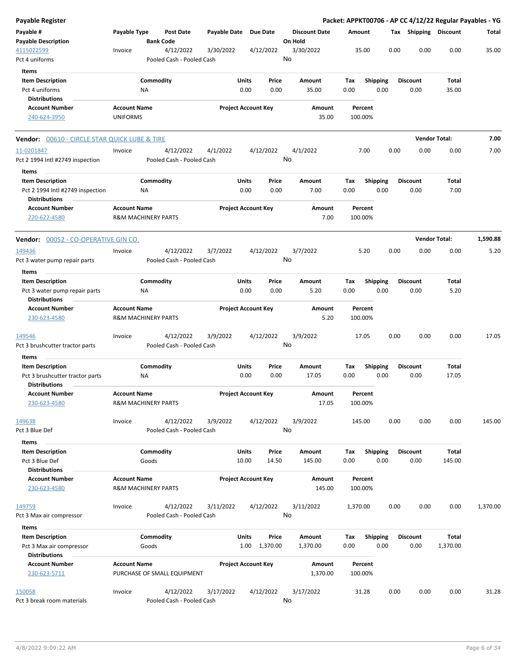| Payable Register                                                                    |                                                       |                    |                                        |              |                       |                            |                                 |                    |             |                    |      |      |                         |                   | Packet: APPKT00706 - AP CC 4/12/22 Regular Payables - YG |
|-------------------------------------------------------------------------------------|-------------------------------------------------------|--------------------|----------------------------------------|--------------|-----------------------|----------------------------|---------------------------------|--------------------|-------------|--------------------|------|------|-------------------------|-------------------|----------------------------------------------------------|
| Payable #<br><b>Payable Description</b>                                             | Payable Type                                          | <b>Bank Code</b>   | Post Date                              | Payable Date |                       | <b>Due Date</b>            | <b>Discount Date</b><br>On Hold |                    | Amount      |                    |      |      | Tax Shipping Discount   |                   | Total                                                    |
| 4115022599<br>Pct 4 uniforms                                                        | Invoice                                               |                    | 4/12/2022<br>Pooled Cash - Pooled Cash | 3/30/2022    |                       | 4/12/2022                  | 3/30/2022<br>No                 |                    |             | 35.00              |      | 0.00 | 0.00                    | 0.00              | 35.00                                                    |
| Items<br><b>Item Description</b><br>Pct 4 uniforms                                  |                                                       | Commodity<br>ΝA    |                                        |              | Units<br>0.00         | Price<br>0.00              | Amount                          | 35.00              | Tax<br>0.00 | Shipping           | 0.00 |      | <b>Discount</b><br>0.00 | Total<br>35.00    |                                                          |
| <b>Distributions</b><br><b>Account Number</b><br>240-624-3950                       | <b>Account Name</b><br><b>UNIFORMS</b>                |                    |                                        |              |                       | <b>Project Account Key</b> |                                 | Amount<br>35.00    |             | Percent<br>100.00% |      |      |                         |                   |                                                          |
| <b>Vendor:</b> 00610 - CIRCLE STAR QUICK LUBE & TIRE                                |                                                       |                    |                                        |              |                       |                            |                                 |                    |             |                    |      |      | <b>Vendor Total:</b>    |                   | 7.00                                                     |
| 11-0201847<br>Pct 2 1994 Intl #2749 inspection<br>Items                             | Invoice                                               |                    | 4/12/2022<br>Pooled Cash - Pooled Cash | 4/1/2022     |                       | 4/12/2022                  | 4/1/2022<br>No                  |                    |             | 7.00               |      | 0.00 | 0.00                    | 0.00              | 7.00                                                     |
| <b>Item Description</b><br>Pct 2 1994 Intl #2749 inspection<br><b>Distributions</b> |                                                       | Commodity<br>ΝA    |                                        |              | Units<br>0.00         | Price<br>0.00              | Amount                          | 7.00               | Tax<br>0.00 | <b>Shipping</b>    | 0.00 |      | <b>Discount</b><br>0.00 | Total<br>7.00     |                                                          |
| <b>Account Number</b><br>220-622-4580                                               | <b>Account Name</b><br><b>R&amp;M MACHINERY PARTS</b> |                    |                                        |              |                       | <b>Project Account Key</b> |                                 | Amount<br>7.00     |             | Percent<br>100.00% |      |      |                         |                   |                                                          |
| <b>Vendor:</b> 00052 - CO-OPERATIVE GIN CO.                                         |                                                       |                    |                                        |              |                       |                            |                                 |                    |             |                    |      |      | <b>Vendor Total:</b>    |                   | 1,590.88                                                 |
| 149436<br>Pct 3 water pump repair parts                                             | Invoice                                               |                    | 4/12/2022<br>Pooled Cash - Pooled Cash | 3/7/2022     |                       | 4/12/2022                  | 3/7/2022<br>No                  |                    |             | 5.20               |      | 0.00 | 0.00                    | 0.00              | 5.20                                                     |
| Items<br><b>Item Description</b>                                                    |                                                       | Commodity          |                                        |              | Units                 | Price                      | Amount                          |                    | Tax         | <b>Shipping</b>    |      |      | <b>Discount</b>         | Total             |                                                          |
| Pct 3 water pump repair parts<br><b>Distributions</b>                               |                                                       | ΝA                 |                                        |              | 0.00                  | 0.00                       |                                 | 5.20               | 0.00        |                    | 0.00 |      | 0.00                    | 5.20              |                                                          |
| <b>Account Number</b><br>230-623-4580                                               | <b>Account Name</b><br><b>R&amp;M MACHINERY PARTS</b> |                    |                                        |              |                       | <b>Project Account Key</b> |                                 | Amount<br>5.20     |             | Percent<br>100.00% |      |      |                         |                   |                                                          |
| 149546<br>Pct 3 brushcutter tractor parts                                           | Invoice                                               |                    | 4/12/2022<br>Pooled Cash - Pooled Cash | 3/9/2022     |                       | 4/12/2022                  | 3/9/2022<br>No                  |                    |             | 17.05              |      | 0.00 | 0.00                    | 0.00              | 17.05                                                    |
| Items<br><b>Item Description</b>                                                    |                                                       | Commodity          |                                        |              | Units                 | Price                      | Amount                          |                    | Tax         | <b>Shipping</b>    |      |      | <b>Discount</b>         | Total             |                                                          |
| Pct 3 brushcutter tractor parts<br><b>Distributions</b>                             |                                                       | ΝA                 |                                        |              | 0.00                  | 0.00                       |                                 | 17.05              | 0.00        |                    | 0.00 |      | 0.00                    | 17.05             |                                                          |
| <b>Account Number</b><br>230-623-4580                                               | <b>Account Name</b><br><b>R&amp;M MACHINERY PARTS</b> |                    |                                        |              |                       | <b>Project Account Key</b> |                                 | Amount<br>17.05    |             | Percent<br>100.00% |      |      |                         |                   |                                                          |
| 149638<br>Pct 3 Blue Def                                                            | Invoice                                               |                    | 4/12/2022<br>Pooled Cash - Pooled Cash | 3/9/2022     |                       | 4/12/2022                  | 3/9/2022<br>No                  |                    | 145.00      |                    |      | 0.00 | 0.00                    | 0.00              | 145.00                                                   |
| Items<br><b>Item Description</b><br>Pct 3 Blue Def<br><b>Distributions</b>          |                                                       | Commodity<br>Goods |                                        |              | <b>Units</b><br>10.00 | Price<br>14.50             | Amount<br>145.00                |                    | Tax<br>0.00 | <b>Shipping</b>    | 0.00 |      | <b>Discount</b><br>0.00 | Total<br>145.00   |                                                          |
| <b>Account Number</b><br>230-623-4580                                               | <b>Account Name</b><br><b>R&amp;M MACHINERY PARTS</b> |                    |                                        |              |                       | <b>Project Account Key</b> |                                 | Amount<br>145.00   |             | Percent<br>100.00% |      |      |                         |                   |                                                          |
| <u> 149759</u><br>Pct 3 Max air compressor                                          | Invoice                                               |                    | 4/12/2022<br>Pooled Cash - Pooled Cash | 3/11/2022    |                       | 4/12/2022                  | 3/11/2022<br>No                 |                    | 1,370.00    |                    |      | 0.00 | 0.00                    | 0.00              | 1,370.00                                                 |
| Items<br><b>Item Description</b><br>Pct 3 Max air compressor                        |                                                       | Commodity<br>Goods |                                        |              | Units                 | Price<br>1.00 1,370.00     | Amount<br>1,370.00              |                    | Тах<br>0.00 | <b>Shipping</b>    | 0.00 |      | <b>Discount</b><br>0.00 | Total<br>1,370.00 |                                                          |
| <b>Distributions</b><br><b>Account Number</b><br>230-623-5711                       | <b>Account Name</b>                                   |                    | PURCHASE OF SMALL EQUIPMENT            |              |                       | <b>Project Account Key</b> |                                 | Amount<br>1,370.00 |             | Percent<br>100.00% |      |      |                         |                   |                                                          |
| 150058<br>Pct 3 break room materials                                                | Invoice                                               |                    | 4/12/2022<br>Pooled Cash - Pooled Cash | 3/17/2022    |                       | 4/12/2022                  | 3/17/2022<br>No                 |                    |             | 31.28              |      | 0.00 | 0.00                    | 0.00              | 31.28                                                    |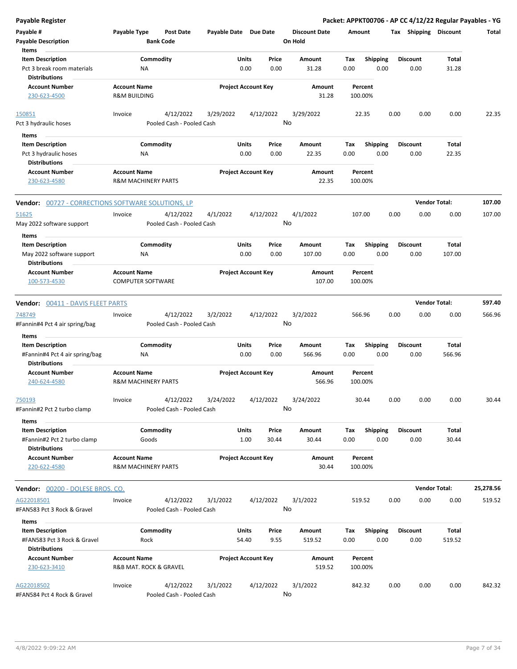| <b>Payable Register</b>                                                           |                                                |                                        |                       |                            |                |                      |             |                         |      |                         |                 | Packet: APPKT00706 - AP CC 4/12/22 Regular Payables - YG |
|-----------------------------------------------------------------------------------|------------------------------------------------|----------------------------------------|-----------------------|----------------------------|----------------|----------------------|-------------|-------------------------|------|-------------------------|-----------------|----------------------------------------------------------|
| Payable #                                                                         | Payable Type                                   | <b>Post Date</b>                       | Payable Date Due Date |                            |                | <b>Discount Date</b> | Amount      |                         |      | Tax Shipping Discount   |                 | Total                                                    |
| <b>Payable Description</b>                                                        |                                                | <b>Bank Code</b>                       |                       |                            |                | On Hold              |             |                         |      |                         |                 |                                                          |
| Items                                                                             |                                                |                                        |                       |                            |                |                      |             |                         |      |                         |                 |                                                          |
| <b>Item Description</b>                                                           |                                                | Commodity                              |                       | Units                      | Price          | Amount               | Tax         | <b>Shipping</b>         |      | <b>Discount</b>         | Total           |                                                          |
| Pct 3 break room materials<br><b>Distributions</b>                                |                                                | ΝA                                     |                       | 0.00                       | 0.00           | 31.28                | 0.00        | 0.00                    |      | 0.00                    | 31.28           |                                                          |
| <b>Account Number</b><br>230-623-4500                                             | <b>Account Name</b><br><b>R&amp;M BUILDING</b> |                                        |                       | <b>Project Account Key</b> |                | Amount<br>31.28      |             | Percent<br>100.00%      |      |                         |                 |                                                          |
|                                                                                   |                                                |                                        |                       |                            |                |                      |             |                         |      |                         |                 |                                                          |
| 150851<br>Pct 3 hydraulic hoses                                                   | Invoice                                        | 4/12/2022<br>Pooled Cash - Pooled Cash | 3/29/2022             |                            | 4/12/2022      | 3/29/2022<br>No      |             | 22.35                   | 0.00 | 0.00                    | 0.00            | 22.35                                                    |
| Items                                                                             |                                                |                                        |                       |                            |                |                      |             |                         |      |                         |                 |                                                          |
| <b>Item Description</b>                                                           |                                                | Commodity                              |                       | Units                      | Price          | Amount               | Tax         | <b>Shipping</b>         |      | <b>Discount</b>         | Total           |                                                          |
| Pct 3 hydraulic hoses                                                             |                                                | ΝA                                     |                       | 0.00                       | 0.00           | 22.35                | 0.00        | 0.00                    |      | 0.00                    | 22.35           |                                                          |
| <b>Distributions</b>                                                              |                                                |                                        |                       |                            |                |                      |             |                         |      |                         |                 |                                                          |
| <b>Account Number</b>                                                             | <b>Account Name</b>                            |                                        |                       | <b>Project Account Key</b> |                | Amount               |             | Percent                 |      |                         |                 |                                                          |
| 230-623-4580                                                                      |                                                | <b>R&amp;M MACHINERY PARTS</b>         |                       |                            |                | 22.35                |             | 100.00%                 |      |                         |                 |                                                          |
| <b>Vendor:</b> 00727 - CORRECTIONS SOFTWARE SOLUTIONS, LP                         |                                                |                                        |                       |                            |                |                      |             |                         |      | <b>Vendor Total:</b>    |                 | 107.00                                                   |
| 51625                                                                             | Invoice                                        | 4/12/2022                              | 4/1/2022              |                            | 4/12/2022      | 4/1/2022             |             | 107.00                  | 0.00 | 0.00                    | 0.00            | 107.00                                                   |
| May 2022 software support                                                         |                                                | Pooled Cash - Pooled Cash              |                       |                            |                | No                   |             |                         |      |                         |                 |                                                          |
| Items                                                                             |                                                |                                        |                       |                            |                |                      |             |                         |      |                         |                 |                                                          |
| <b>Item Description</b>                                                           |                                                | Commodity                              |                       | Units                      | Price          | Amount               | Tax         | <b>Shipping</b>         |      | <b>Discount</b>         | Total           |                                                          |
| May 2022 software support                                                         |                                                | ΝA                                     |                       | 0.00                       | 0.00           | 107.00               | 0.00        | 0.00                    |      | 0.00                    | 107.00          |                                                          |
| <b>Distributions</b>                                                              |                                                |                                        |                       |                            |                |                      |             |                         |      |                         |                 |                                                          |
| <b>Account Number</b>                                                             | <b>Account Name</b>                            |                                        |                       | <b>Project Account Key</b> |                | Amount               |             | Percent                 |      |                         |                 |                                                          |
| 100-573-4530                                                                      |                                                | <b>COMPUTER SOFTWARE</b>               |                       |                            |                | 107.00               |             | 100.00%                 |      |                         |                 |                                                          |
| <b>Vendor: 00411 - DAVIS FLEET PARTS</b>                                          |                                                |                                        |                       |                            |                |                      |             |                         |      | <b>Vendor Total:</b>    |                 | 597.40                                                   |
| 748749                                                                            | Invoice                                        | 4/12/2022                              | 3/2/2022              |                            | 4/12/2022      | 3/2/2022             |             | 566.96                  | 0.00 | 0.00                    | 0.00            | 566.96                                                   |
| #Fannin#4 Pct 4 air spring/bag                                                    |                                                | Pooled Cash - Pooled Cash              |                       |                            |                | No                   |             |                         |      |                         |                 |                                                          |
|                                                                                   |                                                |                                        |                       |                            |                |                      |             |                         |      |                         |                 |                                                          |
| Items                                                                             |                                                |                                        |                       |                            |                |                      |             |                         |      |                         |                 |                                                          |
| <b>Item Description</b><br>#Fannin#4 Pct 4 air spring/bag<br><b>Distributions</b> |                                                | Commodity<br>ΝA                        |                       | Units<br>0.00              | Price<br>0.00  | Amount<br>566.96     | Tax<br>0.00 | <b>Shipping</b><br>0.00 |      | <b>Discount</b><br>0.00 | Total<br>566.96 |                                                          |
| <b>Account Number</b>                                                             | <b>Account Name</b>                            |                                        |                       | <b>Project Account Key</b> |                | Amount               |             | Percent                 |      |                         |                 |                                                          |
| 240-624-4580                                                                      |                                                | <b>R&amp;M MACHINERY PARTS</b>         |                       |                            |                | 566.96               |             | 100.00%                 |      |                         |                 |                                                          |
| 750193                                                                            | Invoice                                        | 4/12/2022                              | 3/24/2022             |                            | 4/12/2022      | 3/24/2022            |             | 30.44                   | 0.00 | 0.00                    | 0.00            | 30.44                                                    |
| #Fannin#2 Pct 2 turbo clamp                                                       |                                                | Pooled Cash - Pooled Cash              |                       |                            |                | No                   |             |                         |      |                         |                 |                                                          |
| Items                                                                             |                                                |                                        |                       |                            |                |                      |             |                         |      |                         |                 |                                                          |
| <b>Item Description</b><br>#Fannin#2 Pct 2 turbo clamp                            |                                                | Commodity<br>Goods                     |                       | Units<br>1.00              | Price<br>30.44 | Amount<br>30.44      | Tax<br>0.00 | <b>Shipping</b><br>0.00 |      | <b>Discount</b><br>0.00 | Total<br>30.44  |                                                          |
| <b>Distributions</b>                                                              |                                                |                                        |                       |                            |                |                      |             |                         |      |                         |                 |                                                          |
| <b>Account Number</b><br>220-622-4580                                             | <b>Account Name</b>                            | <b>R&amp;M MACHINERY PARTS</b>         |                       | <b>Project Account Key</b> |                | Amount<br>30.44      |             | Percent<br>100.00%      |      |                         |                 |                                                          |
| Vendor: 00200 - DOLESE BROS. CO.                                                  |                                                |                                        |                       |                            |                |                      |             |                         |      | <b>Vendor Total:</b>    |                 | 25,278.56                                                |
| AG22018501                                                                        | Invoice                                        | 4/12/2022                              | 3/1/2022              |                            | 4/12/2022      | 3/1/2022             |             | 519.52                  | 0.00 | 0.00                    | 0.00            | 519.52                                                   |
| #FAN583 Pct 3 Rock & Gravel                                                       |                                                | Pooled Cash - Pooled Cash              |                       |                            |                | No                   |             |                         |      |                         |                 |                                                          |
| Items                                                                             |                                                |                                        |                       |                            |                |                      |             |                         |      |                         |                 |                                                          |
| <b>Item Description</b><br>#FAN583 Pct 3 Rock & Gravel<br><b>Distributions</b>    |                                                | Commodity<br>Rock                      |                       | Units<br>54.40             | Price<br>9.55  | Amount<br>519.52     | Tax<br>0.00 | <b>Shipping</b><br>0.00 |      | <b>Discount</b><br>0.00 | Total<br>519.52 |                                                          |
| <b>Account Number</b>                                                             | <b>Account Name</b>                            |                                        |                       | <b>Project Account Key</b> |                | Amount               |             | Percent                 |      |                         |                 |                                                          |
| 230-623-3410                                                                      |                                                | R&B MAT. ROCK & GRAVEL                 |                       |                            |                | 519.52               |             | 100.00%                 |      |                         |                 |                                                          |
| AG22018502                                                                        | Invoice                                        | 4/12/2022                              | 3/1/2022              |                            | 4/12/2022      | 3/1/2022             |             | 842.32                  | 0.00 | 0.00                    | 0.00            | 842.32                                                   |
| #FAN584 Pct 4 Rock & Gravel                                                       |                                                | Pooled Cash - Pooled Cash              |                       |                            |                | No                   |             |                         |      |                         |                 |                                                          |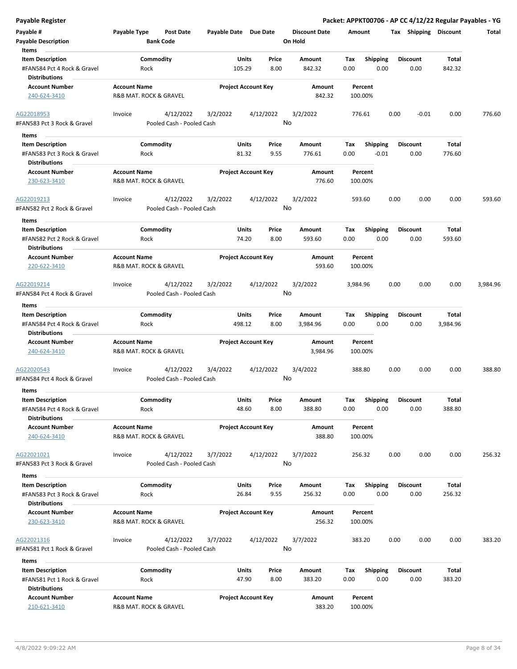| Payable #                                           | Payable Type           | Post Date                              | Payable Date Due Date |                            | <b>Discount Date</b> |          | Amount          | Tax  | Shipping        | <b>Discount</b> | Total    |
|-----------------------------------------------------|------------------------|----------------------------------------|-----------------------|----------------------------|----------------------|----------|-----------------|------|-----------------|-----------------|----------|
| <b>Payable Description</b><br>Items                 |                        | <b>Bank Code</b>                       |                       |                            | On Hold              |          |                 |      |                 |                 |          |
| <b>Item Description</b>                             |                        | Commodity                              |                       | Price<br>Units             | Amount               | Tax      | <b>Shipping</b> |      | <b>Discount</b> | Total           |          |
| #FAN584 Pct 4 Rock & Gravel<br><b>Distributions</b> | Rock                   |                                        |                       | 105.29<br>8.00             | 842.32               | 0.00     |                 | 0.00 | 0.00            | 842.32          |          |
| <b>Account Number</b>                               | <b>Account Name</b>    |                                        |                       | <b>Project Account Key</b> |                      | Amount   | Percent         |      |                 |                 |          |
| 240-624-3410                                        | R&B MAT. ROCK & GRAVEL |                                        |                       |                            |                      | 842.32   | 100.00%         |      |                 |                 |          |
| AG22018953<br>#FAN583 Pct 3 Rock & Gravel           | Invoice                | 4/12/2022<br>Pooled Cash - Pooled Cash | 3/2/2022              | 4/12/2022                  | 3/2/2022<br>No       |          | 776.61          | 0.00 | $-0.01$         | 0.00            | 776.60   |
|                                                     |                        |                                        |                       |                            |                      |          |                 |      |                 |                 |          |
| Items                                               |                        |                                        |                       |                            |                      |          |                 |      |                 |                 |          |
| <b>Item Description</b>                             |                        | Commodity                              |                       | Units<br>Price             | Amount               | Tax      | <b>Shipping</b> |      | <b>Discount</b> | Total           |          |
| #FAN583 Pct 3 Rock & Gravel<br><b>Distributions</b> | Rock                   |                                        |                       | 9.55<br>81.32              | 776.61               | 0.00     | $-0.01$         |      | 0.00            | 776.60          |          |
| <b>Account Number</b>                               | <b>Account Name</b>    |                                        |                       | <b>Project Account Key</b> |                      | Amount   | Percent         |      |                 |                 |          |
| 230-623-3410                                        | R&B MAT. ROCK & GRAVEL |                                        |                       |                            |                      | 776.60   | 100.00%         |      |                 |                 |          |
| AG22019213                                          | Invoice                | 4/12/2022                              | 3/2/2022              | 4/12/2022                  | 3/2/2022             |          | 593.60          | 0.00 | 0.00            | 0.00            | 593.60   |
| #FAN582 Pct 2 Rock & Gravel                         |                        | Pooled Cash - Pooled Cash              |                       |                            | No                   |          |                 |      |                 |                 |          |
| Items                                               |                        |                                        |                       |                            |                      |          |                 |      |                 |                 |          |
| <b>Item Description</b>                             |                        | Commodity                              |                       | Units<br>Price             | Amount               | Tax      | <b>Shipping</b> |      | <b>Discount</b> | Total           |          |
| #FAN582 Pct 2 Rock & Gravel                         | Rock                   |                                        |                       | 74.20<br>8.00              | 593.60               | 0.00     |                 | 0.00 | 0.00            | 593.60          |          |
| <b>Distributions</b>                                |                        |                                        |                       |                            |                      |          |                 |      |                 |                 |          |
| <b>Account Number</b>                               | <b>Account Name</b>    |                                        |                       | <b>Project Account Key</b> |                      | Amount   | Percent         |      |                 |                 |          |
| 220-622-3410                                        | R&B MAT. ROCK & GRAVEL |                                        |                       |                            |                      | 593.60   | 100.00%         |      |                 |                 |          |
| AG22019214                                          | Invoice                | 4/12/2022                              | 3/2/2022              | 4/12/2022                  | 3/2/2022             |          | 3,984.96        | 0.00 | 0.00            | 0.00            | 3,984.96 |
| #FAN584 Pct 4 Rock & Gravel                         |                        | Pooled Cash - Pooled Cash              |                       |                            | No                   |          |                 |      |                 |                 |          |
| Items                                               |                        |                                        |                       |                            |                      |          |                 |      |                 |                 |          |
| <b>Item Description</b>                             |                        | Commodity                              |                       | Units<br>Price             | Amount               | Tax      | <b>Shipping</b> |      | <b>Discount</b> | Total           |          |
| #FAN584 Pct 4 Rock & Gravel<br><b>Distributions</b> | Rock                   |                                        |                       | 8.00<br>498.12             | 3,984.96             | 0.00     |                 | 0.00 | 0.00            | 3,984.96        |          |
| <b>Account Number</b>                               | <b>Account Name</b>    |                                        |                       | <b>Project Account Key</b> |                      | Amount   | Percent         |      |                 |                 |          |
| 240-624-3410                                        | R&B MAT. ROCK & GRAVEL |                                        |                       |                            |                      | 3,984.96 | 100.00%         |      |                 |                 |          |
| AG22020543<br>#FAN584 Pct 4 Rock & Gravel           | Invoice                | 4/12/2022<br>Pooled Cash - Pooled Cash | 3/4/2022              | 4/12/2022                  | 3/4/2022<br>No       |          | 388.80          | 0.00 | 0.00            | 0.00            | 388.80   |
|                                                     |                        |                                        |                       |                            |                      |          |                 |      |                 |                 |          |
| <b>Items</b>                                        |                        |                                        |                       |                            |                      |          |                 |      |                 |                 |          |
| <b>Item Description</b>                             |                        | Commodity                              |                       | Units<br>Price             | Amount               | Tax      | <b>Shipping</b> |      | <b>Discount</b> | Total           |          |
| #FAN584 Pct 4 Rock & Gravel<br><b>Distributions</b> | Rock                   |                                        |                       | 48.60<br>8.00              | 388.80               | 0.00     |                 | 0.00 | 0.00            | 388.80          |          |
| <b>Account Number</b>                               | <b>Account Name</b>    |                                        |                       | <b>Project Account Key</b> |                      | Amount   | Percent         |      |                 |                 |          |
| 240-624-3410                                        | R&B MAT. ROCK & GRAVEL |                                        |                       |                            |                      | 388.80   | 100.00%         |      |                 |                 |          |
| AG22021021                                          | Invoice                | 4/12/2022                              | 3/7/2022              | 4/12/2022                  | 3/7/2022             |          | 256.32          | 0.00 | 0.00            | 0.00            | 256.32   |
| #FAN583 Pct 3 Rock & Gravel                         |                        | Pooled Cash - Pooled Cash              |                       |                            | No                   |          |                 |      |                 |                 |          |
| Items                                               |                        |                                        |                       |                            |                      |          |                 |      |                 |                 |          |
| <b>Item Description</b>                             |                        | Commodity                              |                       | Units<br>Price             | Amount               | Tax      | <b>Shipping</b> |      | <b>Discount</b> | Total           |          |
| #FAN583 Pct 3 Rock & Gravel                         | Rock                   |                                        |                       | 26.84<br>9.55              | 256.32               | 0.00     |                 | 0.00 | 0.00            | 256.32          |          |
| <b>Distributions</b>                                |                        |                                        |                       |                            |                      |          |                 |      |                 |                 |          |
| <b>Account Number</b>                               | <b>Account Name</b>    |                                        |                       | <b>Project Account Key</b> |                      | Amount   | Percent         |      |                 |                 |          |
| 230-623-3410                                        | R&B MAT. ROCK & GRAVEL |                                        |                       |                            |                      | 256.32   | 100.00%         |      |                 |                 |          |
|                                                     |                        |                                        |                       |                            |                      |          |                 |      |                 |                 |          |
| AG22021316                                          | Invoice                | 4/12/2022                              | 3/7/2022              | 4/12/2022                  | 3/7/2022             |          | 383.20          | 0.00 | 0.00            | 0.00            | 383.20   |
| #FAN581 Pct 1 Rock & Gravel                         |                        | Pooled Cash - Pooled Cash              |                       |                            | No                   |          |                 |      |                 |                 |          |
| Items                                               |                        |                                        |                       |                            |                      |          |                 |      |                 |                 |          |
| <b>Item Description</b>                             |                        | Commodity                              |                       | Units<br>Price             | Amount               | Tax      | <b>Shipping</b> |      | Discount        | Total           |          |
| #FAN581 Pct 1 Rock & Gravel                         | Rock                   |                                        |                       | 47.90<br>8.00              | 383.20               | 0.00     |                 | 0.00 | 0.00            | 383.20          |          |
| <b>Distributions</b>                                |                        |                                        |                       |                            |                      |          |                 |      |                 |                 |          |
| <b>Account Number</b>                               | <b>Account Name</b>    |                                        |                       | <b>Project Account Key</b> |                      | Amount   | Percent         |      |                 |                 |          |
| 210-621-3410                                        | R&B MAT. ROCK & GRAVEL |                                        |                       |                            |                      | 383.20   | 100.00%         |      |                 |                 |          |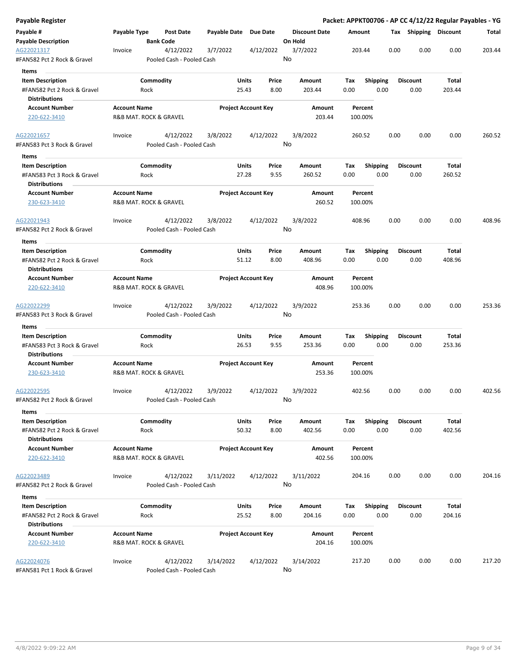| Payable Register                                    |                     |                                        |                       |                            |               |                                 |             |                         |      |                         |                 | Packet: APPKT00706 - AP CC 4/12/22 Regular Payables - YG |
|-----------------------------------------------------|---------------------|----------------------------------------|-----------------------|----------------------------|---------------|---------------------------------|-------------|-------------------------|------|-------------------------|-----------------|----------------------------------------------------------|
| Payable #<br>Payable Description                    | Payable Type        | Post Date<br><b>Bank Code</b>          | Payable Date Due Date |                            |               | <b>Discount Date</b><br>On Hold | Amount      |                         |      | Tax Shipping Discount   |                 | Total                                                    |
| AG22021317<br>#FAN582 Pct 2 Rock & Gravel           | Invoice             | 4/12/2022<br>Pooled Cash - Pooled Cash | 3/7/2022              |                            | 4/12/2022     | 3/7/2022<br>No                  |             | 203.44                  | 0.00 | 0.00                    | 0.00            | 203.44                                                   |
| Items                                               |                     |                                        |                       |                            |               |                                 |             |                         |      |                         |                 |                                                          |
| <b>Item Description</b>                             |                     | Commodity                              |                       | Units                      | Price         | Amount                          | Tax         | <b>Shipping</b>         |      | <b>Discount</b>         | Total           |                                                          |
| #FAN582 Pct 2 Rock & Gravel                         |                     | Rock                                   |                       | 25.43                      | 8.00          | 203.44                          | 0.00        | 0.00                    |      | 0.00                    | 203.44          |                                                          |
| <b>Distributions</b>                                |                     |                                        |                       |                            |               |                                 |             |                         |      |                         |                 |                                                          |
| <b>Account Number</b>                               | <b>Account Name</b> |                                        |                       | <b>Project Account Key</b> |               | Amount                          |             | Percent                 |      |                         |                 |                                                          |
| 220-622-3410                                        |                     | R&B MAT. ROCK & GRAVEL                 |                       |                            |               | 203.44                          |             | 100.00%                 |      |                         |                 |                                                          |
| AG22021657                                          | Invoice             | 4/12/2022                              | 3/8/2022              |                            | 4/12/2022     | 3/8/2022                        |             | 260.52                  | 0.00 | 0.00                    | 0.00            | 260.52                                                   |
| #FAN583 Pct 3 Rock & Gravel<br>Items                |                     | Pooled Cash - Pooled Cash              |                       |                            |               | No                              |             |                         |      |                         |                 |                                                          |
| <b>Item Description</b>                             |                     | Commodity                              |                       | Units                      | Price         | Amount                          | Tax         | <b>Shipping</b>         |      | <b>Discount</b>         | Total           |                                                          |
| #FAN583 Pct 3 Rock & Gravel<br><b>Distributions</b> |                     | Rock                                   |                       | 27.28                      | 9.55          | 260.52                          | 0.00        | 0.00                    |      | 0.00                    | 260.52          |                                                          |
| <b>Account Number</b><br>230-623-3410               | <b>Account Name</b> | <b>R&amp;B MAT. ROCK &amp; GRAVEL</b>  |                       | <b>Project Account Key</b> |               | Amount<br>260.52                |             | Percent<br>100.00%      |      |                         |                 |                                                          |
| AG22021943                                          | Invoice             | 4/12/2022                              | 3/8/2022              |                            | 4/12/2022     | 3/8/2022                        |             | 408.96                  | 0.00 | 0.00                    | 0.00            | 408.96                                                   |
| #FAN582 Pct 2 Rock & Gravel                         |                     | Pooled Cash - Pooled Cash              |                       |                            |               | No                              |             |                         |      |                         |                 |                                                          |
| Items                                               |                     |                                        |                       |                            |               |                                 |             |                         |      |                         |                 |                                                          |
| <b>Item Description</b>                             |                     | Commodity                              |                       | <b>Units</b>               | Price         | Amount                          | Tax         | <b>Shipping</b>         |      | <b>Discount</b>         | Total           |                                                          |
| #FAN582 Pct 2 Rock & Gravel<br><b>Distributions</b> |                     | Rock                                   |                       | 51.12                      | 8.00          | 408.96                          | 0.00        | 0.00                    |      | 0.00                    | 408.96          |                                                          |
| <b>Account Number</b>                               | <b>Account Name</b> |                                        |                       | <b>Project Account Key</b> |               | Amount                          |             | Percent                 |      |                         |                 |                                                          |
| 220-622-3410                                        |                     | R&B MAT. ROCK & GRAVEL                 |                       |                            |               | 408.96                          |             | 100.00%                 |      |                         |                 |                                                          |
| AG22022299                                          | Invoice             | 4/12/2022                              | 3/9/2022              |                            | 4/12/2022     | 3/9/2022                        |             | 253.36                  | 0.00 | 0.00                    | 0.00            | 253.36                                                   |
| #FAN583 Pct 3 Rock & Gravel                         |                     | Pooled Cash - Pooled Cash              |                       |                            |               | No                              |             |                         |      |                         |                 |                                                          |
| Items                                               |                     |                                        |                       |                            |               |                                 |             |                         |      |                         |                 |                                                          |
| <b>Item Description</b>                             |                     | Commodity                              |                       | <b>Units</b>               | Price         | Amount                          | Tax         | <b>Shipping</b>         |      | <b>Discount</b>         | Total           |                                                          |
| #FAN583 Pct 3 Rock & Gravel                         |                     | Rock                                   |                       | 26.53                      | 9.55          | 253.36                          | 0.00        | 0.00                    |      | 0.00                    | 253.36          |                                                          |
| <b>Distributions</b>                                |                     |                                        |                       |                            |               |                                 |             |                         |      |                         |                 |                                                          |
| <b>Account Number</b><br>230-623-3410               | <b>Account Name</b> | R&B MAT. ROCK & GRAVEL                 |                       | <b>Project Account Key</b> |               | Amount<br>253.36                |             | Percent<br>100.00%      |      |                         |                 |                                                          |
| AG22022595                                          | Invoice             | 4/12/2022                              | 3/9/2022              |                            | 4/12/2022     | 3/9/2022                        |             | 402.56                  | 0.00 | 0.00                    | 0.00            | 402.56                                                   |
| #FAN582 Pct 2 Rock & Gravel                         |                     | Pooled Cash - Pooled Cash              |                       |                            |               | No                              |             |                         |      |                         |                 |                                                          |
| Items                                               |                     |                                        |                       |                            |               |                                 |             |                         |      |                         |                 |                                                          |
| <b>Item Description</b>                             |                     | Commodity                              |                       | Units<br>50.32             | Price<br>8.00 | Amount<br>402.56                | Tax<br>0.00 | <b>Shipping</b><br>0.00 |      | <b>Discount</b><br>0.00 | Total<br>402.56 |                                                          |
| #FAN582 Pct 2 Rock & Gravel<br><b>Distributions</b> |                     | Rock                                   |                       |                            |               |                                 |             |                         |      |                         |                 |                                                          |
| <b>Account Number</b><br>220-622-3410               | <b>Account Name</b> | R&B MAT. ROCK & GRAVEL                 |                       | <b>Project Account Key</b> |               | Amount<br>402.56                |             | Percent<br>100.00%      |      |                         |                 |                                                          |
| AG22023489                                          | Invoice             | 4/12/2022                              | 3/11/2022             |                            | 4/12/2022     | 3/11/2022                       |             | 204.16                  | 0.00 | 0.00                    | 0.00            | 204.16                                                   |
| #FAN582 Pct 2 Rock & Gravel                         |                     | Pooled Cash - Pooled Cash              |                       |                            |               | No                              |             |                         |      |                         |                 |                                                          |
| Items                                               |                     |                                        |                       |                            |               |                                 |             |                         |      |                         |                 |                                                          |
| <b>Item Description</b>                             |                     | Commodity                              |                       | Units                      | Price         | Amount                          | Тах         | Shipping                |      | <b>Discount</b>         | Total           |                                                          |
| #FAN582 Pct 2 Rock & Gravel                         |                     | Rock                                   |                       | 25.52                      | 8.00          | 204.16                          | 0.00        | 0.00                    |      | 0.00                    | 204.16          |                                                          |
| <b>Distributions</b>                                |                     |                                        |                       |                            |               |                                 |             |                         |      |                         |                 |                                                          |
| <b>Account Number</b><br>220-622-3410               | <b>Account Name</b> | R&B MAT. ROCK & GRAVEL                 |                       | <b>Project Account Key</b> |               | Amount<br>204.16                |             | Percent<br>100.00%      |      |                         |                 |                                                          |
| AG22024076                                          | Invoice             | 4/12/2022                              | 3/14/2022             |                            | 4/12/2022     | 3/14/2022                       |             | 217.20                  | 0.00 | 0.00                    | 0.00            | 217.20                                                   |
| #FAN581 Pct 1 Rock & Gravel                         |                     | Pooled Cash - Pooled Cash              |                       |                            |               | No                              |             |                         |      |                         |                 |                                                          |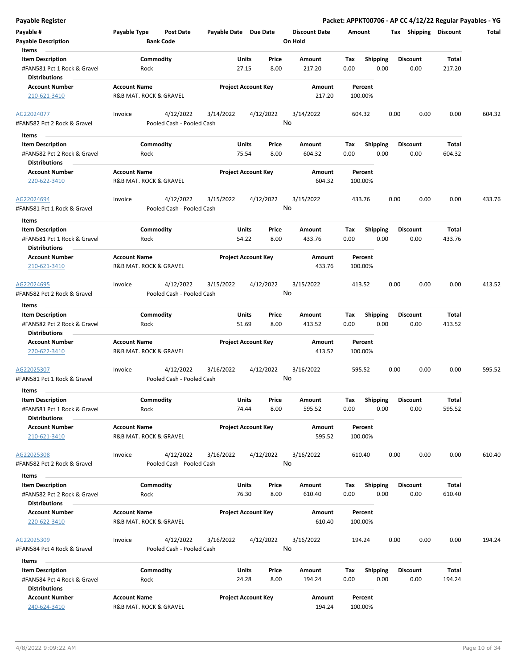| <b>Payable Register</b>                                                                 |                     |                                        |                       |                            |               |                                 |             |                         |      |                         |                 | Packet: APPKT00706 - AP CC 4/12/22 Regular Payables - YG |
|-----------------------------------------------------------------------------------------|---------------------|----------------------------------------|-----------------------|----------------------------|---------------|---------------------------------|-------------|-------------------------|------|-------------------------|-----------------|----------------------------------------------------------|
| Payable #<br><b>Payable Description</b>                                                 | Payable Type        | <b>Post Date</b><br><b>Bank Code</b>   | Payable Date Due Date |                            |               | <b>Discount Date</b><br>On Hold | Amount      |                         |      | Tax Shipping Discount   |                 | Total                                                    |
| Items<br><b>Item Description</b><br>#FAN581 Pct 1 Rock & Gravel                         |                     | Commodity<br>Rock                      |                       | Units<br>27.15             | Price<br>8.00 | Amount<br>217.20                | Tax<br>0.00 | <b>Shipping</b><br>0.00 |      | <b>Discount</b><br>0.00 | Total<br>217.20 |                                                          |
| <b>Distributions</b><br><b>Account Number</b><br>210-621-3410                           | <b>Account Name</b> | R&B MAT. ROCK & GRAVEL                 |                       | <b>Project Account Key</b> |               | Amount<br>217.20                |             | Percent<br>100.00%      |      |                         |                 |                                                          |
| AG22024077<br>#FAN582 Pct 2 Rock & Gravel                                               | Invoice             | 4/12/2022<br>Pooled Cash - Pooled Cash | 3/14/2022             | 4/12/2022                  |               | 3/14/2022<br>No                 | 604.32      |                         | 0.00 | 0.00                    | 0.00            | 604.32                                                   |
| Items                                                                                   |                     |                                        |                       |                            |               |                                 |             |                         |      |                         |                 |                                                          |
| <b>Item Description</b><br>#FAN582 Pct 2 Rock & Gravel<br><b>Distributions</b>          |                     | Commodity<br>Rock                      |                       | Units<br>75.54             | Price<br>8.00 | Amount<br>604.32                | Tax<br>0.00 | <b>Shipping</b><br>0.00 |      | <b>Discount</b><br>0.00 | Total<br>604.32 |                                                          |
| <b>Account Number</b><br>220-622-3410                                                   | <b>Account Name</b> | R&B MAT. ROCK & GRAVEL                 |                       | <b>Project Account Key</b> |               | Amount<br>604.32                |             | Percent<br>100.00%      |      |                         |                 |                                                          |
| AG22024694<br>#FAN581 Pct 1 Rock & Gravel                                               | Invoice             | 4/12/2022<br>Pooled Cash - Pooled Cash | 3/15/2022             | 4/12/2022                  |               | 3/15/2022<br>No                 | 433.76      |                         | 0.00 | 0.00                    | 0.00            | 433.76                                                   |
| Items<br><b>Item Description</b><br>#FAN581 Pct 1 Rock & Gravel<br><b>Distributions</b> |                     | Commodity<br>Rock                      |                       | Units<br>54.22             | Price<br>8.00 | Amount<br>433.76                | Tax<br>0.00 | <b>Shipping</b><br>0.00 |      | <b>Discount</b><br>0.00 | Total<br>433.76 |                                                          |
| <b>Account Number</b><br>210-621-3410                                                   | <b>Account Name</b> | R&B MAT. ROCK & GRAVEL                 |                       | <b>Project Account Key</b> |               | Amount<br>433.76                |             | Percent<br>100.00%      |      |                         |                 |                                                          |
| AG22024695<br>#FAN582 Pct 2 Rock & Gravel                                               | Invoice             | 4/12/2022<br>Pooled Cash - Pooled Cash | 3/15/2022             | 4/12/2022                  |               | 3/15/2022<br>No                 | 413.52      |                         | 0.00 | 0.00                    | 0.00            | 413.52                                                   |
| Items                                                                                   |                     |                                        |                       |                            |               |                                 |             |                         |      |                         |                 |                                                          |
| <b>Item Description</b><br>#FAN582 Pct 2 Rock & Gravel<br><b>Distributions</b>          |                     | Commodity<br>Rock                      |                       | <b>Units</b><br>51.69      | Price<br>8.00 | Amount<br>413.52                | Tax<br>0.00 | <b>Shipping</b><br>0.00 |      | <b>Discount</b><br>0.00 | Total<br>413.52 |                                                          |
| <b>Account Number</b><br>220-622-3410                                                   | <b>Account Name</b> | R&B MAT. ROCK & GRAVEL                 |                       | <b>Project Account Key</b> |               | Amount<br>413.52                |             | Percent<br>100.00%      |      |                         |                 |                                                          |
| AG22025307<br>#FAN581 Pct 1 Rock & Gravel                                               | Invoice             | 4/12/2022<br>Pooled Cash - Pooled Cash | 3/16/2022             | 4/12/2022                  | No            | 3/16/2022                       | 595.52      |                         | 0.00 | 0.00                    | 0.00            | 595.52                                                   |
| Items<br><b>Item Description</b>                                                        |                     | Commodity                              |                       | <b>Units</b>               | Price         | Amount                          | Tax         | Shipping                |      | <b>Discount</b>         | Total           |                                                          |
| #FAN581 Pct 1 Rock & Gravel<br><b>Distributions</b>                                     |                     | Rock                                   |                       | 74.44                      | 8.00          | 595.52                          | 0.00        | 0.00                    |      | 0.00                    | 595.52          |                                                          |
| <b>Account Number</b><br>210-621-3410                                                   | <b>Account Name</b> | R&B MAT. ROCK & GRAVEL                 |                       | <b>Project Account Key</b> |               | Amount<br>595.52                |             | Percent<br>100.00%      |      |                         |                 |                                                          |
| AG22025308<br>#FAN582 Pct 2 Rock & Gravel                                               | Invoice             | 4/12/2022<br>Pooled Cash - Pooled Cash | 3/16/2022             | 4/12/2022                  |               | 3/16/2022<br>No                 | 610.40      |                         | 0.00 | 0.00                    | 0.00            | 610.40                                                   |
| Items                                                                                   |                     |                                        |                       |                            |               |                                 |             |                         |      |                         |                 |                                                          |
| <b>Item Description</b><br>#FAN582 Pct 2 Rock & Gravel<br><b>Distributions</b>          |                     | Commodity<br>Rock                      |                       | Units<br>76.30             | Price<br>8.00 | Amount<br>610.40                | Tax<br>0.00 | Shipping<br>0.00        |      | <b>Discount</b><br>0.00 | Total<br>610.40 |                                                          |
| <b>Account Number</b><br>220-622-3410                                                   | <b>Account Name</b> | R&B MAT. ROCK & GRAVEL                 |                       | <b>Project Account Key</b> |               | Amount<br>610.40                |             | Percent<br>100.00%      |      |                         |                 |                                                          |
| AG22025309<br>#FAN584 Pct 4 Rock & Gravel                                               | Invoice             | 4/12/2022<br>Pooled Cash - Pooled Cash | 3/16/2022             | 4/12/2022                  | No            | 3/16/2022                       | 194.24      |                         | 0.00 | 0.00                    | 0.00            | 194.24                                                   |
| Items                                                                                   |                     |                                        |                       |                            |               |                                 |             |                         |      |                         |                 |                                                          |
| <b>Item Description</b><br>#FAN584 Pct 4 Rock & Gravel<br><b>Distributions</b>          |                     | Commodity<br>Rock                      |                       | Units<br>24.28             | Price<br>8.00 | Amount<br>194.24                | Tax<br>0.00 | <b>Shipping</b><br>0.00 |      | <b>Discount</b><br>0.00 | Total<br>194.24 |                                                          |
| <b>Account Number</b><br>240-624-3410                                                   | <b>Account Name</b> | R&B MAT. ROCK & GRAVEL                 |                       | <b>Project Account Key</b> |               | Amount<br>194.24                |             | Percent<br>100.00%      |      |                         |                 |                                                          |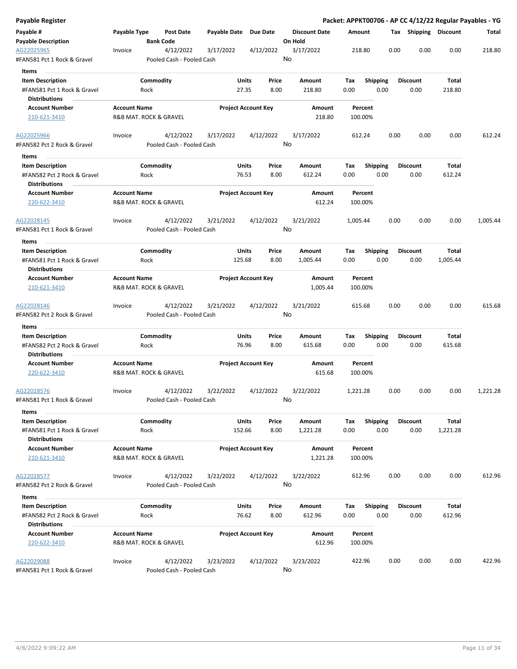| Payable Register                                    |                                               |                  |                           |                       |                            |           |                                 |          |                    |      |      |                       |          | Packet: APPKT00706 - AP CC 4/12/22 Regular Payables - YG |
|-----------------------------------------------------|-----------------------------------------------|------------------|---------------------------|-----------------------|----------------------------|-----------|---------------------------------|----------|--------------------|------|------|-----------------------|----------|----------------------------------------------------------|
| Payable #<br><b>Payable Description</b>             | Payable Type                                  | <b>Bank Code</b> | Post Date                 | Payable Date Due Date |                            |           | <b>Discount Date</b><br>On Hold | Amount   |                    |      |      | Tax Shipping Discount |          | Total                                                    |
| AG22025965                                          | Invoice                                       |                  | 4/12/2022                 | 3/17/2022             |                            | 4/12/2022 | 3/17/2022                       |          | 218.80             |      | 0.00 | 0.00                  | 0.00     | 218.80                                                   |
| #FAN581 Pct 1 Rock & Gravel                         |                                               |                  | Pooled Cash - Pooled Cash |                       |                            |           | No                              |          |                    |      |      |                       |          |                                                          |
| Items                                               |                                               |                  |                           |                       |                            |           |                                 |          |                    |      |      |                       |          |                                                          |
| <b>Item Description</b>                             |                                               | Commodity        |                           |                       | Units                      | Price     | Amount                          | Tax      | <b>Shipping</b>    |      |      | <b>Discount</b>       | Total    |                                                          |
| #FAN581 Pct 1 Rock & Gravel<br><b>Distributions</b> |                                               | Rock             |                           |                       | 27.35                      | 8.00      | 218.80                          | 0.00     |                    | 0.00 |      | 0.00                  | 218.80   |                                                          |
| <b>Account Number</b>                               | <b>Account Name</b>                           |                  |                           |                       | <b>Project Account Key</b> |           | Amount                          |          | Percent            |      |      |                       |          |                                                          |
| 210-621-3410                                        | R&B MAT. ROCK & GRAVEL                        |                  |                           |                       |                            |           | 218.80                          |          | 100.00%            |      |      |                       |          |                                                          |
| AG22025966                                          | Invoice                                       |                  | 4/12/2022                 | 3/17/2022             |                            | 4/12/2022 | 3/17/2022                       |          | 612.24             |      | 0.00 | 0.00                  | 0.00     | 612.24                                                   |
| #FAN582 Pct 2 Rock & Gravel<br>Items                |                                               |                  | Pooled Cash - Pooled Cash |                       |                            |           | No                              |          |                    |      |      |                       |          |                                                          |
| <b>Item Description</b>                             |                                               | Commodity        |                           |                       | <b>Units</b>               | Price     | Amount                          | Tax      |                    |      |      | <b>Discount</b>       | Total    |                                                          |
| #FAN582 Pct 2 Rock & Gravel                         |                                               | Rock             |                           |                       | 76.53                      | 8.00      | 612.24                          | 0.00     | <b>Shipping</b>    | 0.00 |      | 0.00                  | 612.24   |                                                          |
| <b>Distributions</b><br><b>Account Number</b>       | <b>Account Name</b>                           |                  |                           |                       | <b>Project Account Key</b> |           | Amount                          |          | Percent            |      |      |                       |          |                                                          |
| 220-622-3410                                        | R&B MAT. ROCK & GRAVEL                        |                  |                           |                       |                            |           | 612.24                          |          | 100.00%            |      |      |                       |          |                                                          |
| AG22028145                                          | Invoice                                       |                  | 4/12/2022                 | 3/21/2022             |                            | 4/12/2022 | 3/21/2022                       | 1,005.44 |                    |      | 0.00 | 0.00                  | 0.00     | 1,005.44                                                 |
| #FAN581 Pct 1 Rock & Gravel                         |                                               |                  | Pooled Cash - Pooled Cash |                       |                            |           | No                              |          |                    |      |      |                       |          |                                                          |
| Items                                               |                                               |                  |                           |                       |                            |           |                                 |          |                    |      |      |                       |          |                                                          |
| <b>Item Description</b>                             |                                               | Commodity        |                           |                       | Units                      | Price     | Amount                          | Tax      | <b>Shipping</b>    |      |      | <b>Discount</b>       | Total    |                                                          |
| #FAN581 Pct 1 Rock & Gravel                         |                                               | Rock             |                           |                       | 125.68                     | 8.00      | 1,005.44                        | 0.00     |                    | 0.00 |      | 0.00                  | 1,005.44 |                                                          |
| <b>Distributions</b>                                |                                               |                  |                           |                       |                            |           |                                 |          |                    |      |      |                       |          |                                                          |
| <b>Account Number</b>                               | <b>Account Name</b>                           |                  |                           |                       | <b>Project Account Key</b> |           | Amount                          |          | Percent            |      |      |                       |          |                                                          |
| 210-621-3410                                        | R&B MAT. ROCK & GRAVEL                        |                  |                           |                       |                            |           | 1,005.44                        |          | 100.00%            |      |      |                       |          |                                                          |
| AG22028146                                          | Invoice                                       |                  | 4/12/2022                 | 3/21/2022             |                            | 4/12/2022 | 3/21/2022                       |          | 615.68             |      | 0.00 | 0.00                  | 0.00     | 615.68                                                   |
| #FAN582 Pct 2 Rock & Gravel                         |                                               |                  | Pooled Cash - Pooled Cash |                       |                            |           | No                              |          |                    |      |      |                       |          |                                                          |
| Items<br><b>Item Description</b>                    |                                               | Commodity        |                           |                       | <b>Units</b>               | Price     | Amount                          | Тах      | <b>Shipping</b>    |      |      | <b>Discount</b>       | Total    |                                                          |
| #FAN582 Pct 2 Rock & Gravel                         |                                               | Rock             |                           |                       | 76.96                      | 8.00      | 615.68                          | 0.00     |                    | 0.00 |      | 0.00                  | 615.68   |                                                          |
| <b>Distributions</b>                                |                                               |                  |                           |                       |                            |           |                                 |          |                    |      |      |                       |          |                                                          |
| <b>Account Number</b>                               | <b>Account Name</b>                           |                  |                           |                       | <b>Project Account Key</b> |           | Amount                          |          | Percent            |      |      |                       |          |                                                          |
| 220-622-3410                                        | R&B MAT. ROCK & GRAVEL                        |                  |                           |                       |                            |           | 615.68                          |          | 100.00%            |      |      |                       |          |                                                          |
| AG22028576                                          | Invoice                                       |                  | 4/12/2022                 | 3/22/2022             |                            | 4/12/2022 | 3/22/2022                       | 1,221.28 |                    |      | 0.00 | 0.00                  | 0.00     | 1,221.28                                                 |
| #FAN581 Pct 1 Rock & Gravel<br>Items                |                                               |                  | Pooled Cash - Pooled Cash |                       |                            |           | No                              |          |                    |      |      |                       |          |                                                          |
| <b>Item Description</b>                             |                                               | Commodity        |                           |                       | Units                      | Price     | Amount                          | Tax      | Shipping           |      |      | <b>Discount</b>       | Total    |                                                          |
| #FAN581 Pct 1 Rock & Gravel                         |                                               | Rock             |                           |                       | 152.66                     | 8.00      | 1,221.28                        | 0.00     |                    | 0.00 |      | 0.00                  | 1,221.28 |                                                          |
| <b>Distributions</b>                                |                                               |                  |                           |                       |                            |           |                                 |          |                    |      |      |                       |          |                                                          |
| <b>Account Number</b><br>210-621-3410               | <b>Account Name</b><br>R&B MAT. ROCK & GRAVEL |                  |                           |                       | <b>Project Account Key</b> |           | Amount<br>1,221.28              |          | Percent<br>100.00% |      |      |                       |          |                                                          |
| AG22028577                                          | Invoice                                       |                  | 4/12/2022                 | 3/22/2022             |                            | 4/12/2022 | 3/22/2022                       |          | 612.96             |      | 0.00 | 0.00                  | 0.00     | 612.96                                                   |
| #FAN582 Pct 2 Rock & Gravel                         |                                               |                  | Pooled Cash - Pooled Cash |                       |                            |           | No                              |          |                    |      |      |                       |          |                                                          |
|                                                     |                                               |                  |                           |                       |                            |           |                                 |          |                    |      |      |                       |          |                                                          |
| Items                                               |                                               |                  |                           |                       |                            |           |                                 |          |                    |      |      |                       |          |                                                          |
| <b>Item Description</b>                             |                                               | Commodity        |                           |                       | Units                      | Price     | Amount                          | Tax      | <b>Shipping</b>    |      |      | <b>Discount</b>       | Total    |                                                          |
| #FAN582 Pct 2 Rock & Gravel                         |                                               | Rock             |                           |                       | 76.62                      | 8.00      | 612.96                          | 0.00     |                    | 0.00 |      | 0.00                  | 612.96   |                                                          |
| <b>Distributions</b>                                |                                               |                  |                           |                       |                            |           |                                 |          |                    |      |      |                       |          |                                                          |
| <b>Account Number</b><br>220-622-3410               | <b>Account Name</b><br>R&B MAT. ROCK & GRAVEL |                  |                           |                       | <b>Project Account Key</b> |           | Amount<br>612.96                |          | Percent<br>100.00% |      |      |                       |          |                                                          |
| AG22029088                                          | Invoice                                       |                  | 4/12/2022                 | 3/23/2022             |                            | 4/12/2022 | 3/23/2022                       |          | 422.96             |      | 0.00 | 0.00                  | 0.00     | 422.96                                                   |
| #FAN581 Pct 1 Rock & Gravel                         |                                               |                  | Pooled Cash - Pooled Cash |                       |                            |           | No                              |          |                    |      |      |                       |          |                                                          |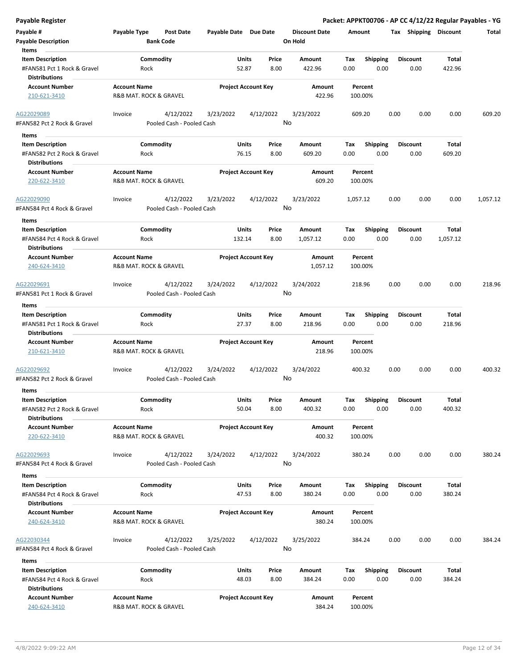| <b>Payable Register</b>                                                                 |                                               |                                        |                            |                       |                 |                                 |             |                         |      |                         |                        | Packet: APPKT00706 - AP CC 4/12/22 Regular Payables - YG |
|-----------------------------------------------------------------------------------------|-----------------------------------------------|----------------------------------------|----------------------------|-----------------------|-----------------|---------------------------------|-------------|-------------------------|------|-------------------------|------------------------|----------------------------------------------------------|
| Payable #<br><b>Payable Description</b>                                                 | <b>Payable Type</b>                           | <b>Post Date</b><br><b>Bank Code</b>   | Payable Date Due Date      |                       |                 | <b>Discount Date</b><br>On Hold | Amount      |                         |      | Tax Shipping Discount   |                        | Total                                                    |
| Items<br><b>Item Description</b><br>#FAN581 Pct 1 Rock & Gravel<br><b>Distributions</b> | Rock                                          | Commodity                              |                            | Units<br>52.87        | Price<br>8.00   | Amount<br>422.96                | Tax<br>0.00 | <b>Shipping</b><br>0.00 |      | <b>Discount</b><br>0.00 | Total<br>422.96        |                                                          |
| <b>Account Number</b><br>210-621-3410                                                   | <b>Account Name</b><br>R&B MAT. ROCK & GRAVEL |                                        | <b>Project Account Key</b> |                       |                 | Amount<br>422.96                |             | Percent<br>100.00%      |      |                         |                        |                                                          |
| AG22029089<br>#FAN582 Pct 2 Rock & Gravel                                               | Invoice                                       | 4/12/2022<br>Pooled Cash - Pooled Cash | 3/23/2022                  |                       | 4/12/2022<br>No | 3/23/2022                       |             | 609.20                  | 0.00 | 0.00                    | 0.00                   | 609.20                                                   |
| Items                                                                                   |                                               |                                        |                            |                       |                 |                                 |             |                         |      |                         |                        |                                                          |
| <b>Item Description</b><br>#FAN582 Pct 2 Rock & Gravel<br><b>Distributions</b>          | Rock                                          | Commodity                              |                            | Units<br>76.15        | Price<br>8.00   | Amount<br>609.20                | Tax<br>0.00 | <b>Shipping</b><br>0.00 |      | <b>Discount</b><br>0.00 | Total<br>609.20        |                                                          |
| <b>Account Number</b><br>220-622-3410                                                   | <b>Account Name</b><br>R&B MAT. ROCK & GRAVEL |                                        | <b>Project Account Key</b> |                       |                 | Amount<br>609.20                |             | Percent<br>100.00%      |      |                         |                        |                                                          |
| AG22029090<br>#FAN584 Pct 4 Rock & Gravel                                               | Invoice                                       | 4/12/2022<br>Pooled Cash - Pooled Cash | 3/23/2022                  |                       | 4/12/2022<br>No | 3/23/2022                       | 1,057.12    |                         | 0.00 | 0.00                    | 0.00                   | 1,057.12                                                 |
| Items<br><b>Item Description</b><br>#FAN584 Pct 4 Rock & Gravel<br><b>Distributions</b> | Rock                                          | Commodity                              |                            | Units<br>132.14       | Price<br>8.00   | Amount<br>1,057.12              | Tax<br>0.00 | <b>Shipping</b><br>0.00 |      | <b>Discount</b><br>0.00 | Total<br>1,057.12      |                                                          |
| <b>Account Number</b><br>240-624-3410                                                   | <b>Account Name</b><br>R&B MAT. ROCK & GRAVEL |                                        | <b>Project Account Key</b> |                       |                 | Amount<br>1,057.12              |             | Percent<br>100.00%      |      |                         |                        |                                                          |
| AG22029691<br>#FAN581 Pct 1 Rock & Gravel                                               | Invoice                                       | 4/12/2022<br>Pooled Cash - Pooled Cash | 3/24/2022                  |                       | 4/12/2022<br>No | 3/24/2022                       |             | 218.96                  | 0.00 | 0.00                    | 0.00                   | 218.96                                                   |
| Items                                                                                   |                                               |                                        |                            |                       |                 |                                 |             |                         |      |                         |                        |                                                          |
| <b>Item Description</b><br>#FAN581 Pct 1 Rock & Gravel<br><b>Distributions</b>          | Rock                                          | Commodity                              |                            | <b>Units</b><br>27.37 | Price<br>8.00   | Amount<br>218.96                | Tax<br>0.00 | <b>Shipping</b><br>0.00 |      | <b>Discount</b><br>0.00 | <b>Total</b><br>218.96 |                                                          |
| <b>Account Number</b><br>210-621-3410                                                   | <b>Account Name</b><br>R&B MAT. ROCK & GRAVEL |                                        | <b>Project Account Key</b> |                       |                 | <b>Amount</b><br>218.96         |             | Percent<br>100.00%      |      |                         |                        |                                                          |
| AG22029692<br>#FAN582 Pct 2 Rock & Gravel                                               | Invoice                                       | 4/12/2022<br>Pooled Cash - Pooled Cash | 3/24/2022                  |                       | 4/12/2022<br>No | 3/24/2022                       |             | 400.32                  | 0.00 | 0.00                    | 0.00                   | 400.32                                                   |
| Items<br><b>Item Description</b><br>#FAN582 Pct 2 Rock & Gravel                         | Rock                                          | Commodity                              |                            | Units<br>50.04        | Price<br>8.00   | Amount<br>400.32                | Tax<br>0.00 | Shipping<br>0.00        |      | <b>Discount</b><br>0.00 | Total<br>400.32        |                                                          |
| <b>Distributions</b><br><b>Account Number</b><br>220-622-3410                           | <b>Account Name</b><br>R&B MAT. ROCK & GRAVEL |                                        | <b>Project Account Key</b> |                       |                 | Amount<br>400.32                |             | Percent<br>100.00%      |      |                         |                        |                                                          |
| AG22029693<br>#FAN584 Pct 4 Rock & Gravel                                               | Invoice                                       | 4/12/2022<br>Pooled Cash - Pooled Cash | 3/24/2022                  |                       | 4/12/2022<br>No | 3/24/2022                       |             | 380.24                  | 0.00 | 0.00                    | 0.00                   | 380.24                                                   |
| Items                                                                                   |                                               |                                        |                            |                       |                 |                                 |             |                         |      |                         |                        |                                                          |
| <b>Item Description</b><br>#FAN584 Pct 4 Rock & Gravel<br><b>Distributions</b>          | Rock                                          | Commodity                              |                            | Units<br>47.53        | Price<br>8.00   | Amount<br>380.24                | Тах<br>0.00 | <b>Shipping</b><br>0.00 |      | <b>Discount</b><br>0.00 | Total<br>380.24        |                                                          |
| <b>Account Number</b><br>240-624-3410                                                   | <b>Account Name</b><br>R&B MAT. ROCK & GRAVEL |                                        | <b>Project Account Key</b> |                       |                 | Amount<br>380.24                |             | Percent<br>100.00%      |      |                         |                        |                                                          |
| AG22030344<br>#FAN584 Pct 4 Rock & Gravel                                               | Invoice                                       | 4/12/2022<br>Pooled Cash - Pooled Cash | 3/25/2022                  |                       | 4/12/2022<br>No | 3/25/2022                       |             | 384.24                  | 0.00 | 0.00                    | 0.00                   | 384.24                                                   |
| Items                                                                                   |                                               |                                        |                            |                       |                 |                                 |             |                         |      |                         |                        |                                                          |
| <b>Item Description</b><br>#FAN584 Pct 4 Rock & Gravel<br><b>Distributions</b>          | Rock                                          | Commodity                              |                            | Units<br>48.03        | Price<br>8.00   | Amount<br>384.24                | Tax<br>0.00 | <b>Shipping</b><br>0.00 |      | <b>Discount</b><br>0.00 | Total<br>384.24        |                                                          |
| <b>Account Number</b><br>240-624-3410                                                   | <b>Account Name</b><br>R&B MAT. ROCK & GRAVEL |                                        | <b>Project Account Key</b> |                       |                 | Amount<br>384.24                |             | Percent<br>100.00%      |      |                         |                        |                                                          |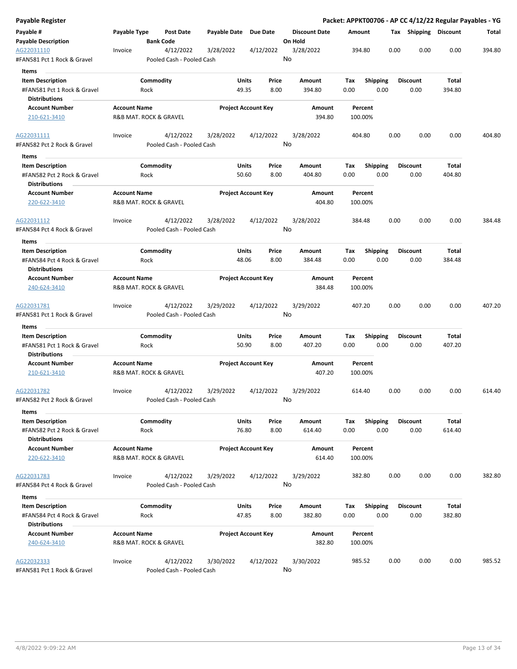| Payable Register                                    |                     |                                        |                       |                            |                                 |                    |                 |      |                       | Packet: APPKT00706 - AP CC 4/12/22 Regular Payables - YG |        |
|-----------------------------------------------------|---------------------|----------------------------------------|-----------------------|----------------------------|---------------------------------|--------------------|-----------------|------|-----------------------|----------------------------------------------------------|--------|
| Payable #<br><b>Payable Description</b>             | Payable Type        | Post Date<br><b>Bank Code</b>          | Payable Date Due Date |                            | <b>Discount Date</b><br>On Hold | Amount             |                 |      | Tax Shipping Discount |                                                          | Total  |
| AG22031110<br>#FAN581 Pct 1 Rock & Gravel           | Invoice             | 4/12/2022<br>Pooled Cash - Pooled Cash | 3/28/2022             | 4/12/2022                  | 3/28/2022<br>No                 | 394.80             |                 | 0.00 | 0.00                  | 0.00                                                     | 394.80 |
| Items                                               |                     |                                        |                       |                            |                                 |                    |                 |      |                       |                                                          |        |
| <b>Item Description</b>                             |                     | Commodity                              | Units                 | Price                      | Amount                          | Tax                | <b>Shipping</b> |      | <b>Discount</b>       | Total                                                    |        |
| #FAN581 Pct 1 Rock & Gravel                         |                     | Rock                                   | 49.35                 | 8.00                       | 394.80                          | 0.00               | 0.00            |      | 0.00                  | 394.80                                                   |        |
| <b>Distributions</b>                                |                     |                                        |                       |                            |                                 |                    |                 |      |                       |                                                          |        |
| <b>Account Number</b>                               | <b>Account Name</b> |                                        |                       | <b>Project Account Key</b> | Amount                          | Percent            |                 |      |                       |                                                          |        |
| 210-621-3410                                        |                     | R&B MAT. ROCK & GRAVEL                 |                       |                            | 394.80                          | 100.00%            |                 |      |                       |                                                          |        |
| AG22031111                                          | Invoice             | 4/12/2022                              | 3/28/2022             | 4/12/2022                  | 3/28/2022                       | 404.80             |                 | 0.00 | 0.00                  | 0.00                                                     | 404.80 |
| #FAN582 Pct 2 Rock & Gravel<br>Items                |                     | Pooled Cash - Pooled Cash              |                       |                            | No                              |                    |                 |      |                       |                                                          |        |
| <b>Item Description</b>                             |                     | Commodity                              | Units                 | Price                      | Amount                          | Tax                | <b>Shipping</b> |      | <b>Discount</b>       | Total                                                    |        |
| #FAN582 Pct 2 Rock & Gravel<br><b>Distributions</b> |                     | Rock                                   | 50.60                 | 8.00                       | 404.80                          | 0.00               | 0.00            |      | 0.00                  | 404.80                                                   |        |
| <b>Account Number</b>                               | <b>Account Name</b> |                                        |                       | <b>Project Account Key</b> | Amount                          | Percent            |                 |      |                       |                                                          |        |
| 220-622-3410                                        |                     | R&B MAT. ROCK & GRAVEL                 |                       |                            | 404.80                          | 100.00%            |                 |      |                       |                                                          |        |
| AG22031112                                          | Invoice             | 4/12/2022                              | 3/28/2022             | 4/12/2022                  | 3/28/2022                       | 384.48             |                 | 0.00 | 0.00                  | 0.00                                                     | 384.48 |
| #FAN584 Pct 4 Rock & Gravel                         |                     | Pooled Cash - Pooled Cash              |                       |                            | No                              |                    |                 |      |                       |                                                          |        |
| Items                                               |                     |                                        |                       |                            |                                 |                    |                 |      |                       |                                                          |        |
| <b>Item Description</b>                             |                     | Commodity                              | Units                 | Price                      | Amount                          | Tax                | <b>Shipping</b> |      | <b>Discount</b>       | Total                                                    |        |
| #FAN584 Pct 4 Rock & Gravel<br><b>Distributions</b> |                     | Rock                                   | 48.06                 | 8.00                       | 384.48                          | 0.00               | 0.00            |      | 0.00                  | 384.48                                                   |        |
| <b>Account Number</b>                               | <b>Account Name</b> |                                        |                       | <b>Project Account Key</b> | Amount                          | Percent            |                 |      |                       |                                                          |        |
| 240-624-3410                                        |                     | R&B MAT. ROCK & GRAVEL                 |                       |                            | 384.48                          | 100.00%            |                 |      |                       |                                                          |        |
| AG22031781                                          | Invoice             | 4/12/2022                              | 3/29/2022             | 4/12/2022                  | 3/29/2022                       | 407.20             |                 | 0.00 | 0.00                  | 0.00                                                     | 407.20 |
| #FAN581 Pct 1 Rock & Gravel                         |                     | Pooled Cash - Pooled Cash              |                       |                            | No                              |                    |                 |      |                       |                                                          |        |
| Items                                               |                     |                                        |                       |                            |                                 |                    |                 |      |                       |                                                          |        |
| <b>Item Description</b>                             |                     | Commodity                              | Units                 | Price                      | Amount                          | Tax                | <b>Shipping</b> |      | <b>Discount</b>       | Total                                                    |        |
| #FAN581 Pct 1 Rock & Gravel                         |                     | Rock                                   | 50.90                 | 8.00                       | 407.20                          | 0.00               | 0.00            |      | 0.00                  | 407.20                                                   |        |
| <b>Distributions</b>                                |                     |                                        |                       |                            |                                 |                    |                 |      |                       |                                                          |        |
| <b>Account Number</b><br>210-621-3410               | <b>Account Name</b> | R&B MAT. ROCK & GRAVEL                 |                       | <b>Project Account Key</b> | Amount<br>407.20                | Percent<br>100.00% |                 |      |                       |                                                          |        |
| AG22031782                                          | Invoice             | 4/12/2022                              | 3/29/2022             | 4/12/2022                  | 3/29/2022                       | 614.40             |                 | 0.00 | 0.00                  | 0.00                                                     | 614.40 |
| #FAN582 Pct 2 Rock & Gravel                         |                     | Pooled Cash - Pooled Cash              |                       |                            | No                              |                    |                 |      |                       |                                                          |        |
| Items<br><b>Item Description</b>                    |                     | Commodity                              | Units                 | Price                      | Amount                          | Tax                | Shipping        |      | <b>Discount</b>       | Total                                                    |        |
| #FAN582 Pct 2 Rock & Gravel                         |                     | Rock                                   | 76.80                 | 8.00                       | 614.40                          | 0.00               | 0.00            |      | 0.00                  | 614.40                                                   |        |
| <b>Distributions</b>                                |                     |                                        |                       |                            |                                 |                    |                 |      |                       |                                                          |        |
| <b>Account Number</b><br>220-622-3410               | <b>Account Name</b> | R&B MAT. ROCK & GRAVEL                 |                       | <b>Project Account Key</b> | Amount<br>614.40                | Percent<br>100.00% |                 |      |                       |                                                          |        |
| AG22031783                                          | Invoice             | 4/12/2022                              | 3/29/2022             | 4/12/2022                  | 3/29/2022                       | 382.80             |                 | 0.00 | 0.00                  | 0.00                                                     | 382.80 |
| #FAN584 Pct 4 Rock & Gravel                         |                     | Pooled Cash - Pooled Cash              |                       |                            | No                              |                    |                 |      |                       |                                                          |        |
| Items                                               |                     |                                        |                       |                            |                                 |                    |                 |      |                       |                                                          |        |
| <b>Item Description</b>                             |                     | Commodity                              | Units                 | Price                      | Amount                          | Тах                | <b>Shipping</b> |      | <b>Discount</b>       | Total                                                    |        |
| #FAN584 Pct 4 Rock & Gravel<br><b>Distributions</b> |                     | Rock                                   | 47.85                 | 8.00                       | 382.80                          | 0.00               | 0.00            |      | 0.00                  | 382.80                                                   |        |
| <b>Account Number</b>                               | <b>Account Name</b> |                                        |                       | <b>Project Account Key</b> | Amount                          | Percent            |                 |      |                       |                                                          |        |
| 240-624-3410                                        |                     | R&B MAT. ROCK & GRAVEL                 |                       |                            | 382.80                          | 100.00%            |                 |      |                       |                                                          |        |
| AG22032333                                          | Invoice             | 4/12/2022                              | 3/30/2022             | 4/12/2022                  | 3/30/2022                       | 985.52             |                 | 0.00 | 0.00                  | 0.00                                                     | 985.52 |
| #FAN581 Pct 1 Rock & Gravel                         |                     | Pooled Cash - Pooled Cash              |                       |                            | No                              |                    |                 |      |                       |                                                          |        |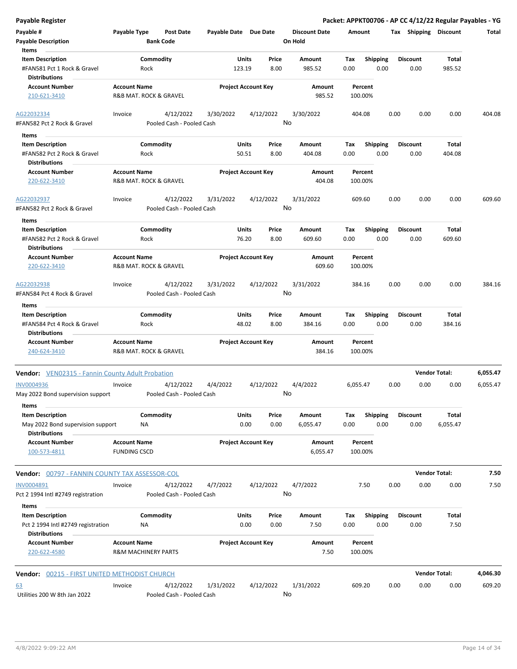| <b>Payable Register</b>                                                        |                                            |                                      |                       |                            |               |                                 |             |                         |      |                         | Packet: APPKT00706 - AP CC 4/12/22 Regular Payables - YG |          |
|--------------------------------------------------------------------------------|--------------------------------------------|--------------------------------------|-----------------------|----------------------------|---------------|---------------------------------|-------------|-------------------------|------|-------------------------|----------------------------------------------------------|----------|
| Payable #<br><b>Payable Description</b>                                        | Payable Type                               | <b>Post Date</b><br><b>Bank Code</b> | Payable Date Due Date |                            |               | <b>Discount Date</b><br>On Hold | Amount      |                         |      |                         | Tax Shipping Discount                                    | Total    |
| Items                                                                          |                                            |                                      |                       |                            |               |                                 |             |                         |      |                         |                                                          |          |
| <b>Item Description</b><br>#FAN581 Pct 1 Rock & Gravel<br><b>Distributions</b> | Rock                                       | Commodity                            |                       | Units<br>123.19            | Price<br>8.00 | Amount<br>985.52                | Tax<br>0.00 | <b>Shipping</b><br>0.00 |      | <b>Discount</b><br>0.00 | Total<br>985.52                                          |          |
| <b>Account Number</b>                                                          | <b>Account Name</b>                        |                                      |                       | <b>Project Account Key</b> |               | Amount                          |             | Percent                 |      |                         |                                                          |          |
| 210-621-3410                                                                   |                                            | R&B MAT. ROCK & GRAVEL               |                       |                            |               | 985.52                          | 100.00%     |                         |      |                         |                                                          |          |
| AG22032334                                                                     | Invoice                                    | 4/12/2022                            | 3/30/2022             |                            | 4/12/2022     | 3/30/2022                       | 404.08      |                         | 0.00 | 0.00                    | 0.00                                                     | 404.08   |
| #FAN582 Pct 2 Rock & Gravel                                                    |                                            | Pooled Cash - Pooled Cash            |                       |                            | No            |                                 |             |                         |      |                         |                                                          |          |
| Items                                                                          |                                            |                                      |                       |                            |               |                                 |             |                         |      |                         |                                                          |          |
| <b>Item Description</b>                                                        |                                            | Commodity                            |                       | <b>Units</b>               | Price         | Amount                          | Tax         | <b>Shipping</b>         |      | <b>Discount</b>         | Total                                                    |          |
| #FAN582 Pct 2 Rock & Gravel                                                    | Rock                                       |                                      |                       | 50.51                      | 8.00          | 404.08                          | 0.00        | 0.00                    |      | 0.00                    | 404.08                                                   |          |
| <b>Distributions</b>                                                           |                                            |                                      |                       |                            |               |                                 |             |                         |      |                         |                                                          |          |
| <b>Account Number</b>                                                          | <b>Account Name</b>                        |                                      |                       | <b>Project Account Key</b> |               | Amount                          |             | Percent                 |      |                         |                                                          |          |
| 220-622-3410                                                                   |                                            | R&B MAT. ROCK & GRAVEL               |                       |                            |               | 404.08                          | 100.00%     |                         |      |                         |                                                          |          |
| AG22032937                                                                     | Invoice                                    | 4/12/2022                            | 3/31/2022             |                            | 4/12/2022     | 3/31/2022                       | 609.60      |                         | 0.00 | 0.00                    | 0.00                                                     | 609.60   |
| #FAN582 Pct 2 Rock & Gravel                                                    |                                            | Pooled Cash - Pooled Cash            |                       |                            | No            |                                 |             |                         |      |                         |                                                          |          |
| Items                                                                          |                                            |                                      |                       |                            |               |                                 |             |                         |      |                         |                                                          |          |
| <b>Item Description</b>                                                        |                                            | Commodity                            |                       | Units                      | Price         | Amount                          | Tax         | <b>Shipping</b>         |      | <b>Discount</b>         | Total                                                    |          |
| #FAN582 Pct 2 Rock & Gravel                                                    | Rock                                       |                                      |                       | 76.20                      | 8.00          | 609.60                          | 0.00        | 0.00                    |      | 0.00                    | 609.60                                                   |          |
| <b>Distributions</b>                                                           |                                            |                                      |                       |                            |               |                                 |             |                         |      |                         |                                                          |          |
| <b>Account Number</b>                                                          | <b>Account Name</b>                        |                                      |                       | <b>Project Account Key</b> |               | Amount                          |             | Percent                 |      |                         |                                                          |          |
| 220-622-3410                                                                   |                                            | R&B MAT. ROCK & GRAVEL               |                       |                            |               | 609.60                          | 100.00%     |                         |      |                         |                                                          |          |
| AG22032938                                                                     | Invoice                                    | 4/12/2022                            | 3/31/2022             |                            | 4/12/2022     | 3/31/2022                       | 384.16      |                         | 0.00 | 0.00                    | 0.00                                                     | 384.16   |
| #FAN584 Pct 4 Rock & Gravel                                                    |                                            | Pooled Cash - Pooled Cash            |                       |                            | No            |                                 |             |                         |      |                         |                                                          |          |
| Items                                                                          |                                            |                                      |                       |                            |               |                                 |             |                         |      |                         |                                                          |          |
| <b>Item Description</b>                                                        |                                            | Commodity                            |                       | <b>Units</b>               | Price         | Amount                          | Tax         | <b>Shipping</b>         |      | <b>Discount</b>         | Total                                                    |          |
| #FAN584 Pct 4 Rock & Gravel                                                    | Rock                                       |                                      |                       | 48.02                      | 8.00          | 384.16                          | 0.00        | 0.00                    |      | 0.00                    | 384.16                                                   |          |
| <b>Distributions</b>                                                           |                                            |                                      |                       |                            |               |                                 |             |                         |      |                         |                                                          |          |
| <b>Account Number</b>                                                          | <b>Account Name</b>                        |                                      |                       | <b>Project Account Key</b> |               | Amount                          |             | Percent                 |      |                         |                                                          |          |
| 240-624-3410                                                                   |                                            | R&B MAT. ROCK & GRAVEL               |                       |                            |               | 384.16                          | 100.00%     |                         |      |                         |                                                          |          |
| <b>Vendor:</b> VEN02315 - Fannin County Adult Probation                        |                                            |                                      |                       |                            |               |                                 |             |                         |      |                         | <b>Vendor Total:</b>                                     | 6,055.47 |
| <b>INV0004936</b>                                                              | Invoice                                    | 4/12/2022                            | 4/4/2022              |                            | 4/12/2022     | 4/4/2022                        | 6,055.47    |                         | 0.00 | 0.00                    | 0.00                                                     | 6,055.47 |
| May 2022 Bond supervision support<br>Items                                     |                                            | Pooled Cash - Pooled Cash            |                       |                            | No            |                                 |             |                         |      |                         |                                                          |          |
| <b>Item Description</b>                                                        |                                            | Commodity                            |                       | Units                      | Price         | Amount                          | Tax         | Shipping                |      | Discount                | Total                                                    |          |
| May 2022 Bond supervision support<br><b>Distributions</b>                      | NA                                         |                                      |                       | 0.00                       | 0.00          | 6,055.47                        | 0.00        | 0.00                    |      | 0.00                    | 6,055.47                                                 |          |
| <b>Account Number</b>                                                          | <b>Account Name</b>                        |                                      |                       | <b>Project Account Key</b> |               | Amount                          |             | Percent                 |      |                         |                                                          |          |
| 100-573-4811                                                                   | <b>FUNDING CSCD</b>                        |                                      |                       |                            |               | 6,055.47                        | 100.00%     |                         |      |                         |                                                          |          |
| Vendor: 00797 - FANNIN COUNTY TAX ASSESSOR-COL                                 |                                            |                                      |                       |                            |               |                                 |             |                         |      |                         | <b>Vendor Total:</b>                                     | 7.50     |
| INV0004891                                                                     | Invoice                                    | 4/12/2022                            | 4/7/2022              |                            | 4/12/2022     | 4/7/2022                        |             | 7.50                    | 0.00 | 0.00                    | 0.00                                                     | 7.50     |
| Pct 2 1994 Intl #2749 registration                                             |                                            | Pooled Cash - Pooled Cash            |                       |                            | No            |                                 |             |                         |      |                         |                                                          |          |
| Items                                                                          |                                            |                                      |                       |                            |               |                                 |             |                         |      |                         |                                                          |          |
| <b>Item Description</b><br>Pct 2 1994 Intl #2749 registration                  | NA                                         | Commodity                            |                       | Units<br>0.00              | Price<br>0.00 | Amount<br>7.50                  | Тах<br>0.00 | Shipping<br>0.00        |      | <b>Discount</b><br>0.00 | Total<br>7.50                                            |          |
| <b>Distributions</b>                                                           |                                            |                                      |                       |                            |               |                                 |             |                         |      |                         |                                                          |          |
| <b>Account Number</b><br>220-622-4580                                          | <b>Account Name</b><br>R&M MACHINERY PARTS |                                      |                       | <b>Project Account Key</b> |               | Amount<br>7.50                  | 100.00%     | Percent                 |      |                         |                                                          |          |
| Vendor: 00215 - FIRST UNITED METHODIST CHURCH                                  |                                            |                                      |                       |                            |               |                                 |             |                         |      |                         | <b>Vendor Total:</b>                                     | 4,046.30 |
|                                                                                | Invoice                                    | 4/12/2022                            | 1/31/2022             |                            | 4/12/2022     | 1/31/2022                       | 609.20      |                         | 0.00 | 0.00                    | 0.00                                                     | 609.20   |
| <u>63</u><br>Utilities 200 W 8th Jan 2022                                      |                                            | Pooled Cash - Pooled Cash            |                       |                            | No            |                                 |             |                         |      |                         |                                                          |          |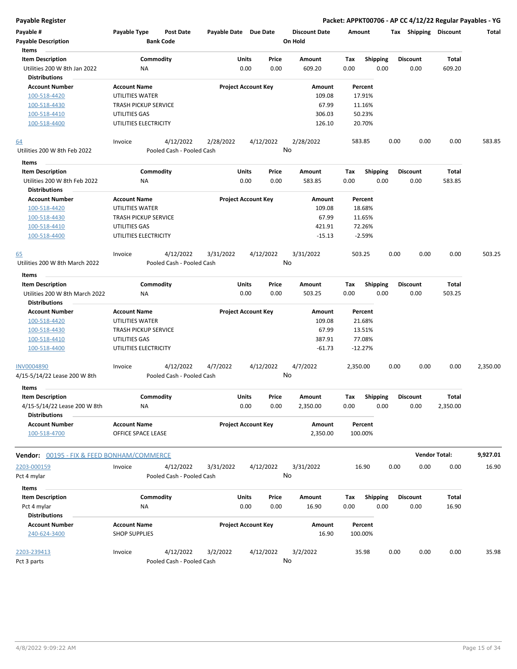| Payable #<br><b>Payable Description</b><br>Items        | Payable Type                                | Post Date<br><b>Bank Code</b> | Payable Date Due Date |                                | <b>Discount Date</b><br>On Hold | Amount                          |      | Tax Shipping            | <b>Discount</b>      | Total    |
|---------------------------------------------------------|---------------------------------------------|-------------------------------|-----------------------|--------------------------------|---------------------------------|---------------------------------|------|-------------------------|----------------------|----------|
| <b>Item Description</b><br>Utilities 200 W 8th Jan 2022 | <b>NA</b>                                   | Commodity                     |                       | Price<br>Units<br>0.00<br>0.00 | Amount<br>609.20                | Shipping<br>Tax<br>0.00<br>0.00 |      | <b>Discount</b><br>0.00 | Total<br>609.20      |          |
| <b>Distributions</b><br><b>Account Number</b>           | <b>Account Name</b>                         |                               |                       | <b>Project Account Key</b>     | Amount                          | Percent                         |      |                         |                      |          |
| 100-518-4420                                            | UTILITIES WATER                             |                               |                       |                                | 109.08                          | 17.91%                          |      |                         |                      |          |
| 100-518-4430                                            | <b>TRASH PICKUP SERVICE</b>                 |                               |                       |                                | 67.99                           | 11.16%                          |      |                         |                      |          |
| 100-518-4410                                            | UTILITIES GAS                               |                               |                       |                                | 306.03                          | 50.23%                          |      |                         |                      |          |
| 100-518-4400                                            | UTILITIES ELECTRICITY                       |                               |                       |                                | 126.10                          | 20.70%                          |      |                         |                      |          |
| <u>64</u>                                               | Invoice                                     | 4/12/2022                     | 2/28/2022             | 4/12/2022                      | 2/28/2022                       | 583.85                          | 0.00 | 0.00                    | 0.00                 | 583.85   |
| Utilities 200 W 8th Feb 2022                            |                                             | Pooled Cash - Pooled Cash     |                       |                                | No                              |                                 |      |                         |                      |          |
| Items                                                   |                                             |                               |                       |                                |                                 |                                 |      |                         |                      |          |
| <b>Item Description</b>                                 |                                             | Commodity                     |                       | Units<br>Price                 | Amount                          | Shipping<br>Tax                 |      | <b>Discount</b>         | Total                |          |
| Utilities 200 W 8th Feb 2022                            | ΝA                                          |                               |                       | 0.00<br>0.00                   | 583.85                          | 0.00<br>0.00                    |      | 0.00                    | 583.85               |          |
| <b>Distributions</b>                                    |                                             |                               |                       |                                |                                 |                                 |      |                         |                      |          |
| <b>Account Number</b>                                   | <b>Account Name</b>                         |                               |                       | <b>Project Account Key</b>     | Amount                          | Percent                         |      |                         |                      |          |
| 100-518-4420                                            | UTILITIES WATER                             |                               |                       |                                | 109.08                          | 18.68%                          |      |                         |                      |          |
| 100-518-4430                                            | <b>TRASH PICKUP SERVICE</b>                 |                               |                       |                                | 67.99                           | 11.65%                          |      |                         |                      |          |
| 100-518-4410                                            | UTILITIES GAS                               |                               |                       |                                | 421.91                          | 72.26%                          |      |                         |                      |          |
| 100-518-4400                                            | UTILITIES ELECTRICITY                       |                               |                       |                                | $-15.13$                        | $-2.59%$                        |      |                         |                      |          |
| <u>65</u>                                               | Invoice                                     | 4/12/2022                     | 3/31/2022             | 4/12/2022                      | 3/31/2022                       | 503.25                          | 0.00 | 0.00                    | 0.00                 | 503.25   |
| Utilities 200 W 8th March 2022                          |                                             | Pooled Cash - Pooled Cash     |                       |                                | No                              |                                 |      |                         |                      |          |
| Items<br><b>Item Description</b>                        |                                             | Commodity                     |                       | Units<br>Price                 | Amount                          | <b>Shipping</b><br>Tax          |      | <b>Discount</b>         | Total                |          |
| Utilities 200 W 8th March 2022<br><b>Distributions</b>  | ΝA                                          |                               |                       | 0.00<br>0.00                   | 503.25                          | 0.00<br>0.00                    |      | 0.00                    | 503.25               |          |
| <b>Account Number</b>                                   | <b>Account Name</b>                         |                               |                       | <b>Project Account Key</b>     | Amount                          | Percent                         |      |                         |                      |          |
| 100-518-4420                                            | UTILITIES WATER                             |                               |                       |                                | 109.08                          | 21.68%                          |      |                         |                      |          |
| 100-518-4430                                            | <b>TRASH PICKUP SERVICE</b>                 |                               |                       |                                | 67.99                           | 13.51%                          |      |                         |                      |          |
| 100-518-4410                                            | UTILITIES GAS                               |                               |                       |                                | 387.91                          | 77.08%                          |      |                         |                      |          |
| 100-518-4400                                            | UTILITIES ELECTRICITY                       |                               |                       |                                | $-61.73$                        | $-12.27%$                       |      |                         |                      |          |
| <b>INV0004890</b>                                       | Invoice                                     | 4/12/2022                     | 4/7/2022              | 4/12/2022                      | 4/7/2022                        | 2,350.00                        | 0.00 | 0.00                    | 0.00                 | 2,350.00 |
| 4/15-5/14/22 Lease 200 W 8th<br>Items                   |                                             | Pooled Cash - Pooled Cash     |                       |                                | No                              |                                 |      |                         |                      |          |
| <b>Item Description</b>                                 |                                             | Commodity                     |                       | Units<br>Price                 | Amount                          | <b>Shipping</b><br>Тах          |      | <b>Discount</b>         | Total                |          |
| 4/15-5/14/22 Lease 200 W 8th<br><b>Distributions</b>    | ΝA                                          |                               |                       | 0.00<br>0.00                   | 2,350.00                        | 0.00<br>0.00                    |      | 0.00                    | 2,350.00             |          |
| <b>Account Number</b>                                   | <b>Account Name</b>                         |                               |                       | <b>Project Account Key</b>     | Amount                          | Percent                         |      |                         |                      |          |
| 100-518-4700                                            | OFFICE SPACE LEASE                          |                               |                       |                                | 2,350.00                        | 100.00%                         |      |                         |                      |          |
| <b>Vendor:</b> 00195 - FIX & FEED BONHAM/COMMERCE       |                                             |                               |                       |                                |                                 |                                 |      |                         | <b>Vendor Total:</b> | 9,927.01 |
| 2203-000159                                             | Invoice                                     | 4/12/2022                     | 3/31/2022             | 4/12/2022                      | 3/31/2022                       | 16.90                           | 0.00 | 0.00                    | 0.00                 | 16.90    |
| Pct 4 mylar                                             |                                             | Pooled Cash - Pooled Cash     |                       |                                | No                              |                                 |      |                         |                      |          |
| Items                                                   |                                             |                               |                       |                                |                                 |                                 |      |                         |                      |          |
| <b>Item Description</b>                                 |                                             | Commodity                     |                       | Units<br>Price                 | Amount                          | <b>Shipping</b><br>Tax          |      | <b>Discount</b>         | Total                |          |
| Pct 4 mylar                                             | ΝA                                          |                               |                       | 0.00<br>0.00                   | 16.90                           | 0.00<br>0.00                    |      | 0.00                    | 16.90                |          |
| <b>Distributions</b>                                    |                                             |                               |                       |                                |                                 |                                 |      |                         |                      |          |
| <b>Account Number</b><br>240-624-3400                   | <b>Account Name</b><br><b>SHOP SUPPLIES</b> |                               |                       | <b>Project Account Key</b>     | Amount<br>16.90                 | Percent<br>100.00%              |      |                         |                      |          |
| 2203-239413                                             | Invoice                                     | 4/12/2022                     | 3/2/2022              | 4/12/2022                      | 3/2/2022                        | 35.98                           | 0.00 | 0.00                    | 0.00                 | 35.98    |
| Pct 3 parts                                             |                                             | Pooled Cash - Pooled Cash     |                       |                                | No                              |                                 |      |                         |                      |          |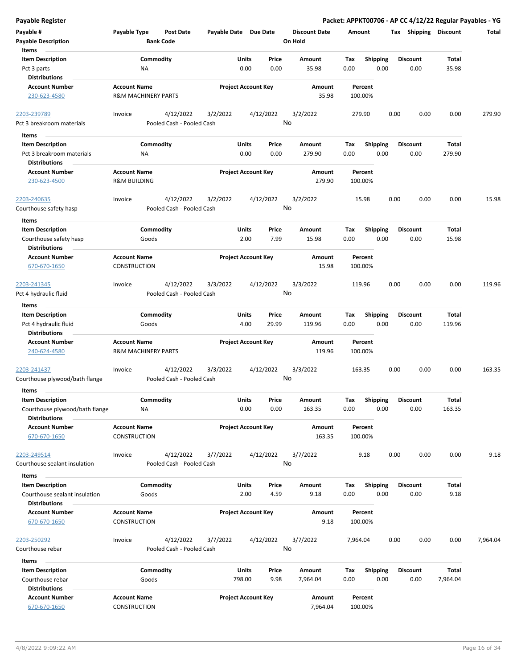| <b>Payable Register</b>                               |                                                       |                  |                                        |                       |               |                            |         |                      |             |                    |      |      |                         |                       | Packet: APPKT00706 - AP CC 4/12/22 Regular Payables - YG |
|-------------------------------------------------------|-------------------------------------------------------|------------------|----------------------------------------|-----------------------|---------------|----------------------------|---------|----------------------|-------------|--------------------|------|------|-------------------------|-----------------------|----------------------------------------------------------|
| Payable #<br><b>Payable Description</b>               | Payable Type                                          | <b>Bank Code</b> | <b>Post Date</b>                       | Payable Date Due Date |               |                            | On Hold | <b>Discount Date</b> | Amount      |                    |      |      |                         | Tax Shipping Discount | Total                                                    |
| Items                                                 |                                                       |                  |                                        |                       |               |                            |         |                      |             |                    |      |      |                         |                       |                                                          |
| <b>Item Description</b><br>Pct 3 parts                |                                                       | Commodity<br>ΝA  |                                        |                       | Units<br>0.00 | Price<br>0.00              |         | Amount<br>35.98      | Tax<br>0.00 | Shipping           | 0.00 |      | <b>Discount</b><br>0.00 | Total<br>35.98        |                                                          |
| <b>Distributions</b>                                  |                                                       |                  |                                        |                       |               |                            |         |                      |             |                    |      |      |                         |                       |                                                          |
| <b>Account Number</b>                                 | <b>Account Name</b>                                   |                  |                                        |                       |               | <b>Project Account Key</b> |         | Amount               |             | Percent            |      |      |                         |                       |                                                          |
| 230-623-4580                                          | <b>R&amp;M MACHINERY PARTS</b>                        |                  |                                        |                       |               |                            |         | 35.98                |             | 100.00%            |      |      |                         |                       |                                                          |
| 2203-239789                                           | Invoice                                               |                  | 4/12/2022                              | 3/2/2022              |               | 4/12/2022                  |         | 3/2/2022             |             | 279.90             |      | 0.00 | 0.00                    | 0.00                  | 279.90                                                   |
| Pct 3 breakroom materials                             |                                                       |                  | Pooled Cash - Pooled Cash              |                       |               |                            | No      |                      |             |                    |      |      |                         |                       |                                                          |
| Items                                                 |                                                       |                  |                                        |                       |               |                            |         |                      |             |                    |      |      |                         |                       |                                                          |
| <b>Item Description</b>                               |                                                       | Commodity        |                                        |                       | Units         | Price                      |         | Amount               | Tax         | <b>Shipping</b>    |      |      | <b>Discount</b>         | Total                 |                                                          |
| Pct 3 breakroom materials                             |                                                       | ΝA               |                                        |                       | 0.00          | 0.00                       |         | 279.90               | 0.00        |                    | 0.00 |      | 0.00                    | 279.90                |                                                          |
| <b>Distributions</b>                                  |                                                       |                  |                                        |                       |               |                            |         |                      |             |                    |      |      |                         |                       |                                                          |
| <b>Account Number</b><br>230-623-4500                 | <b>Account Name</b><br><b>R&amp;M BUILDING</b>        |                  |                                        |                       |               | <b>Project Account Key</b> |         | Amount<br>279.90     |             | Percent<br>100.00% |      |      |                         |                       |                                                          |
| 2203-240635<br>Courthouse safety hasp                 | Invoice                                               |                  | 4/12/2022<br>Pooled Cash - Pooled Cash | 3/2/2022              |               | 4/12/2022                  | No      | 3/2/2022             |             | 15.98              |      | 0.00 | 0.00                    | 0.00                  | 15.98                                                    |
|                                                       |                                                       |                  |                                        |                       |               |                            |         |                      |             |                    |      |      |                         |                       |                                                          |
| Items<br><b>Item Description</b>                      |                                                       | Commodity        |                                        |                       | Units         | Price                      |         | Amount               | Tax         | <b>Shipping</b>    |      |      | <b>Discount</b>         | Total                 |                                                          |
| Courthouse safety hasp<br><b>Distributions</b>        |                                                       | Goods            |                                        |                       | 2.00          | 7.99                       |         | 15.98                | 0.00        |                    | 0.00 |      | 0.00                    | 15.98                 |                                                          |
| <b>Account Number</b>                                 | <b>Account Name</b>                                   |                  |                                        |                       |               | <b>Project Account Key</b> |         | Amount               |             | Percent            |      |      |                         |                       |                                                          |
| 670-670-1650                                          | CONSTRUCTION                                          |                  |                                        |                       |               |                            |         | 15.98                |             | 100.00%            |      |      |                         |                       |                                                          |
| 2203-241345                                           | Invoice                                               |                  | 4/12/2022                              | 3/3/2022              |               | 4/12/2022                  |         | 3/3/2022             |             | 119.96             |      | 0.00 | 0.00                    | 0.00                  | 119.96                                                   |
| Pct 4 hydraulic fluid                                 |                                                       |                  | Pooled Cash - Pooled Cash              |                       |               |                            | No      |                      |             |                    |      |      |                         |                       |                                                          |
| Items                                                 |                                                       |                  |                                        |                       |               |                            |         |                      |             |                    |      |      |                         |                       |                                                          |
| <b>Item Description</b>                               |                                                       | Commodity        |                                        |                       | Units         | Price                      |         | Amount               | Tax         | <b>Shipping</b>    |      |      | <b>Discount</b>         | Total                 |                                                          |
| Pct 4 hydraulic fluid<br><b>Distributions</b>         |                                                       | Goods            |                                        |                       | 4.00          | 29.99                      |         | 119.96               | 0.00        |                    | 0.00 |      | 0.00                    | 119.96                |                                                          |
| <b>Account Number</b><br>240-624-4580                 | <b>Account Name</b><br><b>R&amp;M MACHINERY PARTS</b> |                  |                                        |                       |               | <b>Project Account Key</b> |         | Amount<br>119.96     |             | Percent<br>100.00% |      |      |                         |                       |                                                          |
| 2203-241437                                           | Invoice                                               |                  | 4/12/2022                              | 3/3/2022              |               | 4/12/2022                  |         | 3/3/2022             |             | 163.35             |      | 0.00 | 0.00                    | 0.00                  | 163.35                                                   |
| Courthouse plywood/bath flange                        |                                                       |                  | Pooled Cash - Pooled Cash              |                       |               |                            | No      |                      |             |                    |      |      |                         |                       |                                                          |
| Items                                                 |                                                       |                  |                                        |                       |               |                            |         |                      |             |                    |      |      |                         |                       |                                                          |
| <b>Item Description</b>                               |                                                       | Commodity        |                                        |                       | Units         | Price                      |         | Amount               | Tax         | Shipping           |      |      | <b>Discount</b>         | Total                 |                                                          |
| Courthouse plywood/bath flange                        |                                                       | ΝA               |                                        |                       | 0.00          | 0.00                       |         | 163.35               | 0.00        |                    | 0.00 |      | 0.00                    | 163.35                |                                                          |
| <b>Distributions</b>                                  | <b>Account Name</b>                                   |                  |                                        |                       |               |                            |         |                      |             |                    |      |      |                         |                       |                                                          |
| <b>Account Number</b><br>670-670-1650                 | <b>CONSTRUCTION</b>                                   |                  |                                        |                       |               | <b>Project Account Key</b> |         | Amount<br>163.35     |             | Percent<br>100.00% |      |      |                         |                       |                                                          |
| 2203-249514                                           | Invoice                                               |                  | 4/12/2022                              | 3/7/2022              |               | 4/12/2022                  |         | 3/7/2022             |             | 9.18               |      | 0.00 | 0.00                    | 0.00                  | 9.18                                                     |
| Courthouse sealant insulation                         |                                                       |                  | Pooled Cash - Pooled Cash              |                       |               |                            | No      |                      |             |                    |      |      |                         |                       |                                                          |
| Items                                                 |                                                       |                  |                                        |                       |               |                            |         |                      |             |                    |      |      |                         |                       |                                                          |
| <b>Item Description</b>                               |                                                       | Commodity        |                                        |                       | Units         | Price                      |         | Amount               | Tax         | Shipping           |      |      | <b>Discount</b>         | Total                 |                                                          |
| Courthouse sealant insulation<br><b>Distributions</b> |                                                       | Goods            |                                        |                       | 2.00          | 4.59                       |         | 9.18                 | 0.00        |                    | 0.00 |      | 0.00                    | 9.18                  |                                                          |
| <b>Account Number</b>                                 | <b>Account Name</b>                                   |                  |                                        |                       |               | <b>Project Account Key</b> |         | Amount               |             | Percent            |      |      |                         |                       |                                                          |
| 670-670-1650                                          | CONSTRUCTION                                          |                  |                                        |                       |               |                            |         | 9.18                 |             | 100.00%            |      |      |                         |                       |                                                          |
| 2203-250292                                           | Invoice                                               |                  | 4/12/2022                              | 3/7/2022              |               | 4/12/2022                  |         | 3/7/2022             | 7,964.04    |                    |      | 0.00 | 0.00                    | 0.00                  | 7,964.04                                                 |
| Courthouse rebar                                      |                                                       |                  | Pooled Cash - Pooled Cash              |                       |               |                            | No      |                      |             |                    |      |      |                         |                       |                                                          |
| Items                                                 |                                                       |                  |                                        |                       |               |                            |         |                      |             |                    |      |      |                         |                       |                                                          |
| <b>Item Description</b>                               |                                                       | Commodity        |                                        |                       | Units         | Price                      |         | Amount               | Tax         | <b>Shipping</b>    |      |      | <b>Discount</b>         | <b>Total</b>          |                                                          |
| Courthouse rebar<br><b>Distributions</b>              |                                                       | Goods            |                                        |                       | 798.00        | 9.98                       |         | 7,964.04             | 0.00        |                    | 0.00 |      | 0.00                    | 7,964.04              |                                                          |
| <b>Account Number</b>                                 | <b>Account Name</b>                                   |                  |                                        |                       |               | <b>Project Account Key</b> |         | Amount               |             | Percent            |      |      |                         |                       |                                                          |
| 670-670-1650                                          | CONSTRUCTION                                          |                  |                                        |                       |               |                            |         | 7,964.04             |             | 100.00%            |      |      |                         |                       |                                                          |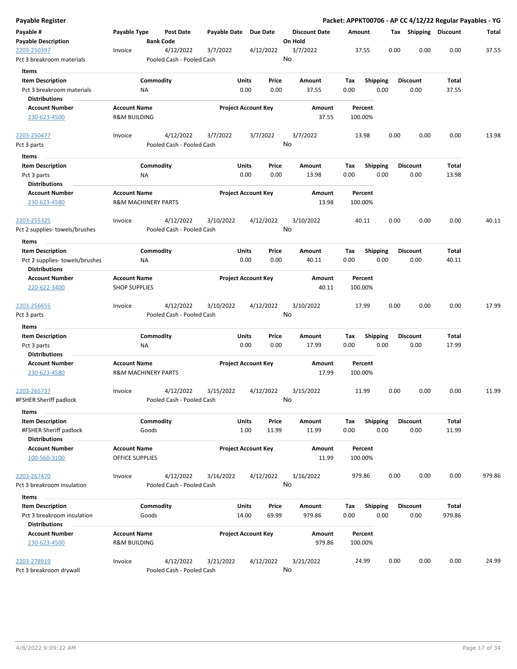| Payable Register                         |                         |                                        |              |                            |                                 |         |                 |      |                 | Packet: APPKT00706 - AP CC 4/12/22 Regular Payables - YG |        |
|------------------------------------------|-------------------------|----------------------------------------|--------------|----------------------------|---------------------------------|---------|-----------------|------|-----------------|----------------------------------------------------------|--------|
| Payable #<br><b>Payable Description</b>  | Payable Type            | <b>Post Date</b><br><b>Bank Code</b>   | Payable Date | <b>Due Date</b>            | <b>Discount Date</b><br>On Hold | Amount  |                 |      |                 | Tax Shipping Discount                                    | Total  |
| 2203-250397<br>Pct 3 breakroom materials | Invoice                 | 4/12/2022<br>Pooled Cash - Pooled Cash | 3/7/2022     | 4/12/2022                  | 3/7/2022<br>No                  | 37.55   |                 | 0.00 | 0.00            | 0.00                                                     | 37.55  |
| Items                                    |                         |                                        |              |                            |                                 |         |                 |      |                 |                                                          |        |
| <b>Item Description</b>                  |                         | Commodity                              |              | Units<br>Price             | Amount                          | Tax     | <b>Shipping</b> |      | <b>Discount</b> | Total                                                    |        |
| Pct 3 breakroom materials                |                         | ΝA                                     |              | 0.00<br>0.00               | 37.55                           | 0.00    | 0.00            |      | 0.00            | 37.55                                                    |        |
| Distributions                            |                         |                                        |              |                            |                                 |         |                 |      |                 |                                                          |        |
| <b>Account Number</b>                    | <b>Account Name</b>     |                                        |              | <b>Project Account Key</b> | Amount                          | Percent |                 |      |                 |                                                          |        |
| 230-623-4500                             | <b>R&amp;M BUILDING</b> |                                        |              |                            | 37.55                           | 100.00% |                 |      |                 |                                                          |        |
| 2203-250477                              | Invoice                 | 4/12/2022                              | 3/7/2022     | 3/7/2022                   | 3/7/2022                        | 13.98   |                 | 0.00 | 0.00            | 0.00                                                     | 13.98  |
| Pct 3 parts<br>Items                     |                         | Pooled Cash - Pooled Cash              |              |                            | No                              |         |                 |      |                 |                                                          |        |
| <b>Item Description</b>                  |                         | Commodity                              |              | Units<br>Price             | Amount                          | Tax     | <b>Shipping</b> |      | <b>Discount</b> | Total                                                    |        |
| Pct 3 parts                              |                         | ΝA                                     |              | 0.00<br>0.00               | 13.98                           | 0.00    | 0.00            |      | 0.00            | 13.98                                                    |        |
| <b>Distributions</b>                     |                         |                                        |              |                            |                                 |         |                 |      |                 |                                                          |        |
| <b>Account Number</b>                    | <b>Account Name</b>     |                                        |              | <b>Project Account Key</b> | Amount                          | Percent |                 |      |                 |                                                          |        |
| 230-623-4580                             |                         | <b>R&amp;M MACHINERY PARTS</b>         |              |                            | 13.98                           | 100.00% |                 |      |                 |                                                          |        |
| 2203-255325                              | Invoice                 | 4/12/2022                              | 3/10/2022    | 4/12/2022                  | 3/10/2022                       | 40.11   |                 | 0.00 | 0.00            | 0.00                                                     | 40.11  |
| Pct 2 supplies- towels/brushes           |                         | Pooled Cash - Pooled Cash              |              |                            | No                              |         |                 |      |                 |                                                          |        |
| <b>Items</b>                             |                         |                                        |              |                            |                                 |         |                 |      |                 |                                                          |        |
| <b>Item Description</b>                  |                         | Commodity                              |              | Units<br>Price             | Amount                          | Tax     | <b>Shipping</b> |      | Discount        | Total                                                    |        |
| Pct 2 supplies-towels/brushes            |                         | NA                                     |              | 0.00<br>0.00               | 40.11                           | 0.00    | 0.00            |      | 0.00            | 40.11                                                    |        |
| <b>Distributions</b>                     |                         |                                        |              |                            |                                 |         |                 |      |                 |                                                          |        |
| <b>Account Number</b>                    | <b>Account Name</b>     |                                        |              | <b>Project Account Key</b> | Amount                          | Percent |                 |      |                 |                                                          |        |
| 220-622-3400                             | <b>SHOP SUPPLIES</b>    |                                        |              |                            | 40.11                           | 100.00% |                 |      |                 |                                                          |        |
| 2203-256655                              | Invoice                 | 4/12/2022                              | 3/10/2022    | 4/12/2022                  | 3/10/2022                       | 17.99   |                 | 0.00 | 0.00            | 0.00                                                     | 17.99  |
| Pct 3 parts                              |                         | Pooled Cash - Pooled Cash              |              |                            | No                              |         |                 |      |                 |                                                          |        |
| Items                                    |                         |                                        |              |                            |                                 |         |                 |      |                 |                                                          |        |
| <b>Item Description</b>                  |                         | Commodity                              |              | Units<br>Price             | Amount                          | Tax     | <b>Shipping</b> |      | Discount        | Total                                                    |        |
| Pct 3 parts                              |                         | ΝA                                     |              | 0.00<br>0.00               | 17.99                           | 0.00    | 0.00            |      | 0.00            | 17.99                                                    |        |
| <b>Distributions</b>                     |                         |                                        |              |                            |                                 |         |                 |      |                 |                                                          |        |
| <b>Account Number</b>                    | <b>Account Name</b>     |                                        |              | <b>Project Account Key</b> | Amount                          | Percent |                 |      |                 |                                                          |        |
| 230-623-4580                             |                         | <b>R&amp;M MACHINERY PARTS</b>         |              |                            | 17.99                           | 100.00% |                 |      |                 |                                                          |        |
| 2203-265737                              | Invoice                 | 4/12/2022                              | 3/15/2022    | 4/12/2022                  | 3/15/2022                       | 11.99   |                 | 0.00 | 0.00            | 0.00                                                     | 11.99  |
| #FSHER Sheriff padlock                   |                         | Pooled Cash - Pooled Cash              |              |                            | No                              |         |                 |      |                 |                                                          |        |
| Items                                    |                         |                                        |              |                            |                                 |         |                 |      |                 |                                                          |        |
| <b>Item Description</b>                  |                         | Commodity                              |              | Units<br>Price             | Amount                          | Tax     | Shipping        |      | <b>Discount</b> | Total                                                    |        |
| #FSHER Sheriff padlock                   |                         | Goods                                  |              | 1.00<br>11.99              | 11.99                           | 0.00    | 0.00            |      | 0.00            | 11.99                                                    |        |
| <b>Distributions</b>                     |                         |                                        |              | <b>Project Account Key</b> |                                 |         |                 |      |                 |                                                          |        |
| <b>Account Number</b>                    | <b>Account Name</b>     |                                        |              |                            | Amount                          | Percent |                 |      |                 |                                                          |        |
| 100-560-3100                             | OFFICE SUPPLIES         |                                        |              |                            | 11.99                           | 100.00% |                 |      |                 |                                                          |        |
| 2203-267470                              | Invoice                 | 4/12/2022                              | 3/16/2022    | 4/12/2022                  | 3/16/2022                       | 979.86  |                 | 0.00 | 0.00            | 0.00                                                     | 979.86 |
| Pct 3 breakroom insulation               |                         | Pooled Cash - Pooled Cash              |              |                            | No                              |         |                 |      |                 |                                                          |        |
| Items                                    |                         |                                        |              |                            |                                 |         |                 |      |                 |                                                          |        |
| <b>Item Description</b>                  |                         | Commodity                              |              | <b>Units</b><br>Price      | Amount                          | Tax     | <b>Shipping</b> |      | <b>Discount</b> | Total                                                    |        |
| Pct 3 breakroom insulation               |                         | Goods                                  | 14.00        | 69.99                      | 979.86                          | 0.00    | 0.00            |      | 0.00            | 979.86                                                   |        |
| Distributions                            |                         |                                        |              |                            |                                 |         |                 |      |                 |                                                          |        |
| <b>Account Number</b>                    | <b>Account Name</b>     |                                        |              | <b>Project Account Key</b> | Amount                          | Percent |                 |      |                 |                                                          |        |
| 230-623-4500                             | <b>R&amp;M BUILDING</b> |                                        |              |                            | 979.86                          | 100.00% |                 |      |                 |                                                          |        |
| 2203-278919                              | Invoice                 | 4/12/2022                              | 3/21/2022    | 4/12/2022                  | 3/21/2022                       | 24.99   |                 | 0.00 | 0.00            | 0.00                                                     | 24.99  |
| Pct 3 breakroom drywall                  |                         | Pooled Cash - Pooled Cash              |              |                            | No                              |         |                 |      |                 |                                                          |        |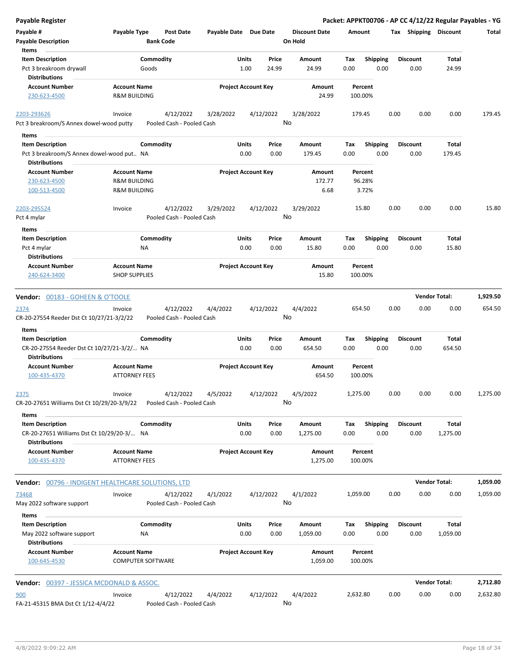| <b>Payable Register</b>                                                      |                                                 |                                        |                       |                            |                 |                                 |             |                         |      |                         | Packet: APPKT00706 - AP CC 4/12/22 Regular Payables - YG |          |
|------------------------------------------------------------------------------|-------------------------------------------------|----------------------------------------|-----------------------|----------------------------|-----------------|---------------------------------|-------------|-------------------------|------|-------------------------|----------------------------------------------------------|----------|
| Payable #<br><b>Payable Description</b>                                      | Payable Type                                    | <b>Post Date</b><br><b>Bank Code</b>   | Payable Date Due Date |                            |                 | <b>Discount Date</b><br>On Hold | Amount      |                         |      | Tax Shipping Discount   |                                                          | Total    |
| Items                                                                        |                                                 |                                        |                       | Units                      | Price           |                                 | Tax         | Shipping                |      | <b>Discount</b>         | Total                                                    |          |
| <b>Item Description</b><br>Pct 3 breakroom drywall<br><b>Distributions</b>   | Commodity<br>Goods                              |                                        |                       | 1.00                       | 24.99           | Amount<br>24.99                 | 0.00        | 0.00                    |      | 0.00                    | 24.99                                                    |          |
| <b>Account Number</b><br>230-623-4500                                        | <b>Account Name</b><br><b>R&amp;M BUILDING</b>  |                                        |                       | <b>Project Account Key</b> |                 | Amount<br>24.99                 |             | Percent<br>100.00%      |      |                         |                                                          |          |
|                                                                              |                                                 |                                        |                       |                            |                 |                                 |             |                         |      |                         |                                                          |          |
| 2203-293626<br>Pct 3 breakroom/S Annex dowel-wood putty                      | Invoice                                         | 4/12/2022<br>Pooled Cash - Pooled Cash | 3/28/2022             |                            | 4/12/2022       | 3/28/2022<br>No                 | 179.45      |                         | 0.00 | 0.00                    | 0.00                                                     | 179.45   |
|                                                                              |                                                 |                                        |                       |                            |                 |                                 |             |                         |      |                         |                                                          |          |
| Items<br><b>Item Description</b>                                             | Commodity                                       |                                        |                       | Units                      | Price           | Amount                          | Tax         | <b>Shipping</b>         |      | <b>Discount</b>         | Total                                                    |          |
| Pct 3 breakroom/S Annex dowel-wood put NA                                    |                                                 |                                        |                       | 0.00                       | 0.00            | 179.45                          | 0.00        | 0.00                    |      | 0.00                    | 179.45                                                   |          |
| <b>Distributions</b>                                                         |                                                 |                                        |                       |                            |                 |                                 |             |                         |      |                         |                                                          |          |
| <b>Account Number</b>                                                        | <b>Account Name</b>                             |                                        |                       | <b>Project Account Key</b> |                 | Amount                          |             | Percent                 |      |                         |                                                          |          |
| 230-623-4500                                                                 | <b>R&amp;M BUILDING</b>                         |                                        |                       |                            |                 | 172.77                          |             | 96.28%                  |      |                         |                                                          |          |
| 100-513-4500                                                                 | <b>R&amp;M BUILDING</b>                         |                                        |                       |                            |                 | 6.68                            |             | 3.72%                   |      |                         |                                                          |          |
| 2203-295524<br>Pct 4 mylar                                                   | Invoice                                         | 4/12/2022<br>Pooled Cash - Pooled Cash | 3/29/2022             |                            | 4/12/2022<br>No | 3/29/2022                       |             | 15.80                   | 0.00 | 0.00                    | 0.00                                                     | 15.80    |
|                                                                              |                                                 |                                        |                       |                            |                 |                                 |             |                         |      |                         |                                                          |          |
| Items<br><b>Item Description</b>                                             | Commodity                                       |                                        |                       | <b>Units</b>               | Price           | Amount                          | Tax         | Shipping                |      | <b>Discount</b>         | <b>Total</b>                                             |          |
| Pct 4 mylar                                                                  | <b>NA</b>                                       |                                        |                       | 0.00                       | 0.00            | 15.80                           | 0.00        | 0.00                    |      | 0.00                    | 15.80                                                    |          |
| <b>Distributions</b>                                                         |                                                 |                                        |                       |                            |                 |                                 |             |                         |      |                         |                                                          |          |
| <b>Account Number</b><br>240-624-3400                                        | <b>Account Name</b><br><b>SHOP SUPPLIES</b>     |                                        |                       | <b>Project Account Key</b> |                 | Amount<br>15.80                 |             | Percent<br>100.00%      |      |                         |                                                          |          |
|                                                                              |                                                 |                                        |                       |                            |                 |                                 |             |                         |      |                         |                                                          |          |
| Vendor: 00183 - GOHEEN & O'TOOLE                                             |                                                 |                                        |                       |                            |                 |                                 |             |                         |      |                         | <b>Vendor Total:</b>                                     | 1,929.50 |
| 2374                                                                         | Invoice                                         | 4/12/2022                              | 4/4/2022              |                            | 4/12/2022       | 4/4/2022                        | 654.50      |                         | 0.00 | 0.00                    | 0.00                                                     | 654.50   |
| CR-20-27554 Reeder Dst Ct 10/27/21-3/2/22                                    |                                                 | Pooled Cash - Pooled Cash              |                       |                            | No              |                                 |             |                         |      |                         |                                                          |          |
| Items                                                                        |                                                 |                                        |                       |                            |                 |                                 |             |                         |      |                         |                                                          |          |
| <b>Item Description</b>                                                      | Commodity                                       |                                        |                       | Units                      | Price           | Amount                          | Tax         | <b>Shipping</b>         |      | <b>Discount</b>         | <b>Total</b>                                             |          |
| CR-20-27554 Reeder Dst Ct 10/27/21-3/2/ NA<br><b>Distributions</b>           |                                                 |                                        |                       | 0.00                       | 0.00            | 654.50                          | 0.00        | 0.00                    |      | 0.00                    | 654.50                                                   |          |
| <b>Account Number</b>                                                        | <b>Account Name</b>                             |                                        |                       | <b>Project Account Key</b> |                 | Amount                          |             | Percent                 |      |                         |                                                          |          |
| 100-435-4370                                                                 | <b>ATTORNEY FEES</b>                            |                                        |                       |                            |                 | 654.50                          |             | 100.00%                 |      |                         |                                                          |          |
| 2375                                                                         | Invoice                                         | 4/12/2022                              | 4/5/2022              |                            | 4/12/2022       | 4/5/2022                        | 1,275.00    |                         | 0.00 | 0.00                    | 0.00                                                     | 1,275.00 |
| CR-20-27651 Williams Dst Ct 10/29/20-3/9/22                                  |                                                 | Pooled Cash - Pooled Cash              |                       |                            |                 | No                              |             |                         |      |                         |                                                          |          |
| Items                                                                        |                                                 |                                        |                       |                            |                 |                                 |             |                         |      |                         |                                                          |          |
| <b>Item Description</b>                                                      | Commodity                                       |                                        |                       | <b>Units</b>               | Price           | Amount                          | Tax         | <b>Shipping</b>         |      | <b>Discount</b>         | Total                                                    |          |
| CR-20-27651 Williams Dst Ct 10/29/20-3/ NA<br><b>Distributions</b>           |                                                 |                                        |                       | 0.00                       | 0.00            | 1,275.00                        | 0.00        | 0.00                    |      | 0.00                    | 1,275.00                                                 |          |
| <b>Account Number</b><br>100-435-4370                                        | <b>Account Name</b><br><b>ATTORNEY FEES</b>     |                                        |                       | <b>Project Account Key</b> |                 | Amount<br>1,275.00              |             | Percent<br>100.00%      |      |                         |                                                          |          |
|                                                                              |                                                 |                                        |                       |                            |                 |                                 |             |                         |      |                         |                                                          |          |
| <b>Vendor: 00796 - INDIGENT HEALTHCARE SOLUTIONS, LTD</b>                    |                                                 |                                        |                       |                            |                 |                                 |             |                         |      |                         | <b>Vendor Total:</b>                                     | 1,059.00 |
| 73468                                                                        | Invoice                                         | 4/12/2022                              | 4/1/2022              |                            | 4/12/2022       | 4/1/2022                        | 1,059.00    |                         | 0.00 | 0.00                    | 0.00                                                     | 1,059.00 |
| May 2022 software support                                                    |                                                 | Pooled Cash - Pooled Cash              |                       |                            |                 | No                              |             |                         |      |                         |                                                          |          |
| Items                                                                        |                                                 |                                        |                       |                            |                 |                                 |             |                         |      |                         |                                                          |          |
| <b>Item Description</b><br>May 2022 software support<br><b>Distributions</b> | Commodity<br>ΝA                                 |                                        |                       | <b>Units</b><br>0.00       | Price<br>0.00   | Amount<br>1,059.00              | Tax<br>0.00 | <b>Shipping</b><br>0.00 |      | <b>Discount</b><br>0.00 | Total<br>1,059.00                                        |          |
| <b>Account Number</b><br>100-645-4530                                        | <b>Account Name</b><br><b>COMPUTER SOFTWARE</b> |                                        |                       | <b>Project Account Key</b> |                 | Amount<br>1,059.00              |             | Percent<br>100.00%      |      |                         |                                                          |          |
|                                                                              |                                                 |                                        |                       |                            |                 |                                 |             |                         |      |                         |                                                          |          |
| <b>Vendor: 00397 - JESSICA MCDONALD &amp; ASSOC.</b>                         |                                                 |                                        |                       |                            |                 |                                 |             |                         |      |                         | <b>Vendor Total:</b>                                     | 2,712.80 |
| 900<br>FA-21-45315 BMA Dst Ct 1/12-4/4/22                                    | Invoice                                         | 4/12/2022<br>Pooled Cash - Pooled Cash | 4/4/2022              |                            | 4/12/2022<br>No | 4/4/2022                        | 2,632.80    |                         | 0.00 | 0.00                    | 0.00                                                     | 2,632.80 |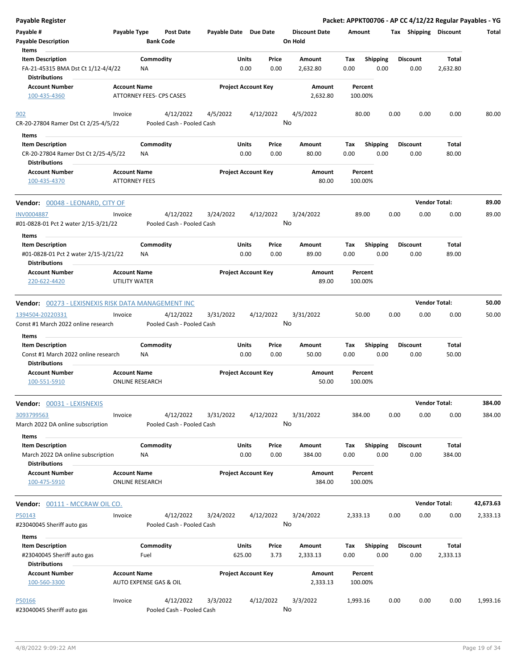| <b>Payable Register</b>                                                                          |                                                 |                        |                                        |                       |                            |               |                                 |             |                    |      | Packet: APPKT00706 - AP CC 4/12/22 Regular Payables - YG |                      |           |
|--------------------------------------------------------------------------------------------------|-------------------------------------------------|------------------------|----------------------------------------|-----------------------|----------------------------|---------------|---------------------------------|-------------|--------------------|------|----------------------------------------------------------|----------------------|-----------|
| Payable #<br><b>Payable Description</b><br>Items                                                 | Payable Type                                    | <b>Bank Code</b>       | <b>Post Date</b>                       | Payable Date Due Date |                            |               | <b>Discount Date</b><br>On Hold | Amount      |                    |      | Tax Shipping Discount                                    |                      | Total     |
| <b>Item Description</b><br>FA-21-45315 BMA Dst Ct 1/12-4/4/22<br><b>Distributions</b>            |                                                 | Commodity<br>NA        |                                        |                       | Units<br>0.00              | Price<br>0.00 | Amount<br>2,632.80              | Tax<br>0.00 | <b>Shipping</b>    | 0.00 | Discount<br>0.00                                         | Total<br>2,632.80    |           |
| <b>Account Number</b><br>100-435-4360                                                            | <b>Account Name</b><br>ATTORNEY FEES- CPS CASES |                        |                                        |                       | <b>Project Account Key</b> |               | Amount<br>2,632.80              |             | Percent<br>100.00% |      |                                                          |                      |           |
| 902<br>CR-20-27804 Ramer Dst Ct 2/25-4/5/22                                                      | Invoice                                         |                        | 4/12/2022<br>Pooled Cash - Pooled Cash | 4/5/2022              |                            | 4/12/2022     | 4/5/2022<br>No                  |             | 80.00              | 0.00 | 0.00                                                     | 0.00                 | 80.00     |
| Items<br><b>Item Description</b><br>CR-20-27804 Ramer Dst Ct 2/25-4/5/22<br><b>Distributions</b> |                                                 | Commodity<br>NA        |                                        |                       | Units<br>0.00              | Price<br>0.00 | Amount<br>80.00                 | Tax<br>0.00 | <b>Shipping</b>    | 0.00 | <b>Discount</b><br>0.00                                  | Total<br>80.00       |           |
| <b>Account Number</b><br>100-435-4370                                                            | <b>Account Name</b><br><b>ATTORNEY FEES</b>     |                        |                                        |                       | <b>Project Account Key</b> |               | Amount<br>80.00                 |             | Percent<br>100.00% |      |                                                          |                      |           |
| <b>Vendor: 00048 - LEONARD, CITY OF</b>                                                          |                                                 |                        |                                        |                       |                            |               |                                 |             |                    |      |                                                          | <b>Vendor Total:</b> | 89.00     |
| <b>INV0004887</b><br>#01-0828-01 Pct 2 water 2/15-3/21/22                                        | Invoice                                         |                        | 4/12/2022<br>Pooled Cash - Pooled Cash | 3/24/2022             |                            | 4/12/2022     | 3/24/2022<br>No                 |             | 89.00              | 0.00 | 0.00                                                     | 0.00                 | 89.00     |
| Items<br><b>Item Description</b><br>#01-0828-01 Pct 2 water 2/15-3/21/22<br><b>Distributions</b> |                                                 | Commodity<br>ΝA        |                                        |                       | Units<br>0.00              | Price<br>0.00 | Amount<br>89.00                 | Tax<br>0.00 | Shipping           | 0.00 | <b>Discount</b><br>0.00                                  | Total<br>89.00       |           |
| <b>Account Number</b><br>220-622-4420                                                            | <b>Account Name</b><br>UTILITY WATER            |                        |                                        |                       | <b>Project Account Key</b> |               | Amount<br>89.00                 |             | Percent<br>100.00% |      |                                                          |                      |           |
| Vendor: 00273 - LEXISNEXIS RISK DATA MANAGEMENT INC                                              |                                                 |                        |                                        |                       |                            |               |                                 |             |                    |      |                                                          | <b>Vendor Total:</b> | 50.00     |
| 1394504-20220331<br>Const #1 March 2022 online research                                          | Invoice                                         |                        | 4/12/2022<br>Pooled Cash - Pooled Cash | 3/31/2022             |                            | 4/12/2022     | 3/31/2022<br>No                 |             | 50.00              | 0.00 | 0.00                                                     | 0.00                 | 50.00     |
| Items<br><b>Item Description</b><br>Const #1 March 2022 online research<br><b>Distributions</b>  |                                                 | Commodity<br><b>NA</b> |                                        |                       | Units<br>0.00              | Price<br>0.00 | Amount<br>50.00                 | Tax<br>0.00 | <b>Shipping</b>    | 0.00 | <b>Discount</b><br>0.00                                  | Total<br>50.00       |           |
| <b>Account Number</b><br>100-551-5910                                                            | <b>Account Name</b>                             | <b>ONLINE RESEARCH</b> |                                        |                       | <b>Project Account Key</b> |               | Amount<br>50.00                 |             | Percent<br>100.00% |      |                                                          |                      |           |
|                                                                                                  |                                                 |                        |                                        |                       |                            |               |                                 |             |                    |      |                                                          | <b>Vendor Total:</b> | 384.00    |
| 3093799563<br>March 2022 DA online subscription                                                  | Invoice                                         |                        | 4/12/2022<br>Pooled Cash - Pooled Cash | 3/31/2022             |                            | 4/12/2022     | 3/31/2022<br>No                 |             | 384.00             | 0.00 | 0.00                                                     | 0.00                 | 384.00    |
| Items<br><b>Item Description</b><br>March 2022 DA online subscription<br><b>Distributions</b>    |                                                 | Commodity<br>ΝA        |                                        |                       | Units<br>0.00              | Price<br>0.00 | Amount<br>384.00                | Tax<br>0.00 | Shipping           | 0.00 | <b>Discount</b><br>0.00                                  | Total<br>384.00      |           |
| <b>Account Number</b><br>100-475-5910                                                            | <b>Account Name</b>                             | <b>ONLINE RESEARCH</b> |                                        |                       | <b>Project Account Key</b> |               | Amount<br>384.00                |             | Percent<br>100.00% |      |                                                          |                      |           |
| Vendor: 00111 - MCCRAW OIL CO.                                                                   |                                                 |                        |                                        |                       |                            |               |                                 |             |                    |      |                                                          | <b>Vendor Total:</b> | 42,673.63 |
| P50143<br>#23040045 Sheriff auto gas                                                             | Invoice                                         |                        | 4/12/2022<br>Pooled Cash - Pooled Cash | 3/24/2022             |                            | 4/12/2022     | 3/24/2022<br>No                 | 2,333.13    |                    | 0.00 | 0.00                                                     | 0.00                 | 2,333.13  |
| Items<br><b>Item Description</b><br>#23040045 Sheriff auto gas<br><b>Distributions</b>           |                                                 | Commodity<br>Fuel      |                                        |                       | Units<br>625.00            | Price<br>3.73 | Amount<br>2,333.13              | Tax<br>0.00 | Shipping           | 0.00 | <b>Discount</b><br>0.00                                  | Total<br>2,333.13    |           |
| <b>Account Number</b><br>100-560-3300                                                            | <b>Account Name</b>                             | AUTO EXPENSE GAS & OIL |                                        |                       | <b>Project Account Key</b> |               | Amount<br>2,333.13              |             | Percent<br>100.00% |      |                                                          |                      |           |
| P50166<br>#23040045 Sheriff auto gas                                                             | Invoice                                         |                        | 4/12/2022<br>Pooled Cash - Pooled Cash | 3/3/2022              |                            | 4/12/2022     | 3/3/2022<br>No                  | 1,993.16    |                    | 0.00 | 0.00                                                     | 0.00                 | 1,993.16  |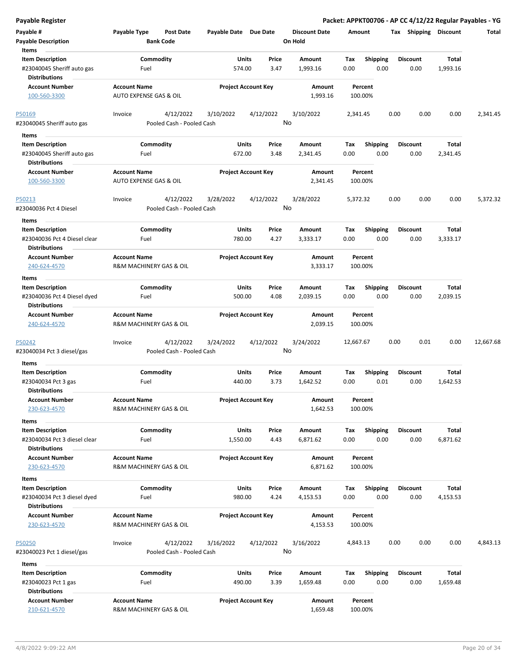| Payable #<br><b>Payable Description</b>              | Payable Type                                   | Post Date<br><b>Bank Code</b> | Payable Date Due Date |                            | <b>Discount Date</b><br>On Hold | Amount    |                    | Tax Shipping    | Discount | Total     |
|------------------------------------------------------|------------------------------------------------|-------------------------------|-----------------------|----------------------------|---------------------------------|-----------|--------------------|-----------------|----------|-----------|
| Items                                                |                                                |                               |                       |                            |                                 |           |                    |                 |          |           |
| <b>Item Description</b>                              |                                                | Commodity                     | Units                 | Price                      | Amount                          | Tax       | <b>Shipping</b>    | <b>Discount</b> | Total    |           |
| #23040045 Sheriff auto gas<br><b>Distributions</b>   | Fuel                                           |                               | 574.00                | 3.47                       | 1,993.16                        | 0.00      | 0.00               | 0.00            | 1,993.16 |           |
| <b>Account Number</b><br>100-560-3300                | <b>Account Name</b><br>AUTO EXPENSE GAS & OIL  |                               |                       | <b>Project Account Key</b> | Amount<br>1,993.16              |           | Percent<br>100.00% |                 |          |           |
| <u>P50169</u>                                        | Invoice                                        | 4/12/2022                     | 3/10/2022             | 4/12/2022                  | 3/10/2022                       | 2,341.45  |                    | 0.00<br>0.00    | 0.00     | 2,341.45  |
| #23040045 Sheriff auto gas                           |                                                | Pooled Cash - Pooled Cash     |                       |                            | No                              |           |                    |                 |          |           |
| Items                                                |                                                |                               |                       |                            |                                 |           |                    |                 |          |           |
| <b>Item Description</b>                              |                                                | Commodity                     | Units                 | Price                      | Amount                          | Tax       | <b>Shipping</b>    | <b>Discount</b> | Total    |           |
| #23040045 Sheriff auto gas                           | Fuel                                           |                               | 672.00                | 3.48                       | 2,341.45                        | 0.00      | 0.00               | 0.00            | 2,341.45 |           |
| <b>Distributions</b>                                 |                                                |                               |                       |                            |                                 |           |                    |                 |          |           |
| <b>Account Number</b><br>100-560-3300                | <b>Account Name</b><br>AUTO EXPENSE GAS & OIL  |                               |                       | <b>Project Account Key</b> | Amount<br>2,341.45              |           | Percent<br>100.00% |                 |          |           |
| P50213                                               | Invoice                                        | 4/12/2022                     | 3/28/2022             | 4/12/2022                  | 3/28/2022                       | 5,372.32  |                    | 0.00<br>0.00    | 0.00     | 5,372.32  |
| #23040036 Pct 4 Diesel                               |                                                | Pooled Cash - Pooled Cash     |                       |                            | No                              |           |                    |                 |          |           |
| Items                                                |                                                |                               |                       |                            |                                 |           |                    |                 |          |           |
| <b>Item Description</b>                              |                                                | Commodity                     | Units                 | Price                      | Amount                          | Tax       | <b>Shipping</b>    | <b>Discount</b> | Total    |           |
| #23040036 Pct 4 Diesel clear<br><b>Distributions</b> | Fuel                                           |                               | 780.00                | 4.27                       | 3,333.17                        | 0.00      | 0.00               | 0.00            | 3,333.17 |           |
| <b>Account Number</b>                                | <b>Account Name</b>                            |                               |                       | <b>Project Account Key</b> | Amount                          |           | Percent            |                 |          |           |
| 240-624-4570                                         | R&M MACHINERY GAS & OIL                        |                               |                       |                            | 3,333.17                        |           | 100.00%            |                 |          |           |
| Items                                                |                                                |                               |                       |                            |                                 |           |                    |                 |          |           |
| <b>Item Description</b>                              |                                                | Commodity                     | Units                 | Price                      | Amount                          | Tax       | <b>Shipping</b>    | <b>Discount</b> | Total    |           |
| #23040036 Pct 4 Diesel dyed<br><b>Distributions</b>  | Fuel                                           |                               | 500.00                | 4.08                       | 2,039.15                        | 0.00      | 0.00               | 0.00            | 2,039.15 |           |
| <b>Account Number</b>                                | <b>Account Name</b>                            |                               |                       | <b>Project Account Key</b> | Amount                          |           | Percent            |                 |          |           |
| 240-624-4570                                         | R&M MACHINERY GAS & OIL                        |                               |                       |                            | 2,039.15                        |           | 100.00%            |                 |          |           |
| <u>P50242</u>                                        | Invoice                                        | 4/12/2022                     | 3/24/2022             | 4/12/2022                  | 3/24/2022                       | 12,667.67 |                    | 0.00<br>0.01    | 0.00     | 12,667.68 |
| #23040034 Pct 3 diesel/gas                           |                                                | Pooled Cash - Pooled Cash     |                       |                            | No                              |           |                    |                 |          |           |
| Items                                                |                                                |                               |                       |                            |                                 |           |                    |                 |          |           |
| <b>Item Description</b>                              |                                                | Commodity                     | Units                 | Price                      | Amount                          | Tax       | <b>Shipping</b>    | <b>Discount</b> | Total    |           |
| #23040034 Pct 3 gas                                  | Fuel                                           |                               | 440.00                | 3.73                       | 1,642.52                        | 0.00      | 0.01               | 0.00            | 1,642.53 |           |
| <b>Distributions</b>                                 |                                                |                               |                       |                            |                                 |           |                    |                 |          |           |
| <b>Account Number</b><br>230-623-4570                | <b>Account Name</b><br>R&M MACHINERY GAS & OIL |                               |                       | <b>Project Account Key</b> | Amount<br>1,642.53              |           | Percent<br>100.00% |                 |          |           |
| Items                                                |                                                |                               |                       |                            |                                 |           |                    |                 |          |           |
| <b>Item Description</b>                              |                                                | Commodity                     | Units                 | Price                      | Amount                          | Tax       | <b>Shipping</b>    | <b>Discount</b> | Total    |           |
| #23040034 Pct 3 diesel clear                         | Fuel                                           |                               | 1,550.00              | 4.43                       | 6,871.62                        | 0.00      | 0.00               | 0.00            | 6,871.62 |           |
| <b>Distributions</b>                                 |                                                |                               |                       |                            |                                 |           |                    |                 |          |           |
| <b>Account Number</b>                                | <b>Account Name</b>                            |                               |                       | <b>Project Account Key</b> | Amount                          |           | Percent            |                 |          |           |
| 230-623-4570                                         | R&M MACHINERY GAS & OIL                        |                               |                       |                            | 6,871.62                        |           | 100.00%            |                 |          |           |
| Items                                                |                                                |                               |                       |                            |                                 |           |                    |                 |          |           |
| <b>Item Description</b>                              |                                                | Commodity                     | Units                 | Price                      | Amount                          | Tax       | <b>Shipping</b>    | <b>Discount</b> | Total    |           |
| #23040034 Pct 3 diesel dyed                          | Fuel                                           |                               | 980.00                | 4.24                       | 4,153.53                        | 0.00      | 0.00               | 0.00            | 4,153.53 |           |
| Distributions                                        |                                                |                               |                       |                            |                                 |           |                    |                 |          |           |
| <b>Account Number</b>                                | <b>Account Name</b>                            |                               |                       | <b>Project Account Key</b> | Amount                          |           | Percent            |                 |          |           |
| 230-623-4570                                         | R&M MACHINERY GAS & OIL                        |                               |                       |                            | 4,153.53                        |           | 100.00%            |                 |          |           |
| P50250                                               | Invoice                                        | 4/12/2022                     | 3/16/2022             | 4/12/2022                  | 3/16/2022                       | 4,843.13  |                    | 0.00<br>0.00    | 0.00     | 4,843.13  |
| #23040023 Pct 1 diesel/gas                           |                                                | Pooled Cash - Pooled Cash     |                       |                            | No                              |           |                    |                 |          |           |
| Items                                                |                                                |                               |                       |                            |                                 |           |                    |                 |          |           |
| <b>Item Description</b>                              |                                                | Commodity                     | Units                 | Price                      | Amount                          | Tax       | <b>Shipping</b>    | <b>Discount</b> | Total    |           |
| #23040023 Pct 1 gas                                  | Fuel                                           |                               | 490.00                | 3.39                       | 1,659.48                        | 0.00      | 0.00               | 0.00            | 1,659.48 |           |
| <b>Distributions</b>                                 |                                                |                               |                       |                            |                                 |           |                    |                 |          |           |
| <b>Account Number</b>                                | <b>Account Name</b>                            |                               |                       | <b>Project Account Key</b> | Amount                          |           | Percent            |                 |          |           |
| 210-621-4570                                         | R&M MACHINERY GAS & OIL                        |                               |                       |                            | 1,659.48                        |           | 100.00%            |                 |          |           |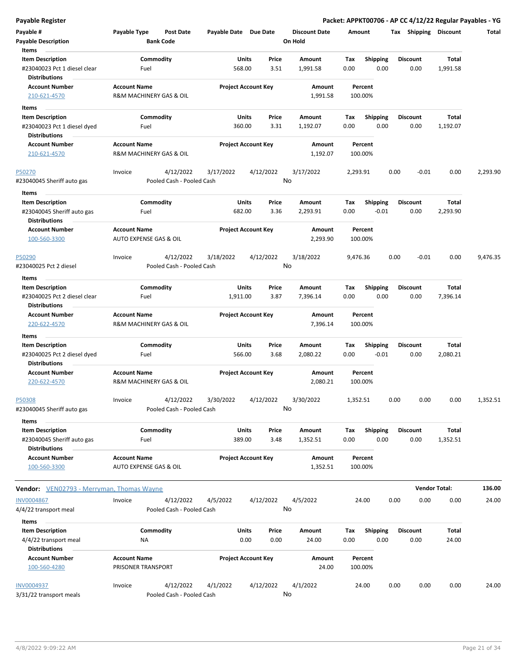| <b>Payable Register</b>                                                                  |                                                      |                                         |                                 | Packet: APPKT00706 - AP CC 4/12/22 Regular Payables - YG |                         |                          |          |
|------------------------------------------------------------------------------------------|------------------------------------------------------|-----------------------------------------|---------------------------------|----------------------------------------------------------|-------------------------|--------------------------|----------|
| Payable #<br><b>Payable Description</b><br>Items                                         | Payable Type<br><b>Post Date</b><br><b>Bank Code</b> | Payable Date Due Date                   | <b>Discount Date</b><br>On Hold | Amount                                                   | Tax Shipping Discount   |                          | Total    |
| <b>Item Description</b><br>#23040023 Pct 1 diesel clear<br><b>Distributions</b>          | Commodity<br>Fuel                                    | Price<br>Units<br>568.00<br>3.51        | Amount<br>1,991.58              | Tax<br><b>Shipping</b><br>0.00<br>0.00                   | <b>Discount</b><br>0.00 | <b>Total</b><br>1,991.58 |          |
| <b>Account Number</b><br>210-621-4570                                                    | <b>Account Name</b><br>R&M MACHINERY GAS & OIL       | <b>Project Account Key</b>              | Amount<br>1,991.58              | Percent<br>100.00%                                       |                         |                          |          |
| Items<br><b>Item Description</b><br>#23040023 Pct 1 diesel dyed<br><b>Distributions</b>  | Commodity<br>Fuel                                    | <b>Units</b><br>Price<br>360.00<br>3.31 | Amount<br>1,192.07              | <b>Shipping</b><br>Тах<br>0.00<br>0.00                   | <b>Discount</b><br>0.00 | Total<br>1,192.07        |          |
| <b>Account Number</b><br>210-621-4570                                                    | <b>Account Name</b><br>R&M MACHINERY GAS & OIL       | <b>Project Account Key</b>              | Amount<br>1,192.07              | Percent<br>100.00%                                       |                         |                          |          |
| P50270<br>#23040045 Sheriff auto gas                                                     | 4/12/2022<br>Invoice<br>Pooled Cash - Pooled Cash    | 3/17/2022<br>4/12/2022                  | 3/17/2022<br>No                 | 2,293.91                                                 | 0.00<br>$-0.01$         | 0.00                     | 2,293.90 |
| Items<br><b>Item Description</b><br>#23040045 Sheriff auto gas                           | Commodity<br>Fuel                                    | Units<br>Price<br>682.00<br>3.36        | Amount<br>2,293.91              | Tax<br><b>Shipping</b><br>$-0.01$<br>0.00                | <b>Discount</b><br>0.00 | Total<br>2,293.90        |          |
| <b>Distributions</b><br><b>Account Number</b><br>100-560-3300                            | <b>Account Name</b><br>AUTO EXPENSE GAS & OIL        | <b>Project Account Key</b>              | Amount<br>2,293.90              | Percent<br>100.00%                                       |                         |                          |          |
| P50290<br>#23040025 Pct 2 diesel                                                         | 4/12/2022<br>Invoice<br>Pooled Cash - Pooled Cash    | 3/18/2022<br>4/12/2022                  | 3/18/2022<br>No                 | 9,476.36                                                 | 0.00<br>$-0.01$         | 0.00                     | 9,476.35 |
| Items<br><b>Item Description</b><br>#23040025 Pct 2 diesel clear<br><b>Distributions</b> | Commodity<br>Fuel                                    | Units<br>Price<br>1,911.00<br>3.87      | Amount<br>7,396.14              | Tax<br><b>Shipping</b><br>0.00<br>0.00                   | <b>Discount</b><br>0.00 | Total<br>7,396.14        |          |
| <b>Account Number</b><br>220-622-4570                                                    | <b>Account Name</b><br>R&M MACHINERY GAS & OIL       | <b>Project Account Key</b>              | Amount<br>7,396.14              | Percent<br>100.00%                                       |                         |                          |          |
| Items<br><b>Item Description</b><br>#23040025 Pct 2 diesel dyed<br><b>Distributions</b>  | Commodity<br>Fuel                                    | <b>Units</b><br>Price<br>566.00<br>3.68 | Amount<br>2,080.22              | Tax<br><b>Shipping</b><br>0.00<br>$-0.01$                | <b>Discount</b><br>0.00 | Total<br>2,080.21        |          |
| <b>Account Number</b><br>220-622-4570                                                    | <b>Account Name</b><br>R&M MACHINERY GAS & OIL       | <b>Project Account Key</b>              | Amount<br>2,080.21              | Percent<br>100.00%                                       |                         |                          |          |
| P50308<br>#23040045 Sheriff auto gas                                                     | 4/12/2022<br>Invoice<br>Pooled Cash - Pooled Cash    | 3/30/2022<br>4/12/2022                  | 3/30/2022<br>No                 | 1,352.51                                                 | 0.00<br>0.00            | 0.00                     | 1,352.51 |
| Items<br><b>Item Description</b><br>#23040045 Sheriff auto gas<br><b>Distributions</b>   | Commodity<br>Fuel                                    | Units<br>Price<br>389.00<br>3.48        | Amount<br>1,352.51              | Tax<br><b>Shipping</b><br>0.00<br>0.00                   | <b>Discount</b><br>0.00 | Total<br>1,352.51        |          |
| <b>Account Number</b><br>100-560-3300                                                    | <b>Account Name</b><br>AUTO EXPENSE GAS & OIL        | <b>Project Account Key</b>              | Amount<br>1,352.51              | Percent<br>100.00%                                       |                         |                          |          |
| <b>Vendor:</b> VEN02793 - Merryman, Thomas Wayne                                         |                                                      |                                         |                                 |                                                          |                         | <b>Vendor Total:</b>     | 136.00   |
| <b>INV0004867</b><br>4/4/22 transport meal                                               | 4/12/2022<br>Invoice<br>Pooled Cash - Pooled Cash    | 4/5/2022<br>4/12/2022                   | 4/5/2022<br>No                  | 24.00                                                    | 0.00<br>0.00            | 0.00                     | 24.00    |
| Items<br><b>Item Description</b><br>4/4/22 transport meal                                | Commodity<br>ΝA                                      | Units<br>Price<br>0.00<br>0.00          | Amount<br>24.00                 | Tax<br><b>Shipping</b><br>0.00<br>0.00                   | <b>Discount</b><br>0.00 | Total<br>24.00           |          |
| <b>Distributions</b><br><b>Account Number</b><br>100-560-4280                            | <b>Account Name</b><br>PRISONER TRANSPORT            | <b>Project Account Key</b>              | Amount<br>24.00                 | Percent<br>100.00%                                       |                         |                          |          |
| <b>INV0004937</b><br>3/31/22 transport meals                                             | 4/12/2022<br>Invoice<br>Pooled Cash - Pooled Cash    | 4/1/2022<br>4/12/2022                   | 4/1/2022<br>No                  | 24.00                                                    | 0.00<br>0.00            | 0.00                     | 24.00    |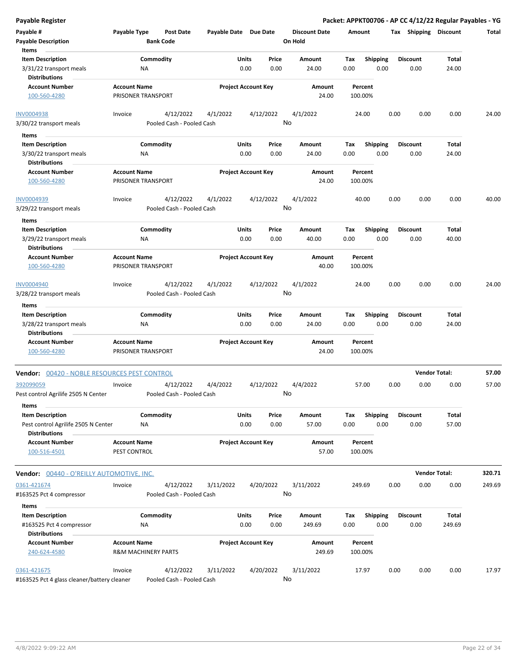| <b>Payable Register</b>                                                     |                                           |                                        |                            |               |               |                                 |             |                         |      |                         | Packet: APPKT00706 - AP CC 4/12/22 Regular Payables - YG |        |
|-----------------------------------------------------------------------------|-------------------------------------------|----------------------------------------|----------------------------|---------------|---------------|---------------------------------|-------------|-------------------------|------|-------------------------|----------------------------------------------------------|--------|
| Payable #<br><b>Payable Description</b>                                     | Payable Type                              | <b>Post Date</b><br><b>Bank Code</b>   | Payable Date Due Date      |               |               | <b>Discount Date</b><br>On Hold | Amount      |                         |      | Tax Shipping Discount   |                                                          | Total  |
| Items                                                                       |                                           |                                        |                            |               |               |                                 |             |                         |      |                         |                                                          |        |
| <b>Item Description</b>                                                     |                                           | Commodity                              |                            | Units         | Price         | Amount                          | Tax         | Shipping                |      | <b>Discount</b>         | Total                                                    |        |
| 3/31/22 transport meals<br><b>Distributions</b>                             | ΝA                                        |                                        |                            | 0.00          | 0.00          | 24.00                           | 0.00        | 0.00                    |      | 0.00                    | 24.00                                                    |        |
| <b>Account Number</b>                                                       | <b>Account Name</b>                       |                                        | <b>Project Account Key</b> |               |               | Amount                          |             | Percent                 |      |                         |                                                          |        |
| 100-560-4280                                                                | PRISONER TRANSPORT                        |                                        |                            |               |               | 24.00                           |             | 100.00%                 |      |                         |                                                          |        |
| <b>INV0004938</b>                                                           | Invoice                                   | 4/12/2022                              | 4/1/2022                   |               | 4/12/2022     | 4/1/2022<br>No                  |             | 24.00                   | 0.00 | 0.00                    | 0.00                                                     | 24.00  |
| 3/30/22 transport meals                                                     |                                           | Pooled Cash - Pooled Cash              |                            |               |               |                                 |             |                         |      |                         |                                                          |        |
| Items                                                                       |                                           |                                        |                            |               |               |                                 |             |                         |      |                         |                                                          |        |
| <b>Item Description</b>                                                     |                                           | Commodity                              |                            | Units         | Price         | Amount                          | Tax         | <b>Shipping</b>         |      | <b>Discount</b>         | Total                                                    |        |
| 3/30/22 transport meals                                                     | ΝA                                        |                                        |                            | 0.00          | 0.00          | 24.00                           | 0.00        | 0.00                    |      | 0.00                    | 24.00                                                    |        |
| <b>Distributions</b>                                                        |                                           |                                        |                            |               |               |                                 |             |                         |      |                         |                                                          |        |
| <b>Account Number</b><br>100-560-4280                                       | <b>Account Name</b><br>PRISONER TRANSPORT |                                        | <b>Project Account Key</b> |               |               | Amount<br>24.00                 |             | Percent<br>100.00%      |      |                         |                                                          |        |
| INV0004939                                                                  | Invoice                                   | 4/12/2022                              | 4/1/2022                   |               | 4/12/2022     | 4/1/2022                        |             | 40.00                   | 0.00 | 0.00                    | 0.00                                                     | 40.00  |
| 3/29/22 transport meals                                                     |                                           | Pooled Cash - Pooled Cash              |                            |               |               | No                              |             |                         |      |                         |                                                          |        |
| Items                                                                       |                                           |                                        |                            |               |               |                                 |             |                         |      |                         |                                                          |        |
| <b>Item Description</b>                                                     |                                           | Commodity                              |                            | Units         | Price         | Amount                          | Tax         | <b>Shipping</b>         |      | <b>Discount</b>         | Total                                                    |        |
| 3/29/22 transport meals<br><b>Distributions</b>                             | <b>NA</b>                                 |                                        |                            | 0.00          | 0.00          | 40.00                           | 0.00        | 0.00                    |      | 0.00                    | 40.00                                                    |        |
| <b>Account Number</b>                                                       | <b>Account Name</b>                       |                                        | <b>Project Account Key</b> |               |               | Amount                          |             | Percent                 |      |                         |                                                          |        |
| 100-560-4280                                                                | PRISONER TRANSPORT                        |                                        |                            |               |               | 40.00                           |             | 100.00%                 |      |                         |                                                          |        |
| <b>INV0004940</b>                                                           | Invoice                                   | 4/12/2022                              | 4/1/2022                   |               | 4/12/2022     | 4/1/2022<br>No                  |             | 24.00                   | 0.00 | 0.00                    | 0.00                                                     | 24.00  |
| 3/28/22 transport meals<br>Items                                            |                                           | Pooled Cash - Pooled Cash              |                            |               |               |                                 |             |                         |      |                         |                                                          |        |
| <b>Item Description</b>                                                     |                                           | Commodity                              |                            | Units         | Price         | Amount                          | Tax         | <b>Shipping</b>         |      | <b>Discount</b>         | Total                                                    |        |
| 3/28/22 transport meals                                                     | NA                                        |                                        |                            | 0.00          | 0.00          | 24.00                           | 0.00        | 0.00                    |      | 0.00                    | 24.00                                                    |        |
| <b>Distributions</b>                                                        |                                           |                                        |                            |               |               |                                 |             |                         |      |                         |                                                          |        |
| <b>Account Number</b><br>100-560-4280                                       | <b>Account Name</b><br>PRISONER TRANSPORT |                                        | <b>Project Account Key</b> |               |               | Amount<br>24.00                 |             | Percent<br>100.00%      |      |                         |                                                          |        |
| Vendor: 00420 - NOBLE RESOURCES PEST CONTROL                                |                                           |                                        |                            |               |               |                                 |             |                         |      |                         | <b>Vendor Total:</b>                                     | 57.00  |
| 392099059                                                                   | Invoice                                   | 4/12/2022                              | 4/4/2022                   |               | 4/12/2022     | 4/4/2022                        |             | 57.00                   | 0.00 | 0.00                    | 0.00                                                     | 57.00  |
| Pest control Agrilife 2505 N Center                                         |                                           | Pooled Cash - Pooled Cash              |                            |               |               | No                              |             |                         |      |                         |                                                          |        |
| Items<br><b>Item Description</b>                                            |                                           | Commodity                              |                            | Units         | Price         | Amount                          | Tax         | <b>Shipping</b>         |      | <b>Discount</b>         | Total                                                    |        |
| Pest control Agrilife 2505 N Center<br><b>Distributions</b>                 | ΝA                                        |                                        |                            | 0.00          | 0.00          | 57.00                           | 0.00        | 0.00                    |      | 0.00                    | 57.00                                                    |        |
| <b>Account Number</b><br>100-516-4501                                       | <b>Account Name</b><br>PEST CONTROL       |                                        | <b>Project Account Key</b> |               |               | Amount<br>57.00                 |             | Percent<br>100.00%      |      |                         |                                                          |        |
| <b>Vendor: 00440 - O'REILLY AUTOMOTIVE, INC.</b>                            |                                           |                                        |                            |               |               |                                 |             |                         |      |                         | <b>Vendor Total:</b>                                     | 320.71 |
| 0361-421674                                                                 | Invoice                                   | 4/12/2022                              | 3/11/2022                  |               | 4/20/2022     | 3/11/2022                       |             | 249.69                  | 0.00 | 0.00                    | 0.00                                                     | 249.69 |
| #163525 Pct 4 compressor                                                    |                                           | Pooled Cash - Pooled Cash              |                            |               |               | No                              |             |                         |      |                         |                                                          |        |
| Items                                                                       |                                           |                                        |                            |               |               |                                 |             |                         |      |                         |                                                          |        |
| <b>Item Description</b><br>#163525 Pct 4 compressor<br><b>Distributions</b> | ΝA                                        | Commodity                              |                            | Units<br>0.00 | Price<br>0.00 | Amount<br>249.69                | Тах<br>0.00 | <b>Shipping</b><br>0.00 |      | <b>Discount</b><br>0.00 | Total<br>249.69                                          |        |
| <b>Account Number</b>                                                       | <b>Account Name</b>                       |                                        | <b>Project Account Key</b> |               |               | Amount                          |             | Percent                 |      |                         |                                                          |        |
| 240-624-4580                                                                | <b>R&amp;M MACHINERY PARTS</b>            |                                        |                            |               |               | 249.69                          |             | 100.00%                 |      |                         |                                                          |        |
| 0361-421675<br>#163525 Pct 4 glass cleaner/battery cleaner                  | Invoice                                   | 4/12/2022<br>Pooled Cash - Pooled Cash | 3/11/2022                  |               | 4/20/2022     | 3/11/2022<br>No                 |             | 17.97                   | 0.00 | 0.00                    | 0.00                                                     | 17.97  |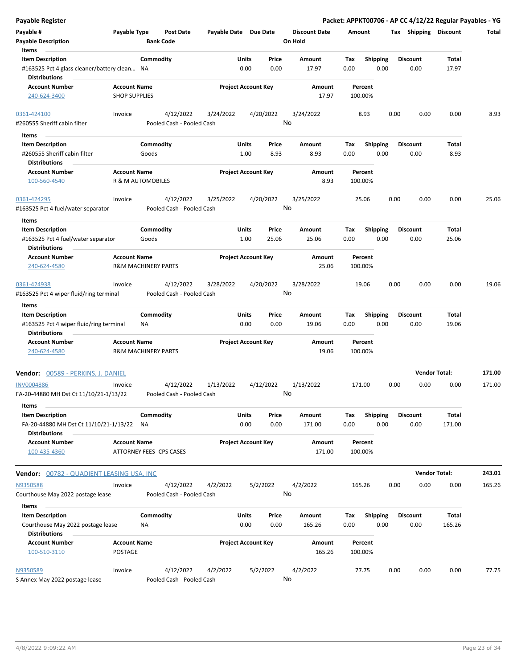| Payable Register                                                              |                                             |                                |                                        |                       |                            |                |                                 |             |                         |      |                         | Packet: APPKT00706 - AP CC 4/12/22 Regular Payables - YG |        |
|-------------------------------------------------------------------------------|---------------------------------------------|--------------------------------|----------------------------------------|-----------------------|----------------------------|----------------|---------------------------------|-------------|-------------------------|------|-------------------------|----------------------------------------------------------|--------|
| Payable #<br><b>Payable Description</b>                                       | Payable Type                                | <b>Bank Code</b>               | Post Date                              | Payable Date Due Date |                            |                | <b>Discount Date</b><br>On Hold | Amount      |                         |      | Tax Shipping Discount   |                                                          | Total  |
| Items                                                                         |                                             |                                |                                        |                       |                            |                |                                 |             |                         |      |                         |                                                          |        |
| <b>Item Description</b><br>#163525 Pct 4 glass cleaner/battery clean NA       |                                             | Commodity                      |                                        |                       | Units<br>0.00              | Price<br>0.00  | Amount<br>17.97                 | Tax<br>0.00 | <b>Shipping</b><br>0.00 |      | <b>Discount</b><br>0.00 | Total<br>17.97                                           |        |
| <b>Distributions</b><br><b>Account Number</b><br>240-624-3400                 | <b>Account Name</b><br><b>SHOP SUPPLIES</b> |                                |                                        |                       | <b>Project Account Key</b> |                | Amount<br>17.97                 |             | Percent<br>100.00%      |      |                         |                                                          |        |
| 0361-424100                                                                   | Invoice                                     |                                | 4/12/2022                              | 3/24/2022             |                            | 4/20/2022      | 3/24/2022                       |             | 8.93                    | 0.00 | 0.00                    | 0.00                                                     | 8.93   |
| #260555 Sheriff cabin filter                                                  |                                             |                                | Pooled Cash - Pooled Cash              |                       |                            |                | No                              |             |                         |      |                         |                                                          |        |
| Items                                                                         |                                             |                                |                                        |                       |                            |                |                                 |             |                         |      |                         |                                                          |        |
| <b>Item Description</b>                                                       |                                             | Commodity                      |                                        |                       | Units                      | Price          | Amount                          | Tax         | <b>Shipping</b>         |      | <b>Discount</b>         | Total                                                    |        |
| #260555 Sheriff cabin filter                                                  |                                             | Goods                          |                                        |                       | 1.00                       | 8.93           | 8.93                            | 0.00        | 0.00                    |      | 0.00                    | 8.93                                                     |        |
| <b>Distributions</b>                                                          |                                             |                                |                                        |                       |                            |                |                                 |             |                         |      |                         |                                                          |        |
| <b>Account Number</b><br>100-560-4540                                         | <b>Account Name</b>                         | R & M AUTOMOBILES              |                                        |                       | <b>Project Account Key</b> |                | Amount<br>8.93                  |             | Percent<br>100.00%      |      |                         |                                                          |        |
| 0361-424295                                                                   | Invoice                                     |                                | 4/12/2022                              | 3/25/2022             |                            | 4/20/2022      | 3/25/2022<br>No                 |             | 25.06                   | 0.00 | 0.00                    | 0.00                                                     | 25.06  |
| #163525 Pct 4 fuel/water separator                                            |                                             |                                | Pooled Cash - Pooled Cash              |                       |                            |                |                                 |             |                         |      |                         |                                                          |        |
| Items<br><b>Item Description</b><br>#163525 Pct 4 fuel/water separator        |                                             | Commodity<br>Goods             |                                        |                       | Units<br>1.00              | Price<br>25.06 | Amount<br>25.06                 | Tax<br>0.00 | <b>Shipping</b><br>0.00 |      | <b>Discount</b><br>0.00 | Total<br>25.06                                           |        |
| <b>Distributions</b>                                                          |                                             |                                |                                        |                       |                            |                |                                 |             |                         |      |                         |                                                          |        |
| <b>Account Number</b><br>240-624-4580                                         | <b>Account Name</b>                         | <b>R&amp;M MACHINERY PARTS</b> |                                        |                       | <b>Project Account Key</b> |                | Amount<br>25.06                 |             | Percent<br>100.00%      |      |                         |                                                          |        |
| 0361-424938                                                                   | Invoice                                     |                                | 4/12/2022                              | 3/28/2022             |                            | 4/20/2022      | 3/28/2022                       |             | 19.06                   | 0.00 | 0.00                    | 0.00                                                     | 19.06  |
| #163525 Pct 4 wiper fluid/ring terminal<br>Items                              |                                             |                                | Pooled Cash - Pooled Cash              |                       |                            |                | No                              |             |                         |      |                         |                                                          |        |
| <b>Item Description</b>                                                       |                                             | Commodity                      |                                        |                       | Units                      | Price          | Amount                          | Tax         | Shipping                |      | <b>Discount</b>         | Total                                                    |        |
| #163525 Pct 4 wiper fluid/ring terminal<br><b>Distributions</b>               |                                             | ΝA                             |                                        |                       | 0.00                       | 0.00           | 19.06                           | 0.00        | 0.00                    |      | 0.00                    | 19.06                                                    |        |
| <b>Account Number</b><br>240-624-4580                                         | <b>Account Name</b>                         | <b>R&amp;M MACHINERY PARTS</b> |                                        |                       | <b>Project Account Key</b> |                | Amount<br>19.06                 |             | Percent<br>100.00%      |      |                         |                                                          |        |
| Vendor: 00589 - PERKINS, J. DANIEL                                            |                                             |                                |                                        |                       |                            |                |                                 |             |                         |      |                         | <b>Vendor Total:</b>                                     | 171.00 |
| <b>INV0004886</b><br>FA-20-44880 MH Dst Ct 11/10/21-1/13/22                   | Invoice                                     |                                | 4/12/2022<br>Pooled Cash - Pooled Cash | 1/13/2022             |                            | 4/12/2022      | 1/13/2022<br>No l               | 171.00      |                         | 0.00 | 0.00                    | 0.00                                                     | 171.00 |
| Items                                                                         |                                             |                                |                                        |                       |                            |                |                                 |             |                         |      |                         |                                                          |        |
| <b>Item Description</b><br>FA-20-44880 MH Dst Ct 11/10/21-1/13/22             |                                             | Commodity<br>NA                |                                        |                       | Units<br>0.00              | Price<br>0.00  | Amount<br>171.00                | Tax<br>0.00 | <b>Shipping</b><br>0.00 |      | <b>Discount</b><br>0.00 | Total<br>171.00                                          |        |
| <b>Distributions</b><br><b>Account Number</b><br>100-435-4360                 | <b>Account Name</b>                         | ATTORNEY FEES- CPS CASES       |                                        |                       | <b>Project Account Key</b> |                | Amount<br>171.00                |             | Percent<br>100.00%      |      |                         |                                                          |        |
| <b>Vendor: 00782 - QUADIENT LEASING USA, INC</b>                              |                                             |                                |                                        |                       |                            |                |                                 |             |                         |      |                         | <b>Vendor Total:</b>                                     | 243.01 |
| N9350588                                                                      | Invoice                                     |                                | 4/12/2022                              | 4/2/2022              |                            | 5/2/2022       | 4/2/2022                        | 165.26      |                         | 0.00 | 0.00                    | 0.00                                                     | 165.26 |
| Courthouse May 2022 postage lease                                             |                                             |                                | Pooled Cash - Pooled Cash              |                       |                            |                | No                              |             |                         |      |                         |                                                          |        |
| Items                                                                         |                                             |                                |                                        |                       |                            |                |                                 |             |                         |      |                         |                                                          |        |
| <b>Item Description</b><br>Courthouse May 2022 postage lease<br>Distributions |                                             | Commodity<br>NA                |                                        |                       | Units<br>0.00              | Price<br>0.00  | Amount<br>165.26                | Tax<br>0.00 | <b>Shipping</b><br>0.00 |      | <b>Discount</b><br>0.00 | Total<br>165.26                                          |        |
| <b>Account Number</b><br>100-510-3110                                         | <b>Account Name</b><br>POSTAGE              |                                |                                        |                       | <b>Project Account Key</b> |                | Amount<br>165.26                |             | Percent<br>100.00%      |      |                         |                                                          |        |
| N9350589<br>S Annex May 2022 postage lease                                    | Invoice                                     |                                | 4/12/2022<br>Pooled Cash - Pooled Cash | 4/2/2022              |                            | 5/2/2022       | 4/2/2022<br>No                  |             | 77.75                   | 0.00 | 0.00                    | 0.00                                                     | 77.75  |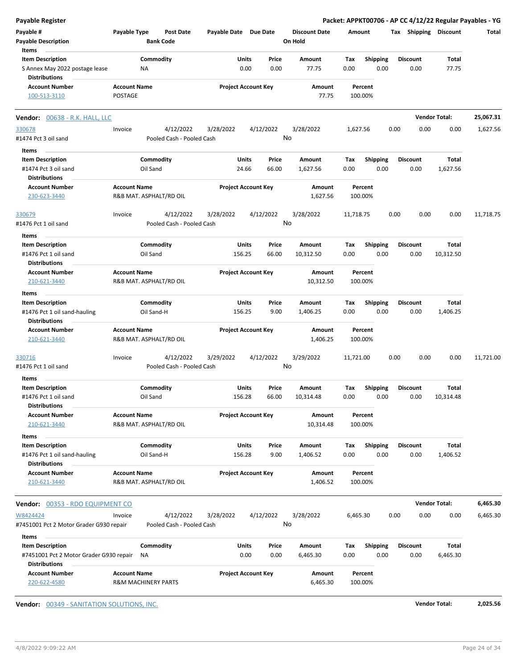| <b>Payable Register</b>                                |                     |                         |                           |                            |        |           |                                 |             |                         |      |                 |                       | Packet: APPKT00706 - AP CC 4/12/22 Regular Payables - YG |
|--------------------------------------------------------|---------------------|-------------------------|---------------------------|----------------------------|--------|-----------|---------------------------------|-------------|-------------------------|------|-----------------|-----------------------|----------------------------------------------------------|
| Payable #<br><b>Payable Description</b>                | Payable Type        | <b>Bank Code</b>        | Post Date                 | Payable Date Due Date      |        |           | <b>Discount Date</b><br>On Hold | Amount      |                         |      |                 | Tax Shipping Discount | Total                                                    |
| Items                                                  |                     |                         |                           |                            |        |           |                                 |             |                         |      |                 |                       |                                                          |
| <b>Item Description</b>                                |                     | Commodity               |                           |                            | Units  | Price     | Amount                          | Tax         | <b>Shipping</b>         |      | <b>Discount</b> | Total                 |                                                          |
| S Annex May 2022 postage lease<br><b>Distributions</b> |                     | ΝA                      |                           |                            | 0.00   | 0.00      | 77.75                           | 0.00        | 0.00                    |      | 0.00            | 77.75                 |                                                          |
| <b>Account Number</b>                                  | <b>Account Name</b> |                         |                           | <b>Project Account Key</b> |        |           | Amount                          |             | Percent                 |      |                 |                       |                                                          |
| 100-513-3110                                           | POSTAGE             |                         |                           |                            |        |           | 77.75                           |             | 100.00%                 |      |                 |                       |                                                          |
| Vendor: 00638 - R.K. HALL, LLC                         |                     |                         |                           |                            |        |           |                                 |             |                         |      |                 | <b>Vendor Total:</b>  | 25,067.31                                                |
| 330678                                                 | Invoice             |                         | 4/12/2022                 | 3/28/2022                  |        | 4/12/2022 | 3/28/2022                       | 1,627.56    |                         | 0.00 | 0.00            | 0.00                  | 1,627.56                                                 |
| #1474 Pct 3 oil sand                                   |                     |                         | Pooled Cash - Pooled Cash |                            |        |           | No                              |             |                         |      |                 |                       |                                                          |
| Items                                                  |                     |                         |                           |                            |        |           |                                 |             |                         |      |                 |                       |                                                          |
| <b>Item Description</b>                                |                     | Commodity               |                           |                            | Units  | Price     | Amount                          | Tax         | <b>Shipping</b>         |      | <b>Discount</b> | Total                 |                                                          |
| #1474 Pct 3 oil sand                                   |                     | Oil Sand                |                           |                            | 24.66  | 66.00     | 1,627.56                        | 0.00        | 0.00                    |      | 0.00            | 1,627.56              |                                                          |
| <b>Distributions</b>                                   |                     |                         |                           |                            |        |           |                                 |             |                         |      |                 |                       |                                                          |
| <b>Account Number</b>                                  | <b>Account Name</b> |                         |                           | <b>Project Account Key</b> |        |           | Amount                          |             | Percent                 |      |                 |                       |                                                          |
| 230-623-3440                                           |                     | R&B MAT. ASPHALT/RD OIL |                           |                            |        |           | 1,627.56                        |             | 100.00%                 |      |                 |                       |                                                          |
| 330679                                                 | Invoice             |                         | 4/12/2022                 | 3/28/2022                  |        | 4/12/2022 | 3/28/2022                       | 11,718.75   |                         | 0.00 | 0.00            | 0.00                  | 11,718.75                                                |
| #1476 Pct 1 oil sand                                   |                     |                         | Pooled Cash - Pooled Cash |                            |        |           | No                              |             |                         |      |                 |                       |                                                          |
| Items                                                  |                     |                         |                           |                            |        |           |                                 |             |                         |      |                 |                       |                                                          |
| <b>Item Description</b>                                |                     | Commodity               |                           |                            | Units  | Price     | Amount                          | Tax         | <b>Shipping</b>         |      | Discount        | Total                 |                                                          |
| #1476 Pct 1 oil sand                                   |                     | Oil Sand                |                           |                            | 156.25 | 66.00     | 10,312.50                       | 0.00        | 0.00                    |      | 0.00            | 10,312.50             |                                                          |
| <b>Distributions</b>                                   |                     |                         |                           |                            |        |           |                                 |             |                         |      |                 |                       |                                                          |
| <b>Account Number</b>                                  | <b>Account Name</b> |                         |                           | <b>Project Account Key</b> |        |           | Amount                          |             | Percent                 |      |                 |                       |                                                          |
| 210-621-3440                                           |                     | R&B MAT. ASPHALT/RD OIL |                           |                            |        |           | 10,312.50                       |             | 100.00%                 |      |                 |                       |                                                          |
| Items                                                  |                     |                         |                           |                            |        |           |                                 |             |                         |      |                 |                       |                                                          |
| <b>Item Description</b>                                |                     | Commodity               |                           |                            | Units  | Price     | Amount                          | Tax         | <b>Shipping</b>         |      | <b>Discount</b> | Total                 |                                                          |
| #1476 Pct 1 oil sand-hauling                           |                     | Oil Sand-H              |                           |                            | 156.25 | 9.00      | 1,406.25                        | 0.00        | 0.00                    |      | 0.00            | 1,406.25              |                                                          |
| <b>Distributions</b>                                   |                     |                         |                           |                            |        |           |                                 |             |                         |      |                 |                       |                                                          |
| <b>Account Number</b>                                  | <b>Account Name</b> |                         |                           | <b>Project Account Key</b> |        |           | Amount                          |             | Percent                 |      |                 |                       |                                                          |
| 210-621-3440                                           |                     | R&B MAT. ASPHALT/RD OIL |                           |                            |        |           | 1,406.25                        |             | 100.00%                 |      |                 |                       |                                                          |
| 330716                                                 | Invoice             |                         | 4/12/2022                 | 3/29/2022                  |        | 4/12/2022 | 3/29/2022                       | 11,721.00   |                         | 0.00 | 0.00            | 0.00                  | 11,721.00                                                |
| #1476 Pct 1 oil sand                                   |                     |                         | Pooled Cash - Pooled Cash |                            |        |           | No                              |             |                         |      |                 |                       |                                                          |
| ltems                                                  |                     |                         |                           |                            |        |           |                                 |             |                         |      |                 |                       |                                                          |
| <b>Item Description</b>                                |                     | Commodity               |                           |                            | Units  | Price     | Amount                          | Тах         | <b>Shipping</b>         |      | <b>Discount</b> | Total                 |                                                          |
| #1476 Pct 1 oil sand                                   |                     | Oil Sand                |                           |                            | 156.28 | 66.00     | 10,314.48                       | 0.00        | 0.00                    |      | 0.00            | 10,314.48             |                                                          |
| <b>Distributions</b>                                   |                     |                         |                           |                            |        |           |                                 |             |                         |      |                 |                       |                                                          |
| <b>Account Number</b>                                  | <b>Account Name</b> |                         |                           | <b>Project Account Key</b> |        |           | Amount                          |             | Percent                 |      |                 |                       |                                                          |
| 210-621-3440                                           |                     | R&B MAT. ASPHALT/RD OIL |                           |                            |        |           | 10,314.48                       |             | 100.00%                 |      |                 |                       |                                                          |
| Items                                                  |                     |                         |                           |                            |        |           |                                 |             |                         |      |                 |                       |                                                          |
| <b>Item Description</b>                                |                     | Commodity               |                           |                            | Units  | Price     | Amount                          | Tax         | <b>Shipping</b>         |      | <b>Discount</b> | Total                 |                                                          |
| #1476 Pct 1 oil sand-hauling                           |                     | Oil Sand-H              |                           |                            | 156.28 | 9.00      | 1,406.52                        | 0.00        | 0.00                    |      | 0.00            | 1,406.52              |                                                          |
| <b>Distributions</b>                                   |                     |                         |                           |                            |        |           |                                 |             |                         |      |                 |                       |                                                          |
| <b>Account Number</b>                                  | <b>Account Name</b> |                         |                           | <b>Project Account Key</b> |        |           | Amount                          |             | Percent                 |      |                 |                       |                                                          |
| 210-621-3440                                           |                     | R&B MAT. ASPHALT/RD OIL |                           |                            |        |           | 1,406.52                        |             | 100.00%                 |      |                 |                       |                                                          |
| Vendor: 00353 - RDO EQUIPMENT CO                       |                     |                         |                           |                            |        |           |                                 |             |                         |      |                 | <b>Vendor Total:</b>  | 6,465.30                                                 |
| W8424424                                               | Invoice             |                         | 4/12/2022                 | 3/28/2022                  |        | 4/12/2022 | 3/28/2022                       | 6,465.30    |                         | 0.00 | 0.00            | 0.00                  | 6,465.30                                                 |
| #7451001 Pct 2 Motor Grader G930 repair                |                     |                         | Pooled Cash - Pooled Cash |                            |        |           | No                              |             |                         |      |                 |                       |                                                          |
|                                                        |                     |                         |                           |                            |        |           |                                 |             |                         |      |                 |                       |                                                          |
| Items<br><b>Item Description</b>                       |                     | Commodity               |                           |                            | Units  | Price     | Amount                          |             |                         |      | <b>Discount</b> | Total                 |                                                          |
| #7451001 Pct 2 Motor Grader G930 repair                |                     | ΝA                      |                           |                            | 0.00   | 0.00      | 6,465.30                        | Tax<br>0.00 | <b>Shipping</b><br>0.00 |      | 0.00            | 6,465.30              |                                                          |
| <b>Distributions</b>                                   |                     |                         |                           |                            |        |           |                                 |             |                         |      |                 |                       |                                                          |
| <b>Account Number</b>                                  | <b>Account Name</b> |                         |                           | <b>Project Account Key</b> |        |           | Amount                          |             | Percent                 |      |                 |                       |                                                          |
| 220-622-4580                                           |                     | R&M MACHINERY PARTS     |                           |                            |        |           | 6,465.30                        |             | 100.00%                 |      |                 |                       |                                                          |
|                                                        |                     |                         |                           |                            |        |           |                                 |             |                         |      |                 |                       |                                                          |

**Vendor:** 00349 - SANITATION SOLUTIONS, INC. **Vendor Total: 2,025.56**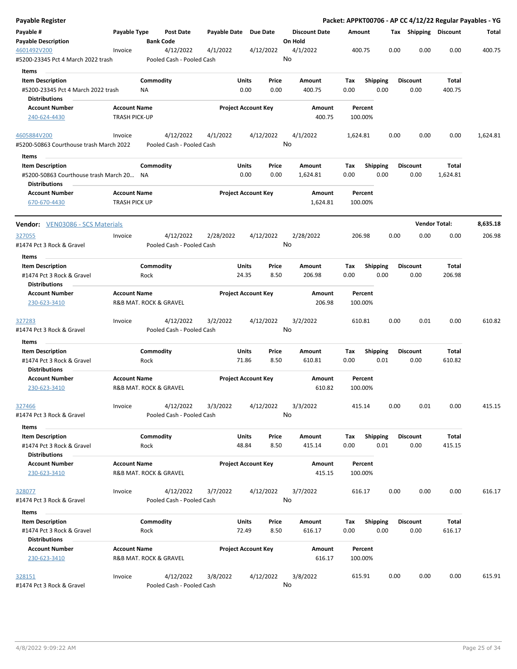| Payable Register                                                 |                                               |                   |                                        |                     |                            |                 |         |                      |             |                         |      |                         |                      | Packet: APPKT00706 - AP CC 4/12/22 Regular Payables - YG |
|------------------------------------------------------------------|-----------------------------------------------|-------------------|----------------------------------------|---------------------|----------------------------|-----------------|---------|----------------------|-------------|-------------------------|------|-------------------------|----------------------|----------------------------------------------------------|
| Payable #                                                        | Payable Type                                  |                   | <b>Post Date</b>                       | <b>Payable Date</b> |                            | <b>Due Date</b> |         | <b>Discount Date</b> | Amount      |                         |      | Tax Shipping Discount   |                      | Total                                                    |
| <b>Payable Description</b>                                       |                                               | <b>Bank Code</b>  |                                        |                     |                            |                 | On Hold |                      |             |                         |      |                         |                      |                                                          |
| 4601492V200<br>#5200-23345 Pct 4 March 2022 trash                | Invoice                                       |                   | 4/12/2022<br>Pooled Cash - Pooled Cash | 4/1/2022            |                            | 4/12/2022       | No      | 4/1/2022             | 400.75      |                         | 0.00 | 0.00                    | 0.00                 | 400.75                                                   |
| Items                                                            |                                               |                   |                                        |                     |                            |                 |         |                      |             |                         |      |                         |                      |                                                          |
| <b>Item Description</b>                                          |                                               | Commodity         |                                        |                     | Units                      | Price           |         | Amount               | Tax         | <b>Shipping</b>         |      | <b>Discount</b>         | Total                |                                                          |
| #5200-23345 Pct 4 March 2022 trash                               |                                               | ΝA                |                                        |                     | 0.00                       | 0.00            |         | 400.75               | 0.00        | 0.00                    |      | 0.00                    | 400.75               |                                                          |
| <b>Distributions</b>                                             |                                               |                   |                                        |                     |                            |                 |         |                      |             |                         |      |                         |                      |                                                          |
| <b>Account Number</b>                                            | <b>Account Name</b>                           |                   |                                        |                     | <b>Project Account Key</b> |                 |         | Amount               |             | Percent                 |      |                         |                      |                                                          |
| 240-624-4430                                                     | <b>TRASH PICK-UP</b>                          |                   |                                        |                     |                            |                 |         | 400.75               |             | 100.00%                 |      |                         |                      |                                                          |
| 4605884V200                                                      | Invoice                                       |                   | 4/12/2022                              | 4/1/2022            |                            | 4/12/2022       |         | 4/1/2022             | 1,624.81    |                         | 0.00 | 0.00                    | 0.00                 | 1,624.81                                                 |
| #5200-50863 Courthouse trash March 2022                          |                                               |                   | Pooled Cash - Pooled Cash              |                     |                            |                 | No      |                      |             |                         |      |                         |                      |                                                          |
| Items                                                            |                                               |                   |                                        |                     |                            |                 |         |                      |             |                         |      |                         |                      |                                                          |
| <b>Item Description</b>                                          |                                               | Commodity         |                                        |                     | Units                      | Price           |         | Amount               | Tax         | <b>Shipping</b>         |      | Discount                | Total                |                                                          |
| #5200-50863 Courthouse trash March 20 NA<br><b>Distributions</b> |                                               |                   |                                        |                     | 0.00                       | 0.00            |         | 1,624.81             | 0.00        | 0.00                    |      | 0.00                    | 1,624.81             |                                                          |
| <b>Account Number</b>                                            | <b>Account Name</b>                           |                   |                                        |                     | <b>Project Account Key</b> |                 |         | Amount               |             | Percent                 |      |                         |                      |                                                          |
| 670-670-4430                                                     | <b>TRASH PICK UP</b>                          |                   |                                        |                     |                            |                 |         | 1,624.81             |             | 100.00%                 |      |                         |                      |                                                          |
| Vendor: VEN03086 - SCS Materials                                 |                                               |                   |                                        |                     |                            |                 |         |                      |             |                         |      |                         | <b>Vendor Total:</b> | 8,635.18                                                 |
| 327055                                                           | Invoice                                       |                   | 4/12/2022                              | 2/28/2022           |                            | 4/12/2022       |         | 2/28/2022            | 206.98      |                         | 0.00 | 0.00                    | 0.00                 | 206.98                                                   |
| #1474 Pct 3 Rock & Gravel                                        |                                               |                   | Pooled Cash - Pooled Cash              |                     |                            |                 | No      |                      |             |                         |      |                         |                      |                                                          |
| Items                                                            |                                               |                   |                                        |                     |                            |                 |         |                      |             |                         |      |                         |                      |                                                          |
| <b>Item Description</b>                                          |                                               | Commodity         |                                        |                     | Units                      | Price           |         | Amount               | Tax         | <b>Shipping</b>         |      | <b>Discount</b>         | Total                |                                                          |
| #1474 Pct 3 Rock & Gravel                                        |                                               | Rock              |                                        |                     | 24.35                      | 8.50            |         | 206.98               | 0.00        | 0.00                    |      | 0.00                    | 206.98               |                                                          |
| <b>Distributions</b>                                             |                                               |                   |                                        |                     |                            |                 |         |                      |             |                         |      |                         |                      |                                                          |
| <b>Account Number</b><br>230-623-3410                            | <b>Account Name</b><br>R&B MAT. ROCK & GRAVEL |                   |                                        |                     | <b>Project Account Key</b> |                 |         | Amount<br>206.98     |             | Percent<br>100.00%      |      |                         |                      |                                                          |
| <u>327283</u>                                                    | Invoice                                       |                   | 4/12/2022                              | 3/2/2022            |                            | 4/12/2022       |         | 3/2/2022             | 610.81      |                         | 0.00 | 0.01                    | 0.00                 | 610.82                                                   |
| #1474 Pct 3 Rock & Gravel                                        |                                               |                   | Pooled Cash - Pooled Cash              |                     |                            |                 | No      |                      |             |                         |      |                         |                      |                                                          |
| Items                                                            |                                               |                   |                                        |                     |                            |                 |         |                      |             |                         |      |                         |                      |                                                          |
| <b>Item Description</b>                                          |                                               | Commodity         |                                        |                     | Units                      | Price           |         | Amount               | Tax         | <b>Shipping</b>         |      | <b>Discount</b>         | Total                |                                                          |
| #1474 Pct 3 Rock & Gravel<br><b>Distributions</b>                |                                               | Rock              |                                        |                     | 71.86                      | 8.50            |         | 610.81               | 0.00        | 0.01                    |      | 0.00                    | 610.82               |                                                          |
| <b>Account Number</b>                                            | <b>Account Name</b>                           |                   |                                        |                     | <b>Project Account Key</b> |                 |         | Amount               |             | Percent                 |      |                         |                      |                                                          |
| 230-623-3410                                                     | R&B MAT. ROCK & GRAVEL                        |                   |                                        |                     |                            |                 |         | 610.82               |             | 100.00%                 |      |                         |                      |                                                          |
| 327466                                                           | Invoice                                       |                   | 4/12/2022                              | 3/3/2022            |                            | 4/12/2022       |         | 3/3/2022             | 415.14      |                         | 0.00 | 0.01                    | 0.00                 | 415.15                                                   |
| #1474 Pct 3 Rock & Gravel                                        |                                               |                   | Pooled Cash - Pooled Cash              |                     |                            |                 | No      |                      |             |                         |      |                         |                      |                                                          |
| Items                                                            |                                               |                   |                                        |                     |                            |                 |         |                      |             |                         |      |                         |                      |                                                          |
| <b>Item Description</b><br>#1474 Pct 3 Rock & Gravel             |                                               | Commodity<br>Rock |                                        |                     | Units<br>48.84             | Price<br>8.50   |         | Amount<br>415.14     | Tax<br>0.00 | <b>Shipping</b><br>0.01 |      | <b>Discount</b><br>0.00 | Total<br>415.15      |                                                          |
| <b>Distributions</b>                                             |                                               |                   |                                        |                     |                            |                 |         |                      |             |                         |      |                         |                      |                                                          |
| <b>Account Number</b><br>230-623-3410                            | <b>Account Name</b><br>R&B MAT. ROCK & GRAVEL |                   |                                        |                     | <b>Project Account Key</b> |                 |         | Amount<br>415.15     |             | Percent<br>100.00%      |      |                         |                      |                                                          |
| 328077                                                           | Invoice                                       |                   | 4/12/2022                              | 3/7/2022            |                            | 4/12/2022       |         | 3/7/2022             | 616.17      |                         | 0.00 | 0.00                    | 0.00                 | 616.17                                                   |
| #1474 Pct 3 Rock & Gravel                                        |                                               |                   | Pooled Cash - Pooled Cash              |                     |                            |                 | No      |                      |             |                         |      |                         |                      |                                                          |
| Items                                                            |                                               |                   |                                        |                     |                            |                 |         |                      |             |                         |      |                         |                      |                                                          |
| <b>Item Description</b>                                          |                                               | Commodity         |                                        |                     | Units                      | Price           |         | Amount               | Tax         | Shipping                |      | <b>Discount</b>         | Total                |                                                          |
| #1474 Pct 3 Rock & Gravel                                        |                                               | Rock              |                                        |                     | 72.49                      | 8.50            |         | 616.17               | 0.00        | 0.00                    |      | 0.00                    | 616.17               |                                                          |
| <b>Distributions</b><br><b>Account Number</b>                    | <b>Account Name</b>                           |                   |                                        |                     | <b>Project Account Key</b> |                 |         |                      |             | Percent                 |      |                         |                      |                                                          |
| 230-623-3410                                                     | R&B MAT. ROCK & GRAVEL                        |                   |                                        |                     |                            |                 |         | Amount<br>616.17     |             | 100.00%                 |      |                         |                      |                                                          |
| 328151                                                           | Invoice                                       |                   | 4/12/2022                              | 3/8/2022            |                            | 4/12/2022       |         | 3/8/2022             | 615.91      |                         | 0.00 | 0.00                    | 0.00                 | 615.91                                                   |
| #1474 Pct 3 Rock & Gravel                                        |                                               |                   | Pooled Cash - Pooled Cash              |                     |                            |                 | No      |                      |             |                         |      |                         |                      |                                                          |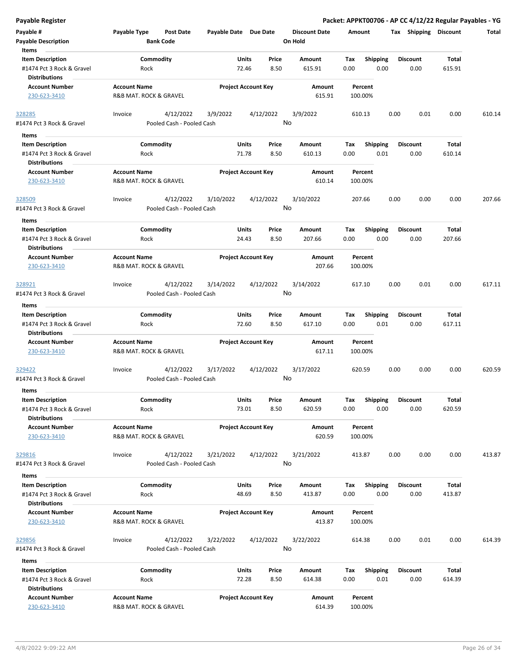| Payable #                                         | Payable Type           | Post Date                 | Payable Date Due Date |                            | <b>Discount Date</b> | Amount |                 | Tax  | Shipping        | <b>Discount</b> | Total  |
|---------------------------------------------------|------------------------|---------------------------|-----------------------|----------------------------|----------------------|--------|-----------------|------|-----------------|-----------------|--------|
| <b>Payable Description</b>                        |                        | <b>Bank Code</b>          |                       |                            | On Hold              |        |                 |      |                 |                 |        |
| Items                                             |                        |                           |                       |                            |                      |        |                 |      |                 |                 |        |
| <b>Item Description</b>                           |                        | Commodity                 |                       | Units<br>Price             | Amount               | Tax    | <b>Shipping</b> |      | <b>Discount</b> | Total           |        |
| #1474 Pct 3 Rock & Gravel<br><b>Distributions</b> | Rock                   |                           |                       | 72.46<br>8.50              | 615.91               | 0.00   | 0.00            |      | 0.00            | 615.91          |        |
| <b>Account Number</b>                             | <b>Account Name</b>    |                           |                       | <b>Project Account Key</b> | Amount               |        | Percent         |      |                 |                 |        |
| 230-623-3410                                      | R&B MAT. ROCK & GRAVEL |                           |                       |                            | 615.91               |        | 100.00%         |      |                 |                 |        |
| 328285                                            | Invoice                | 4/12/2022                 | 3/9/2022              | 4/12/2022                  | 3/9/2022             | 610.13 |                 | 0.00 | 0.01            | 0.00            | 610.14 |
| #1474 Pct 3 Rock & Gravel                         |                        | Pooled Cash - Pooled Cash |                       |                            | No                   |        |                 |      |                 |                 |        |
| Items                                             |                        |                           |                       |                            |                      |        |                 |      |                 |                 |        |
| <b>Item Description</b>                           |                        | Commodity                 |                       | Units<br>Price             | Amount               | Tax    | <b>Shipping</b> |      | <b>Discount</b> | Total           |        |
| #1474 Pct 3 Rock & Gravel                         | Rock                   |                           |                       | 8.50<br>71.78              | 610.13               | 0.00   | 0.01            |      | 0.00            | 610.14          |        |
| <b>Distributions</b>                              |                        |                           |                       |                            |                      |        |                 |      |                 |                 |        |
| <b>Account Number</b>                             | <b>Account Name</b>    |                           |                       | <b>Project Account Key</b> | Amount               |        | Percent         |      |                 |                 |        |
| 230-623-3410                                      | R&B MAT. ROCK & GRAVEL |                           |                       |                            | 610.14               |        | 100.00%         |      |                 |                 |        |
| 328509                                            | Invoice                | 4/12/2022                 | 3/10/2022             | 4/12/2022                  | 3/10/2022            | 207.66 |                 | 0.00 | 0.00            | 0.00            | 207.66 |
| #1474 Pct 3 Rock & Gravel                         |                        | Pooled Cash - Pooled Cash |                       |                            | No                   |        |                 |      |                 |                 |        |
| Items                                             |                        |                           |                       |                            |                      |        |                 |      | <b>Discount</b> |                 |        |
| <b>Item Description</b>                           |                        | Commodity                 |                       | Units<br>Price             | Amount               | Тах    | <b>Shipping</b> |      |                 | Total           |        |
| #1474 Pct 3 Rock & Gravel<br><b>Distributions</b> | Rock                   |                           |                       | 8.50<br>24.43              | 207.66               | 0.00   | 0.00            |      | 0.00            | 207.66          |        |
| <b>Account Number</b>                             | <b>Account Name</b>    |                           |                       | <b>Project Account Key</b> | Amount               |        | Percent         |      |                 |                 |        |
| 230-623-3410                                      | R&B MAT. ROCK & GRAVEL |                           |                       |                            | 207.66               |        | 100.00%         |      |                 |                 |        |
| 328921                                            | Invoice                | 4/12/2022                 | 3/14/2022             | 4/12/2022                  | 3/14/2022            | 617.10 |                 | 0.00 | 0.01            | 0.00            | 617.11 |
| #1474 Pct 3 Rock & Gravel                         |                        | Pooled Cash - Pooled Cash |                       |                            | No                   |        |                 |      |                 |                 |        |
| Items                                             |                        |                           |                       |                            |                      |        |                 |      |                 |                 |        |
| <b>Item Description</b>                           |                        | Commodity                 |                       | Units<br>Price             | Amount               | Tax    | <b>Shipping</b> |      | <b>Discount</b> | Total           |        |
| #1474 Pct 3 Rock & Gravel<br><b>Distributions</b> | Rock                   |                           |                       | 72.60<br>8.50              | 617.10               | 0.00   | 0.01            |      | 0.00            | 617.11          |        |
| <b>Account Number</b>                             | <b>Account Name</b>    |                           |                       | <b>Project Account Key</b> | Amount               |        | Percent         |      |                 |                 |        |
| 230-623-3410                                      | R&B MAT. ROCK & GRAVEL |                           |                       |                            | 617.11               |        | 100.00%         |      |                 |                 |        |
| 329422                                            | Invoice                | 4/12/2022                 | 3/17/2022             | 4/12/2022                  | 3/17/2022            | 620.59 |                 | 0.00 | 0.00            | 0.00            | 620.59 |
| #1474 Pct 3 Rock & Gravel                         |                        | Pooled Cash - Pooled Cash |                       |                            | No                   |        |                 |      |                 |                 |        |
| Items                                             |                        |                           |                       |                            |                      |        |                 |      |                 |                 |        |
| <b>Item Description</b>                           |                        | Commodity                 |                       | Units<br>Price             | Amount               | Tax    | <b>Shipping</b> |      | <b>Discount</b> | Total           |        |
| #1474 Pct 3 Rock & Gravel<br><b>Distributions</b> | Rock                   |                           |                       | 73.01<br>8.50              | 620.59               | 0.00   | 0.00            |      | 0.00            | 620.59          |        |
| <b>Account Number</b>                             | <b>Account Name</b>    |                           |                       | <b>Project Account Key</b> | Amount               |        | Percent         |      |                 |                 |        |
| 230-623-3410                                      | R&B MAT. ROCK & GRAVEL |                           |                       |                            | 620.59               |        | 100.00%         |      |                 |                 |        |
| 329816                                            | Invoice                | 4/12/2022                 | 3/21/2022             | 4/12/2022                  | 3/21/2022            | 413.87 |                 | 0.00 | 0.00            | 0.00            | 413.87 |
| #1474 Pct 3 Rock & Gravel                         |                        | Pooled Cash - Pooled Cash |                       |                            | No                   |        |                 |      |                 |                 |        |
| Items                                             |                        |                           |                       |                            |                      |        |                 |      |                 |                 |        |
| <b>Item Description</b>                           |                        | Commodity                 |                       | Units<br>Price             | Amount               | Tax    | <b>Shipping</b> |      | <b>Discount</b> | Total           |        |
| #1474 Pct 3 Rock & Gravel                         | Rock                   |                           |                       | 48.69<br>8.50              | 413.87               | 0.00   | 0.00            |      | 0.00            | 413.87          |        |
| <b>Distributions</b>                              |                        |                           |                       |                            |                      |        |                 |      |                 |                 |        |
| <b>Account Number</b>                             | <b>Account Name</b>    |                           |                       | <b>Project Account Key</b> | Amount               |        | Percent         |      |                 |                 |        |
| 230-623-3410                                      | R&B MAT. ROCK & GRAVEL |                           |                       |                            | 413.87               |        | 100.00%         |      |                 |                 |        |
|                                                   |                        |                           |                       |                            |                      |        |                 |      |                 |                 |        |
| 329856                                            | Invoice                | 4/12/2022                 | 3/22/2022             | 4/12/2022                  | 3/22/2022            | 614.38 |                 | 0.00 | 0.01            | 0.00            | 614.39 |
| #1474 Pct 3 Rock & Gravel                         |                        | Pooled Cash - Pooled Cash |                       |                            | No                   |        |                 |      |                 |                 |        |
| Items                                             |                        |                           |                       |                            |                      |        |                 |      |                 |                 |        |
| <b>Item Description</b>                           |                        | Commodity                 |                       | Units<br>Price             | Amount               | Tax    | <b>Shipping</b> |      | <b>Discount</b> | Total           |        |
| #1474 Pct 3 Rock & Gravel                         | Rock                   |                           |                       | 72.28<br>8.50              | 614.38               | 0.00   | 0.01            |      | 0.00            | 614.39          |        |
| <b>Distributions</b>                              |                        |                           |                       |                            |                      |        |                 |      |                 |                 |        |
| <b>Account Number</b>                             | <b>Account Name</b>    |                           |                       | <b>Project Account Key</b> | Amount               |        | Percent         |      |                 |                 |        |
| 230-623-3410                                      | R&B MAT. ROCK & GRAVEL |                           |                       |                            | 614.39               |        | 100.00%         |      |                 |                 |        |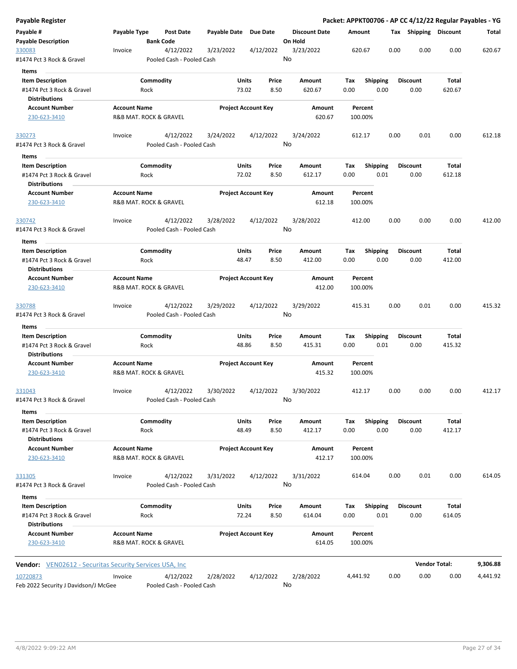| <b>Payable Register</b>                                        |                     |                                        |                       |                                 |                      | Packet: APPKT00706 - AP CC 4/12/22 Regular Payables - YG |                         |      |                         |                       |          |
|----------------------------------------------------------------|---------------------|----------------------------------------|-----------------------|---------------------------------|----------------------|----------------------------------------------------------|-------------------------|------|-------------------------|-----------------------|----------|
| Payable #                                                      | Payable Type        | <b>Post Date</b>                       | Payable Date Due Date |                                 | <b>Discount Date</b> | Amount                                                   |                         |      |                         | Tax Shipping Discount | Total    |
| <b>Payable Description</b>                                     |                     | <b>Bank Code</b>                       |                       |                                 | On Hold              |                                                          |                         |      |                         |                       |          |
| 330083<br>#1474 Pct 3 Rock & Gravel                            | Invoice             | 4/12/2022<br>Pooled Cash - Pooled Cash | 3/23/2022             | 4/12/2022                       | 3/23/2022<br>No      |                                                          | 620.67<br>0.00          |      | 0.00                    | 0.00                  | 620.67   |
| Items                                                          |                     |                                        |                       |                                 |                      |                                                          |                         |      |                         |                       |          |
| <b>Item Description</b>                                        |                     | Commodity                              |                       | Units<br>Price                  | Amount               | Tax                                                      | <b>Shipping</b>         |      | <b>Discount</b>         | Total                 |          |
| #1474 Pct 3 Rock & Gravel                                      |                     | Rock                                   |                       | 73.02<br>8.50                   | 620.67               | 0.00                                                     | 0.00                    |      | 0.00                    | 620.67                |          |
| <b>Distributions</b>                                           |                     |                                        |                       |                                 |                      |                                                          |                         |      |                         |                       |          |
| <b>Account Number</b>                                          | <b>Account Name</b> |                                        |                       | <b>Project Account Key</b>      | Amount               | Percent                                                  |                         |      |                         |                       |          |
| 230-623-3410                                                   |                     | R&B MAT. ROCK & GRAVEL                 |                       |                                 | 620.67               | 100.00%                                                  |                         |      |                         |                       |          |
| 330273                                                         | Invoice             | 4/12/2022                              | 3/24/2022             | 4/12/2022                       | 3/24/2022            | 612.17                                                   |                         | 0.00 | 0.01                    | 0.00                  | 612.18   |
| #1474 Pct 3 Rock & Gravel                                      |                     | Pooled Cash - Pooled Cash              |                       |                                 | No                   |                                                          |                         |      |                         |                       |          |
| Items                                                          |                     |                                        |                       |                                 |                      |                                                          |                         |      |                         |                       |          |
| <b>Item Description</b>                                        |                     | Commodity                              |                       | Units<br>Price                  | Amount               | Tax                                                      | <b>Shipping</b>         |      | <b>Discount</b>         | Total                 |          |
| #1474 Pct 3 Rock & Gravel<br><b>Distributions</b>              |                     | Rock                                   |                       | 72.02<br>8.50                   | 612.17               | 0.00                                                     | 0.01                    |      | 0.00                    | 612.18                |          |
| <b>Account Number</b>                                          | <b>Account Name</b> |                                        |                       | <b>Project Account Key</b>      | Amount               | Percent                                                  |                         |      |                         |                       |          |
| 230-623-3410                                                   |                     | R&B MAT. ROCK & GRAVEL                 |                       |                                 | 612.18               | 100.00%                                                  |                         |      |                         |                       |          |
| 330742                                                         | Invoice             | 4/12/2022                              | 3/28/2022             | 4/12/2022                       | 3/28/2022            | 412.00                                                   |                         | 0.00 | 0.00                    | 0.00                  | 412.00   |
| #1474 Pct 3 Rock & Gravel                                      |                     | Pooled Cash - Pooled Cash              |                       |                                 | No                   |                                                          |                         |      |                         |                       |          |
| Items                                                          |                     |                                        |                       |                                 |                      |                                                          |                         |      |                         |                       |          |
| <b>Item Description</b>                                        |                     | Commodity                              |                       | Units<br>Price                  | Amount               | Tax                                                      | <b>Shipping</b>         |      | <b>Discount</b>         | Total                 |          |
| #1474 Pct 3 Rock & Gravel<br><b>Distributions</b>              |                     | Rock                                   |                       | 48.47<br>8.50                   | 412.00               | 0.00                                                     | 0.00                    |      | 0.00                    | 412.00                |          |
| <b>Account Number</b>                                          | <b>Account Name</b> |                                        |                       | <b>Project Account Key</b>      | Amount               | Percent                                                  |                         |      |                         |                       |          |
| 230-623-3410                                                   |                     | R&B MAT. ROCK & GRAVEL                 |                       |                                 | 412.00               | 100.00%                                                  |                         |      |                         |                       |          |
| 330788                                                         | Invoice             | 4/12/2022                              | 3/29/2022             | 4/12/2022                       | 3/29/2022            | 415.31                                                   |                         | 0.00 | 0.01                    | 0.00                  | 415.32   |
| #1474 Pct 3 Rock & Gravel                                      |                     | Pooled Cash - Pooled Cash              |                       |                                 | No                   |                                                          |                         |      |                         |                       |          |
| Items                                                          |                     |                                        |                       |                                 |                      |                                                          |                         |      |                         |                       |          |
| <b>Item Description</b>                                        |                     | Commodity                              |                       | Units<br>Price<br>48.86<br>8.50 | Amount               | Tax<br>0.00                                              | <b>Shipping</b><br>0.01 |      | Discount<br>0.00        | Total<br>415.32       |          |
| #1474 Pct 3 Rock & Gravel<br><b>Distributions</b>              |                     | Rock                                   |                       |                                 | 415.31               |                                                          |                         |      |                         |                       |          |
| <b>Account Number</b>                                          | <b>Account Name</b> |                                        |                       | <b>Project Account Key</b>      | Amount               | Percent                                                  |                         |      |                         |                       |          |
| 230-623-3410                                                   |                     | R&B MAT. ROCK & GRAVEL                 |                       |                                 | 415.32               | 100.00%                                                  |                         |      |                         |                       |          |
| 331043                                                         | Invoice             | 4/12/2022                              | 3/30/2022             | 4/12/2022                       | 3/30/2022            | 412.17                                                   |                         | 0.00 | 0.00                    | 0.00                  | 412.17   |
| #1474 Pct 3 Rock & Gravel                                      |                     | Pooled Cash - Pooled Cash              |                       |                                 | No                   |                                                          |                         |      |                         |                       |          |
| Items                                                          |                     |                                        |                       |                                 |                      |                                                          |                         |      |                         |                       |          |
| <b>Item Description</b>                                        |                     | Commodity                              |                       | Units<br>Price                  | Amount               | Tax                                                      | <b>Shipping</b>         |      | <b>Discount</b>         | Total                 |          |
| #1474 Pct 3 Rock & Gravel                                      |                     | Rock                                   |                       | 48.49<br>8.50                   | 412.17               | 0.00                                                     | 0.00                    |      | 0.00                    | 412.17                |          |
| <b>Distributions</b>                                           |                     |                                        |                       |                                 |                      |                                                          |                         |      |                         |                       |          |
| <b>Account Number</b><br>230-623-3410                          | <b>Account Name</b> | R&B MAT. ROCK & GRAVEL                 |                       | <b>Project Account Key</b>      | Amount<br>412.17     | Percent<br>100.00%                                       |                         |      |                         |                       |          |
| 331305                                                         | Invoice             | 4/12/2022                              | 3/31/2022             | 4/12/2022                       | 3/31/2022            | 614.04                                                   |                         | 0.00 | 0.01                    | 0.00                  | 614.05   |
| #1474 Pct 3 Rock & Gravel                                      |                     | Pooled Cash - Pooled Cash              |                       |                                 | No                   |                                                          |                         |      |                         |                       |          |
| Items                                                          |                     |                                        |                       |                                 |                      |                                                          |                         |      |                         |                       |          |
| <b>Item Description</b><br>#1474 Pct 3 Rock & Gravel           |                     | Commodity<br>Rock                      |                       | Units<br>Price<br>72.24<br>8.50 | Amount<br>614.04     | Tax<br>0.00                                              | <b>Shipping</b><br>0.01 |      | <b>Discount</b><br>0.00 | Total<br>614.05       |          |
| <b>Distributions</b>                                           |                     |                                        |                       |                                 |                      |                                                          |                         |      |                         |                       |          |
| <b>Account Number</b><br>230-623-3410                          | <b>Account Name</b> | R&B MAT. ROCK & GRAVEL                 |                       | <b>Project Account Key</b>      | Amount<br>614.05     | Percent<br>100.00%                                       |                         |      |                         |                       |          |
| <b>Vendor:</b> VEN02612 - Securitas Security Services USA, Inc |                     |                                        |                       |                                 |                      |                                                          |                         |      |                         | <b>Vendor Total:</b>  | 9,306.88 |
| 10720873                                                       | Invoice             | 4/12/2022                              | 2/28/2022             | 4/12/2022                       | 2/28/2022            | 4,441.92                                                 |                         | 0.00 | 0.00                    | 0.00                  | 4,441.92 |
| Feb 2022 Security J Davidson/J McGee                           |                     | Pooled Cash - Pooled Cash              |                       |                                 | No                   |                                                          |                         |      |                         |                       |          |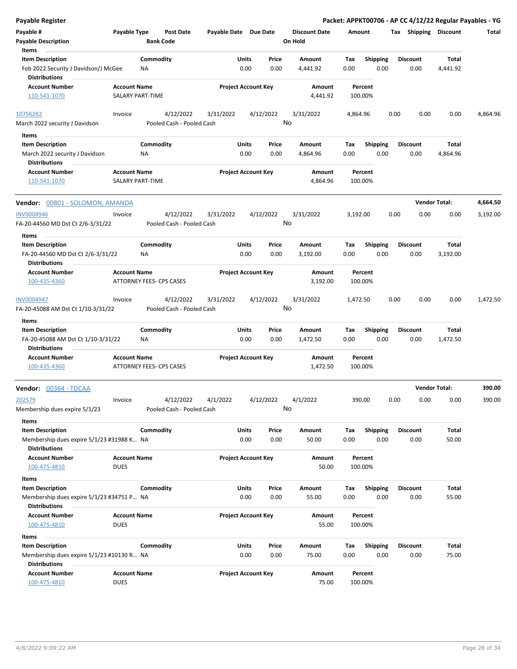| Payable Register                                                                      |                             |                                      |                       |                            |               |                                 |             |                         |      |                         | Packet: APPKT00706 - AP CC 4/12/22 Regular Payables - YG |          |
|---------------------------------------------------------------------------------------|-----------------------------|--------------------------------------|-----------------------|----------------------------|---------------|---------------------------------|-------------|-------------------------|------|-------------------------|----------------------------------------------------------|----------|
| Payable #<br><b>Payable Description</b>                                               | Payable Type                | <b>Post Date</b><br><b>Bank Code</b> | Payable Date Due Date |                            |               | <b>Discount Date</b><br>On Hold | Amount      |                         |      | Tax Shipping Discount   |                                                          | Total    |
| Items                                                                                 |                             |                                      |                       |                            |               |                                 |             |                         |      |                         |                                                          |          |
| <b>Item Description</b>                                                               |                             | Commodity                            |                       | Units                      | Price         | Amount                          | Tax         | <b>Shipping</b>         |      | <b>Discount</b>         | Total                                                    |          |
| Feb 2022 Security J Davidson/J McGee                                                  |                             | NA                                   |                       | 0.00                       | 0.00          | 4,441.92                        | 0.00        | 0.00                    |      | 0.00                    | 4,441.92                                                 |          |
| <b>Distributions</b><br><b>Account Number</b>                                         | <b>Account Name</b>         |                                      |                       | <b>Project Account Key</b> |               | Amount                          |             | Percent                 |      |                         |                                                          |          |
| 110-541-1070                                                                          |                             | SALARY PART-TIME                     |                       |                            |               | 4,441.92                        |             | 100.00%                 |      |                         |                                                          |          |
| 10756282                                                                              | Invoice                     | 4/12/2022                            | 3/31/2022             |                            | 4/12/2022     | 3/31/2022                       | 4,864.96    |                         | 0.00 | 0.00                    | 0.00                                                     | 4,864.96 |
| March 2022 security J Davidson<br>Items                                               |                             | Pooled Cash - Pooled Cash            |                       |                            |               | No                              |             |                         |      |                         |                                                          |          |
| <b>Item Description</b>                                                               |                             | Commodity                            |                       | Units                      | Price         | Amount                          | Tax         | <b>Shipping</b>         |      | <b>Discount</b>         | Total                                                    |          |
| March 2022 security J Davidson                                                        |                             | <b>NA</b>                            |                       | 0.00                       | 0.00          | 4,864.96                        | 0.00        | 0.00                    |      | 0.00                    | 4,864.96                                                 |          |
| <b>Distributions</b>                                                                  |                             |                                      |                       |                            |               |                                 |             |                         |      |                         |                                                          |          |
| <b>Account Number</b>                                                                 | <b>Account Name</b>         |                                      |                       | <b>Project Account Key</b> |               | Amount                          |             | Percent                 |      |                         |                                                          |          |
| 110-541-1070                                                                          |                             | SALARY PART-TIME                     |                       |                            |               | 4,864.96                        |             | 100.00%                 |      |                         |                                                          |          |
| Vendor: 00801 - SOLOMON, AMANDA                                                       |                             |                                      |                       |                            |               |                                 |             |                         |      |                         | <b>Vendor Total:</b>                                     | 4,664.50 |
| <b>INV0004946</b>                                                                     | Invoice                     | 4/12/2022                            | 3/31/2022             |                            | 4/12/2022     | 3/31/2022                       | 3,192.00    |                         | 0.00 | 0.00                    | 0.00                                                     | 3,192.00 |
| FA-20-44560 MD Dst Ct 2/6-3/31/22                                                     |                             | Pooled Cash - Pooled Cash            |                       |                            |               | No                              |             |                         |      |                         |                                                          |          |
| Items                                                                                 |                             |                                      |                       |                            |               |                                 |             |                         |      |                         |                                                          |          |
| <b>Item Description</b>                                                               |                             | Commodity                            |                       | Units                      | Price         | Amount                          | Tax         | <b>Shipping</b>         |      | <b>Discount</b>         | Total                                                    |          |
| FA-20-44560 MD Dst Ct 2/6-3/31/22<br><b>Distributions</b>                             |                             | ΝA                                   |                       | 0.00                       | 0.00          | 3,192.00                        | 0.00        | 0.00                    |      | 0.00                    | 3,192.00                                                 |          |
| <b>Account Number</b>                                                                 | <b>Account Name</b>         |                                      |                       | <b>Project Account Key</b> |               | Amount                          |             | Percent                 |      |                         |                                                          |          |
| 100-435-4360                                                                          |                             | ATTORNEY FEES- CPS CASES             |                       |                            |               | 3,192.00                        |             | 100.00%                 |      |                         |                                                          |          |
| INV0004947                                                                            | Invoice                     | 4/12/2022                            | 3/31/2022             |                            | 4/12/2022     | 3/31/2022<br>No                 | 1,472.50    |                         | 0.00 | 0.00                    | 0.00                                                     | 1,472.50 |
| FA-20-45088 AM Dst Ct 1/10-3/31/22                                                    |                             | Pooled Cash - Pooled Cash            |                       |                            |               |                                 |             |                         |      |                         |                                                          |          |
| Items                                                                                 |                             |                                      |                       |                            |               |                                 |             |                         |      |                         |                                                          |          |
| <b>Item Description</b><br>FA-20-45088 AM Dst Ct 1/10-3/31/22<br><b>Distributions</b> |                             | Commodity<br>ΝA                      |                       | Units<br>0.00              | Price<br>0.00 | Amount<br>1,472.50              | Tax<br>0.00 | <b>Shipping</b><br>0.00 |      | <b>Discount</b><br>0.00 | Total<br>1,472.50                                        |          |
| <b>Account Number</b>                                                                 | <b>Account Name</b>         |                                      |                       | <b>Project Account Key</b> |               | Amount                          |             | Percent                 |      |                         |                                                          |          |
| 100-435-4360                                                                          |                             | ATTORNEY FEES- CPS CASES             |                       |                            |               | 1,472.50                        |             | 100.00%                 |      |                         |                                                          |          |
| Vendor: 00364 - TDCAA                                                                 |                             |                                      |                       |                            |               |                                 |             |                         |      |                         | <b>Vendor Total:</b>                                     | 390.00   |
| 202579                                                                                | Invoice                     | 4/12/2022                            | 4/1/2022              |                            | 4/12/2022     | 4/1/2022                        |             | 390.00                  | 0.00 | 0.00                    | 0.00                                                     | 390.00   |
| Membership dues expire 5/1/23<br>Items                                                |                             | Pooled Cash - Pooled Cash            |                       |                            |               | No                              |             |                         |      |                         |                                                          |          |
| <b>Item Description</b>                                                               |                             | Commodity                            |                       | Units                      | Price         | Amount                          | Tax         | <b>Shipping</b>         |      | <b>Discount</b>         | Total                                                    |          |
| Membership dues expire 5/1/23 #31988 K NA                                             |                             |                                      |                       | 0.00                       | 0.00          | 50.00                           | 0.00        | 0.00                    |      | 0.00                    | 50.00                                                    |          |
| <b>Distributions</b>                                                                  |                             |                                      |                       |                            |               |                                 |             |                         |      |                         |                                                          |          |
| <b>Account Number</b>                                                                 | <b>Account Name</b>         |                                      |                       | <b>Project Account Key</b> |               | Amount                          |             | Percent                 |      |                         |                                                          |          |
| 100-475-4810                                                                          | <b>DUES</b>                 |                                      |                       |                            |               | 50.00                           |             | 100.00%                 |      |                         |                                                          |          |
| Items                                                                                 |                             |                                      |                       |                            |               |                                 |             |                         |      |                         |                                                          |          |
| <b>Item Description</b>                                                               |                             | Commodity                            |                       | Units                      | Price         | Amount                          | Tax         | <b>Shipping</b>         |      | Discount                | Total                                                    |          |
| Membership dues expire 5/1/23 #34751 P NA<br><b>Distributions</b>                     |                             |                                      |                       | 0.00                       | 0.00          | 55.00                           | 0.00        | 0.00                    |      | 0.00                    | 55.00                                                    |          |
| <b>Account Number</b>                                                                 | <b>Account Name</b>         |                                      |                       | <b>Project Account Key</b> |               | Amount                          |             | Percent                 |      |                         |                                                          |          |
| 100-475-4810                                                                          | <b>DUES</b>                 |                                      |                       |                            |               | 55.00                           |             | 100.00%                 |      |                         |                                                          |          |
| Items                                                                                 |                             |                                      |                       |                            |               |                                 |             |                         |      |                         |                                                          |          |
| <b>Item Description</b>                                                               |                             | Commodity                            |                       | Units                      | Price         | Amount                          | Tax         | <b>Shipping</b>         |      | <b>Discount</b>         | Total                                                    |          |
| Membership dues expire 5/1/23 #10130 R NA                                             |                             |                                      |                       | 0.00                       | 0.00          | 75.00                           | 0.00        | 0.00                    |      | 0.00                    | 75.00                                                    |          |
| <b>Distributions</b>                                                                  |                             |                                      |                       |                            |               |                                 |             |                         |      |                         |                                                          |          |
| <b>Account Number</b><br>100-475-4810                                                 | <b>Account Name</b><br>DUES |                                      |                       | <b>Project Account Key</b> |               | Amount<br>75.00                 |             | Percent<br>100.00%      |      |                         |                                                          |          |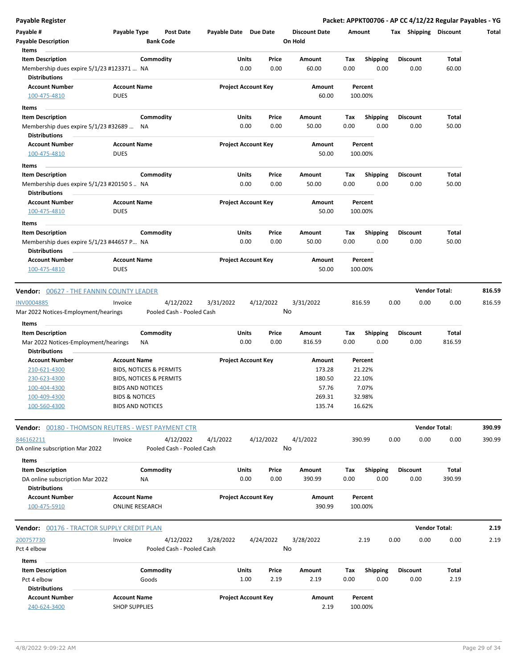| <b>Payable Register</b>                                             |                                    |                           |                       |                            |                 |                      |             |                         |      |                         | Packet: APPKT00706 - AP CC 4/12/22 Regular Payables - YG |        |
|---------------------------------------------------------------------|------------------------------------|---------------------------|-----------------------|----------------------------|-----------------|----------------------|-------------|-------------------------|------|-------------------------|----------------------------------------------------------|--------|
| Payable #                                                           | Payable Type                       | Post Date                 | Payable Date Due Date |                            |                 | <b>Discount Date</b> | Amount      |                         |      |                         | Tax Shipping Discount                                    | Total  |
| <b>Payable Description</b>                                          |                                    | <b>Bank Code</b>          |                       |                            |                 | On Hold              |             |                         |      |                         |                                                          |        |
| Items                                                               |                                    |                           |                       |                            |                 |                      |             |                         |      |                         |                                                          |        |
| <b>Item Description</b>                                             |                                    | Commodity                 |                       | Units                      | Price           | Amount               | Tax         | <b>Shipping</b>         |      | <b>Discount</b>         | Total                                                    |        |
| Membership dues expire 5/1/23 #123371  NA                           |                                    |                           |                       | 0.00                       | 0.00            | 60.00                | 0.00        | 0.00                    |      | 0.00                    | 60.00                                                    |        |
| <b>Distributions</b>                                                |                                    |                           |                       |                            |                 |                      |             |                         |      |                         |                                                          |        |
| <b>Account Number</b><br>100-475-4810                               | <b>Account Name</b><br><b>DUES</b> |                           |                       | <b>Project Account Key</b> |                 | Amount<br>60.00      |             | Percent<br>100.00%      |      |                         |                                                          |        |
|                                                                     |                                    |                           |                       |                            |                 |                      |             |                         |      |                         |                                                          |        |
| Items                                                               |                                    |                           |                       |                            |                 |                      |             |                         |      |                         |                                                          |        |
| <b>Item Description</b><br>Membership dues expire 5/1/23 #32689  NA |                                    | Commodity                 |                       | Units<br>0.00              | Price<br>0.00   | Amount<br>50.00      | Tax<br>0.00 | Shipping<br>0.00        |      | <b>Discount</b><br>0.00 | Total<br>50.00                                           |        |
| <b>Distributions</b>                                                |                                    |                           |                       |                            |                 |                      |             |                         |      |                         |                                                          |        |
| <b>Account Number</b>                                               | <b>Account Name</b>                |                           |                       | <b>Project Account Key</b> |                 | Amount               |             | Percent                 |      |                         |                                                          |        |
| 100-475-4810                                                        | <b>DUES</b>                        |                           |                       |                            |                 | 50.00                |             | 100.00%                 |      |                         |                                                          |        |
| Items                                                               |                                    |                           |                       |                            |                 |                      |             |                         |      |                         |                                                          |        |
| <b>Item Description</b>                                             |                                    | Commodity                 |                       | Units                      | Price           | Amount               | Tax         | <b>Shipping</b>         |      | <b>Discount</b>         | Total                                                    |        |
| Membership dues expire 5/1/23 #20150 S  NA<br><b>Distributions</b>  |                                    |                           |                       | 0.00                       | 0.00            | 50.00                | 0.00        | 0.00                    |      | 0.00                    | 50.00                                                    |        |
| <b>Account Number</b>                                               | <b>Account Name</b>                |                           |                       | <b>Project Account Key</b> |                 | Amount               |             | Percent                 |      |                         |                                                          |        |
| 100-475-4810                                                        | <b>DUES</b>                        |                           |                       |                            |                 | 50.00                |             | 100.00%                 |      |                         |                                                          |        |
|                                                                     |                                    |                           |                       |                            |                 |                      |             |                         |      |                         |                                                          |        |
| Items<br><b>Item Description</b>                                    |                                    | Commodity                 |                       | Units                      | Price           | Amount               | Tax         |                         |      | <b>Discount</b>         | Total                                                    |        |
| Membership dues expire 5/1/23 #44657 P NA                           |                                    |                           |                       | 0.00                       | 0.00            | 50.00                | 0.00        | <b>Shipping</b><br>0.00 |      | 0.00                    | 50.00                                                    |        |
| <b>Distributions</b>                                                |                                    |                           |                       |                            |                 |                      |             |                         |      |                         |                                                          |        |
| <b>Account Number</b>                                               | <b>Account Name</b>                |                           |                       | <b>Project Account Key</b> |                 | Amount               |             | Percent                 |      |                         |                                                          |        |
| 100-475-4810                                                        | <b>DUES</b>                        |                           |                       |                            |                 | 50.00                |             | 100.00%                 |      |                         |                                                          |        |
|                                                                     |                                    |                           |                       |                            |                 |                      |             |                         |      |                         |                                                          |        |
| <b>Vendor: 00627 - THE FANNIN COUNTY LEADER</b>                     |                                    |                           |                       |                            |                 |                      |             |                         |      |                         | <b>Vendor Total:</b>                                     | 816.59 |
| <b>INV0004885</b>                                                   | Invoice                            | 4/12/2022                 | 3/31/2022             |                            | 4/12/2022       | 3/31/2022            |             | 816.59                  | 0.00 | 0.00                    | 0.00                                                     | 816.59 |
| Mar 2022 Notices-Employment/hearings                                |                                    | Pooled Cash - Pooled Cash |                       |                            | No              |                      |             |                         |      |                         |                                                          |        |
| Items                                                               |                                    |                           |                       |                            |                 |                      |             |                         |      |                         |                                                          |        |
| <b>Item Description</b>                                             |                                    | Commodity                 |                       | Units                      | Price           | Amount               | Tax         | <b>Shipping</b>         |      | <b>Discount</b>         | Total                                                    |        |
| Mar 2022 Notices-Employment/hearings                                |                                    | <b>NA</b>                 |                       | 0.00                       | 0.00            | 816.59               | 0.00        | 0.00                    |      | 0.00                    | 816.59                                                   |        |
| <b>Distributions</b>                                                |                                    |                           |                       |                            |                 |                      |             |                         |      |                         |                                                          |        |
| <b>Account Number</b>                                               | <b>Account Name</b>                |                           |                       | <b>Project Account Key</b> |                 | Amount               |             | Percent                 |      |                         |                                                          |        |
| 210-621-4300                                                        |                                    | BIDS, NOTICES & PERMITS   |                       |                            |                 | 173.28               |             | 21.22%                  |      |                         |                                                          |        |
| 230-623-4300                                                        |                                    | BIDS, NOTICES & PERMITS   |                       |                            |                 | 180.50               |             | 22.10%                  |      |                         |                                                          |        |
| 100-404-4300                                                        |                                    | <b>BIDS AND NOTICES</b>   |                       |                            |                 | 57.76                |             | 7.07%                   |      |                         |                                                          |        |
| <u>100-409-4300</u>                                                 | <b>BIDS &amp; NOTICES</b>          |                           |                       |                            |                 | 269.31               |             | 32.98%                  |      |                         |                                                          |        |
| 100-560-4300                                                        |                                    | <b>BIDS AND NOTICES</b>   |                       |                            |                 | 135.74               |             | 16.62%                  |      |                         |                                                          |        |
|                                                                     |                                    |                           |                       |                            |                 |                      |             |                         |      |                         |                                                          |        |
| <b>Vendor:</b> 00180 - THOMSON REUTERS - WEST PAYMENT CTR           |                                    |                           |                       |                            |                 |                      |             |                         |      |                         | <b>Vendor Total:</b>                                     | 390.99 |
| 846162211                                                           | Invoice                            | 4/12/2022                 | 4/1/2022              |                            | 4/12/2022       | 4/1/2022             |             | 390.99                  | 0.00 | 0.00                    | 0.00                                                     | 390.99 |
| DA online subscription Mar 2022                                     |                                    | Pooled Cash - Pooled Cash |                       |                            | No              |                      |             |                         |      |                         |                                                          |        |
| Items                                                               |                                    |                           |                       |                            |                 |                      |             |                         |      |                         |                                                          |        |
| <b>Item Description</b>                                             |                                    | Commodity                 |                       | Units                      | Price           | Amount               | Tax         | <b>Shipping</b>         |      | <b>Discount</b>         | Total                                                    |        |
| DA online subscription Mar 2022                                     |                                    | <b>NA</b>                 |                       | 0.00                       | 0.00            | 390.99               | 0.00        | 0.00                    |      | 0.00                    | 390.99                                                   |        |
| <b>Distributions</b>                                                |                                    |                           |                       |                            |                 |                      |             |                         |      |                         |                                                          |        |
| <b>Account Number</b>                                               | <b>Account Name</b>                |                           |                       | <b>Project Account Key</b> |                 | Amount               |             | Percent                 |      |                         |                                                          |        |
| 100-475-5910                                                        |                                    | <b>ONLINE RESEARCH</b>    |                       |                            |                 | 390.99               |             | 100.00%                 |      |                         |                                                          |        |
| Vendor: 00176 - TRACTOR SUPPLY CREDIT PLAN                          |                                    |                           |                       |                            |                 |                      |             |                         |      |                         | <b>Vendor Total:</b>                                     | 2.19   |
|                                                                     |                                    |                           |                       |                            |                 |                      |             |                         |      |                         |                                                          |        |
| 200757730                                                           | Invoice                            | 4/12/2022                 | 3/28/2022             |                            | 4/24/2022<br>No | 3/28/2022            |             | 2.19                    | 0.00 | 0.00                    | 0.00                                                     | 2.19   |
| Pct 4 elbow                                                         |                                    | Pooled Cash - Pooled Cash |                       |                            |                 |                      |             |                         |      |                         |                                                          |        |
| Items                                                               |                                    |                           |                       |                            |                 |                      |             |                         |      |                         |                                                          |        |
| <b>Item Description</b>                                             |                                    | Commodity                 |                       | Units                      | Price           | Amount               | Tax         | <b>Shipping</b>         |      | <b>Discount</b>         | Total                                                    |        |
| Pct 4 elbow                                                         |                                    | Goods                     |                       | 1.00                       | 2.19            | 2.19                 | 0.00        | 0.00                    |      | 0.00                    | 2.19                                                     |        |
| <b>Distributions</b>                                                | <b>Account Name</b>                |                           |                       | <b>Project Account Key</b> |                 |                      |             |                         |      |                         |                                                          |        |
| <b>Account Number</b><br>240-624-3400                               | <b>SHOP SUPPLIES</b>               |                           |                       |                            |                 | Amount<br>2.19       |             | Percent<br>100.00%      |      |                         |                                                          |        |
|                                                                     |                                    |                           |                       |                            |                 |                      |             |                         |      |                         |                                                          |        |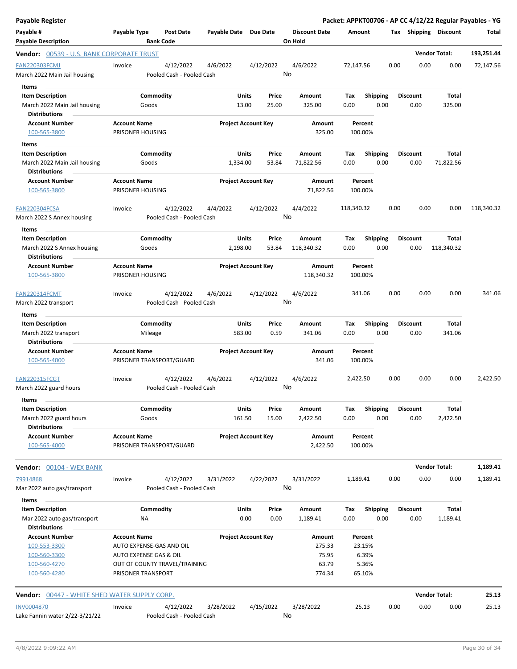| Payable Register                                                              |                                                      |                        |                            |                                 |                    |                         |      |                         |                       | Packet: APPKT00706 - AP CC 4/12/22 Regular Payables - YG |
|-------------------------------------------------------------------------------|------------------------------------------------------|------------------------|----------------------------|---------------------------------|--------------------|-------------------------|------|-------------------------|-----------------------|----------------------------------------------------------|
| Payable #<br><b>Payable Description</b>                                       | Payable Type<br><b>Post Date</b><br><b>Bank Code</b> | Payable Date Due Date  |                            | <b>Discount Date</b><br>On Hold | Amount             |                         |      |                         | Tax Shipping Discount | Total                                                    |
| <b>Vendor:</b> 00539 - U.S. BANK CORPORATE TRUST                              |                                                      |                        |                            |                                 |                    |                         |      |                         | <b>Vendor Total:</b>  | 193,251.44                                               |
| <b>FAN220303FCMJ</b>                                                          | Invoice<br>4/12/2022                                 | 4/6/2022               | 4/12/2022                  | 4/6/2022                        | 72,147.56          |                         | 0.00 | 0.00                    | 0.00                  | 72,147.56                                                |
| March 2022 Main Jail housing                                                  | Pooled Cash - Pooled Cash                            |                        |                            | No                              |                    |                         |      |                         |                       |                                                          |
| Items<br><b>Item Description</b>                                              | Commodity                                            | <b>Units</b>           | Price                      | Amount                          | Tax                | <b>Shipping</b>         |      | <b>Discount</b>         | Total                 |                                                          |
| March 2022 Main Jail housing                                                  | Goods                                                | 13.00                  | 25.00                      | 325.00                          | 0.00               | 0.00                    |      | 0.00                    | 325.00                |                                                          |
| <b>Distributions</b>                                                          |                                                      |                        |                            |                                 |                    |                         |      |                         |                       |                                                          |
| <b>Account Number</b><br>100-565-3800                                         | <b>Account Name</b><br>PRISONER HOUSING              |                        | <b>Project Account Key</b> | Amount<br>325.00                | Percent<br>100.00% |                         |      |                         |                       |                                                          |
| Items                                                                         |                                                      |                        |                            |                                 |                    |                         |      |                         |                       |                                                          |
| <b>Item Description</b>                                                       | Commodity                                            | Units                  | Price                      | Amount                          | Tax                | Shipping                |      | <b>Discount</b>         | Total                 |                                                          |
| March 2022 Main Jail housing<br><b>Distributions</b>                          | Goods                                                | 1,334.00               | 53.84                      | 71,822.56                       | 0.00               | 0.00                    |      | 0.00                    | 71,822.56             |                                                          |
| <b>Account Number</b><br>100-565-3800                                         | <b>Account Name</b><br>PRISONER HOUSING              |                        | <b>Project Account Key</b> | Amount<br>71,822.56             | Percent<br>100.00% |                         |      |                         |                       |                                                          |
| FAN220304FCSA<br>March 2022 S Annex housing                                   | 4/12/2022<br>Invoice<br>Pooled Cash - Pooled Cash    | 4/4/2022               | 4/12/2022                  | 4/4/2022<br>No                  | 118,340.32         |                         | 0.00 | 0.00                    | 0.00                  | 118,340.32                                               |
| Items                                                                         |                                                      |                        |                            |                                 |                    |                         |      |                         |                       |                                                          |
| <b>Item Description</b><br>March 2022 S Annex housing<br><b>Distributions</b> | Commodity<br>Goods                                   | Units<br>2,198.00      | Price<br>53.84             | <b>Amount</b><br>118,340.32     | Tax<br>0.00        | Shipping<br>0.00        |      | <b>Discount</b><br>0.00 | Total<br>118,340.32   |                                                          |
| <b>Account Number</b>                                                         | <b>Account Name</b>                                  |                        | <b>Project Account Key</b> | Amount                          | Percent            |                         |      |                         |                       |                                                          |
| 100-565-3800                                                                  | PRISONER HOUSING                                     |                        |                            | 118,340.32                      | 100.00%            |                         |      |                         |                       |                                                          |
| <b>FAN220314FCMT</b>                                                          | 4/12/2022<br>Invoice<br>Pooled Cash - Pooled Cash    | 4/6/2022               | 4/12/2022                  | 4/6/2022<br>No                  | 341.06             |                         | 0.00 | 0.00                    | 0.00                  | 341.06                                                   |
| March 2022 transport                                                          |                                                      |                        |                            |                                 |                    |                         |      |                         |                       |                                                          |
| Items                                                                         |                                                      |                        |                            |                                 |                    |                         |      |                         |                       |                                                          |
| <b>Item Description</b><br>March 2022 transport                               | Commodity<br>Mileage                                 | <b>Units</b><br>583.00 | Price<br>0.59              | Amount<br>341.06                | Tax<br>0.00        | <b>Shipping</b><br>0.00 |      | <b>Discount</b><br>0.00 | Total<br>341.06       |                                                          |
| <b>Distributions</b>                                                          |                                                      |                        |                            |                                 |                    |                         |      |                         |                       |                                                          |
| <b>Account Number</b>                                                         | <b>Account Name</b>                                  |                        | <b>Project Account Key</b> | Amount                          | Percent            |                         |      |                         |                       |                                                          |
| 100-565-4000                                                                  | PRISONER TRANSPORT/GUARD                             |                        |                            | 341.06                          | 100.00%            |                         |      |                         |                       |                                                          |
| <b>FAN220315FCGT</b>                                                          | 4/12/2022<br>Invoice                                 | 4/6/2022               | 4/12/2022                  | 4/6/2022                        | 2,422.50           |                         | 0.00 | 0.00                    | 0.00                  | 2,422.50                                                 |
| March 2022 guard hours                                                        | Pooled Cash - Pooled Cash                            |                        |                            | No                              |                    |                         |      |                         |                       |                                                          |
| Items                                                                         |                                                      |                        |                            |                                 |                    |                         |      |                         |                       |                                                          |
| <b>Item Description</b>                                                       | Commodity                                            | Units                  | Price                      | Amount                          | Tax                | <b>Shipping</b>         |      | <b>Discount</b>         | Total                 |                                                          |
| March 2022 guard hours                                                        | Goods                                                | 161.50                 | 15.00                      | 2,422.50                        | 0.00               | 0.00                    |      | 0.00                    | 2,422.50              |                                                          |
| <b>Distributions</b><br><b>Account Number</b><br>100-565-4000                 | <b>Account Name</b><br>PRISONER TRANSPORT/GUARD      |                        | <b>Project Account Key</b> | Amount<br>2,422.50              | Percent<br>100.00% |                         |      |                         |                       |                                                          |
|                                                                               |                                                      |                        |                            |                                 |                    |                         |      |                         | <b>Vendor Total:</b>  | 1,189.41                                                 |
| <b>Vendor:</b> 00104 - WEX BANK                                               |                                                      |                        |                            |                                 |                    |                         |      |                         |                       |                                                          |
| 79914868<br>Mar 2022 auto gas/transport                                       | 4/12/2022<br>Invoice<br>Pooled Cash - Pooled Cash    | 3/31/2022              | 4/22/2022                  | 3/31/2022<br>No                 | 1,189.41           |                         | 0.00 | 0.00                    | 0.00                  | 1,189.41                                                 |
| Items                                                                         |                                                      |                        |                            |                                 |                    |                         |      |                         |                       |                                                          |
| <b>Item Description</b><br>Mar 2022 auto gas/transport                        | Commodity<br>ΝA                                      | <b>Units</b>           | Price<br>0.00<br>0.00      | Amount<br>1,189.41              | Тах<br>0.00        | <b>Shipping</b><br>0.00 |      | <b>Discount</b><br>0.00 | Total<br>1,189.41     |                                                          |
| <b>Distributions</b>                                                          |                                                      |                        |                            |                                 |                    |                         |      |                         |                       |                                                          |
| <b>Account Number</b>                                                         | <b>Account Name</b>                                  |                        | <b>Project Account Key</b> | Amount                          | Percent            |                         |      |                         |                       |                                                          |
| 100-553-3300                                                                  | AUTO EXPENSE-GAS AND OIL                             |                        |                            | 275.33                          | 23.15%             |                         |      |                         |                       |                                                          |
| 100-560-3300                                                                  | AUTO EXPENSE GAS & OIL                               |                        |                            | 75.95                           | 6.39%              |                         |      |                         |                       |                                                          |
| 100-560-4270                                                                  | OUT OF COUNTY TRAVEL/TRAINING                        |                        |                            | 63.79                           | 5.36%              |                         |      |                         |                       |                                                          |
| 100-560-4280                                                                  | PRISONER TRANSPORT                                   |                        |                            | 774.34                          | 65.10%             |                         |      |                         |                       |                                                          |
| <b>Vendor:</b> 00447 - WHITE SHED WATER SUPPLY CORP.                          |                                                      |                        |                            |                                 |                    |                         |      |                         | <b>Vendor Total:</b>  | 25.13                                                    |
| INV0004870                                                                    | 4/12/2022<br>Invoice                                 | 3/28/2022              | 4/15/2022                  | 3/28/2022                       | 25.13              |                         | 0.00 | 0.00                    | 0.00                  | 25.13                                                    |
| Lake Fannin water 2/22-3/21/22                                                | Pooled Cash - Pooled Cash                            |                        |                            | No                              |                    |                         |      |                         |                       |                                                          |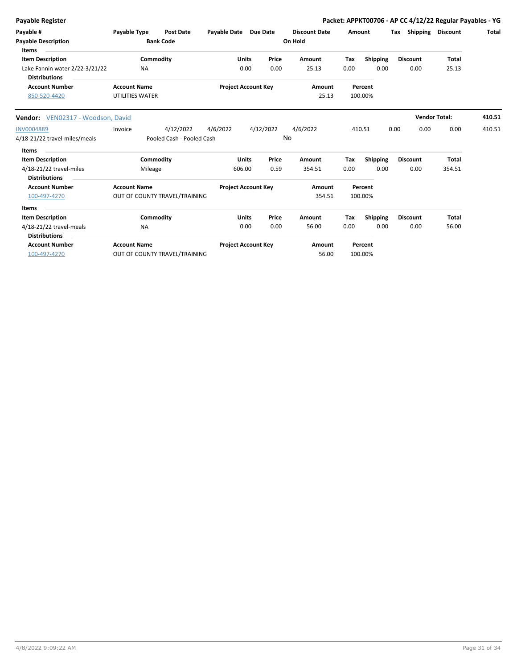| <b>Payable Register</b>                                                           |                                               |                                        |                            |                      |                 |                                 |             |                         |      |                         | Packet: APPKT00706 - AP CC 4/12/22 Regular Payables - YG |        |
|-----------------------------------------------------------------------------------|-----------------------------------------------|----------------------------------------|----------------------------|----------------------|-----------------|---------------------------------|-------------|-------------------------|------|-------------------------|----------------------------------------------------------|--------|
| Payable #<br><b>Payable Description</b><br>Items                                  | Payable Type                                  | <b>Post Date</b><br><b>Bank Code</b>   | Payable Date Due Date      |                      |                 | <b>Discount Date</b><br>On Hold |             | Amount                  | Tax  | Shipping Discount       |                                                          | Total  |
| <b>Item Description</b><br>Lake Fannin water 2/22-3/21/22<br><b>Distributions</b> | <b>NA</b>                                     | Commodity                              |                            | <b>Units</b><br>0.00 | Price<br>0.00   | Amount<br>25.13                 | Tax<br>0.00 | <b>Shipping</b><br>0.00 |      | <b>Discount</b><br>0.00 | <b>Total</b><br>25.13                                    |        |
| <b>Account Number</b><br>850-520-4420                                             | <b>Account Name</b><br><b>UTILITIES WATER</b> |                                        | <b>Project Account Key</b> |                      |                 | Amount<br>25.13                 |             | Percent<br>100.00%      |      |                         |                                                          |        |
| Vendor: VEN02317 - Woodson, David                                                 |                                               |                                        |                            |                      |                 |                                 |             |                         |      | <b>Vendor Total:</b>    |                                                          | 410.51 |
| <b>INV0004889</b><br>4/18-21/22 travel-miles/meals                                | Invoice                                       | 4/12/2022<br>Pooled Cash - Pooled Cash | 4/6/2022                   |                      | 4/12/2022<br>No | 4/6/2022                        |             | 410.51                  | 0.00 | 0.00                    | 0.00                                                     | 410.51 |
| <b>Items</b><br><b>Item Description</b>                                           |                                               | Commodity                              |                            | <b>Units</b>         | Price           | Amount                          | Tax         | Shipping                |      | <b>Discount</b>         | <b>Total</b>                                             |        |
| 4/18-21/22 travel-miles<br><b>Distributions</b>                                   | Mileage                                       |                                        | 606.00                     |                      | 0.59            | 354.51                          | 0.00        | 0.00                    |      | 0.00                    | 354.51                                                   |        |
| <b>Account Number</b><br>100-497-4270                                             | <b>Account Name</b>                           | OUT OF COUNTY TRAVEL/TRAINING          | <b>Project Account Key</b> |                      |                 | Amount<br>354.51                |             | Percent<br>100.00%      |      |                         |                                                          |        |
| Items                                                                             |                                               |                                        |                            |                      |                 |                                 |             |                         |      |                         |                                                          |        |
| <b>Item Description</b><br>4/18-21/22 travel-meals<br><b>Distributions</b>        | <b>NA</b>                                     | Commodity                              |                            | <b>Units</b><br>0.00 | Price<br>0.00   | Amount<br>56.00                 | Tax<br>0.00 | <b>Shipping</b><br>0.00 |      | <b>Discount</b><br>0.00 | <b>Total</b><br>56.00                                    |        |
| <b>Account Number</b><br>100-497-4270                                             | <b>Account Name</b>                           | OUT OF COUNTY TRAVEL/TRAINING          | <b>Project Account Key</b> |                      |                 | Amount<br>56.00                 |             | Percent<br>100.00%      |      |                         |                                                          |        |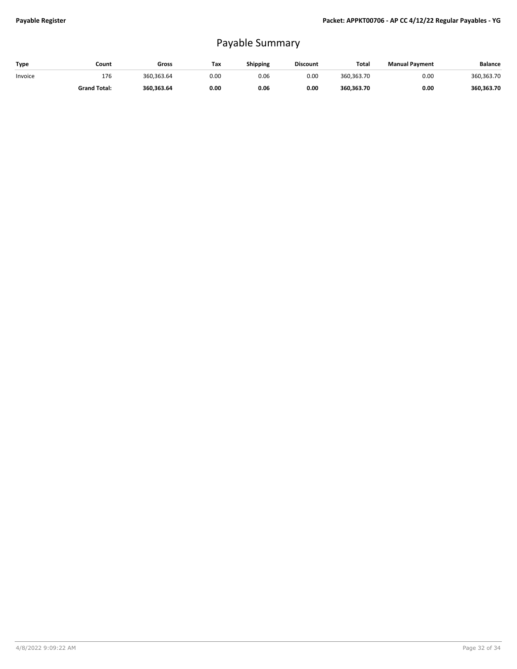## Payable Summary

| Type    | Count               | Gross      | Tax  | Shipping | <b>Discount</b> | Total      | <b>Manual Payment</b> | <b>Balance</b> |
|---------|---------------------|------------|------|----------|-----------------|------------|-----------------------|----------------|
| Invoice | 176                 | 360.363.64 | 0.00 | 0.06     | 0.00            | 360.363.70 | 0.00                  | 360,363.70     |
|         | <b>Grand Total:</b> | 360.363.64 | 0.00 | 0.06     | 0.00            | 360.363.70 | 0.00                  | 360.363.70     |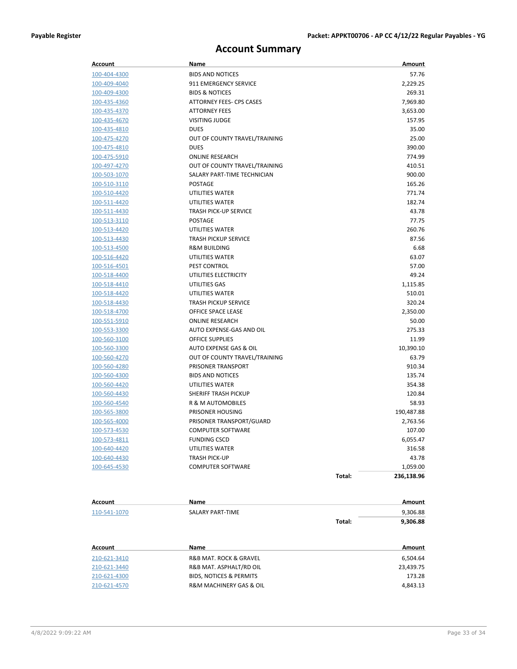## **Account Summary**

| <b>Account</b> | Name                          |        | Amount     |
|----------------|-------------------------------|--------|------------|
| 100-404-4300   | <b>BIDS AND NOTICES</b>       |        | 57.76      |
| 100-409-4040   | 911 EMERGENCY SERVICE         |        | 2,229.25   |
| 100-409-4300   | <b>BIDS &amp; NOTICES</b>     |        | 269.31     |
| 100-435-4360   | ATTORNEY FEES- CPS CASES      |        | 7,969.80   |
| 100-435-4370   | <b>ATTORNEY FEES</b>          |        | 3,653.00   |
| 100-435-4670   | <b>VISITING JUDGE</b>         |        | 157.95     |
| 100-435-4810   | <b>DUES</b>                   |        | 35.00      |
| 100-475-4270   | OUT OF COUNTY TRAVEL/TRAINING |        | 25.00      |
| 100-475-4810   | <b>DUES</b>                   |        | 390.00     |
| 100-475-5910   | <b>ONLINE RESEARCH</b>        |        | 774.99     |
| 100-497-4270   | OUT OF COUNTY TRAVEL/TRAINING |        | 410.51     |
| 100-503-1070   | SALARY PART-TIME TECHNICIAN   |        | 900.00     |
| 100-510-3110   | <b>POSTAGE</b>                |        | 165.26     |
| 100-510-4420   | UTILITIES WATER               |        | 771.74     |
| 100-511-4420   | UTILITIES WATER               |        | 182.74     |
| 100-511-4430   | <b>TRASH PICK-UP SERVICE</b>  |        | 43.78      |
| 100-513-3110   | <b>POSTAGE</b>                |        | 77.75      |
| 100-513-4420   | UTILITIES WATER               |        | 260.76     |
| 100-513-4430   | <b>TRASH PICKUP SERVICE</b>   |        | 87.56      |
| 100-513-4500   | <b>R&amp;M BUILDING</b>       |        | 6.68       |
| 100-516-4420   | UTILITIES WATER               |        | 63.07      |
| 100-516-4501   | <b>PEST CONTROL</b>           |        | 57.00      |
| 100-518-4400   | UTILITIES ELECTRICITY         |        | 49.24      |
| 100-518-4410   | UTILITIES GAS                 |        | 1,115.85   |
| 100-518-4420   | UTILITIES WATER               |        | 510.01     |
| 100-518-4430   | <b>TRASH PICKUP SERVICE</b>   |        | 320.24     |
| 100-518-4700   | OFFICE SPACE LEASE            |        | 2,350.00   |
| 100-551-5910   | <b>ONLINE RESEARCH</b>        |        | 50.00      |
| 100-553-3300   | AUTO EXPENSE-GAS AND OIL      |        | 275.33     |
| 100-560-3100   | <b>OFFICE SUPPLIES</b>        |        | 11.99      |
| 100-560-3300   | AUTO EXPENSE GAS & OIL        |        | 10,390.10  |
| 100-560-4270   | OUT OF COUNTY TRAVEL/TRAINING |        | 63.79      |
| 100-560-4280   | PRISONER TRANSPORT            |        | 910.34     |
| 100-560-4300   | <b>BIDS AND NOTICES</b>       |        | 135.74     |
| 100-560-4420   | UTILITIES WATER               |        | 354.38     |
| 100-560-4430   | <b>SHERIFF TRASH PICKUP</b>   |        | 120.84     |
| 100-560-4540   | R & M AUTOMOBILES             |        | 58.93      |
| 100-565-3800   | PRISONER HOUSING              |        | 190,487.88 |
| 100-565-4000   | PRISONER TRANSPORT/GUARD      |        | 2,763.56   |
| 100-573-4530   | <b>COMPUTER SOFTWARE</b>      |        | 107.00     |
| 100-573-4811   | <b>FUNDING CSCD</b>           |        | 6,055.47   |
| 100-640-4420   | UTILITIES WATER               |        | 316.58     |
| 100-640-4430   | TRASH PICK-UP                 |        | 43.78      |
| 100-645-4530   | <b>COMPUTER SOFTWARE</b>      |        | 1,059.00   |
|                |                               | Total: | 236,138.96 |
| Account        | <b>Name</b>                   |        | Amount     |
| 110-541-1070   | <b>SALARY PART-TIME</b>       |        | 9,306.88   |
|                |                               | Total: | 9,306.88   |
| Account        | Name                          |        | Amount     |
| 210-621-3410   | R&B MAT. ROCK & GRAVEL        |        | 6,504.64   |
| 210-621-3440   | R&B MAT. ASPHALT/RD OIL       |        | 23,439.75  |
| 210-621-4300   | BIDS, NOTICES & PERMITS       |        | 173.28     |
| 210-621-4570   | R&M MACHINERY GAS & OIL       |        | 4,843.13   |